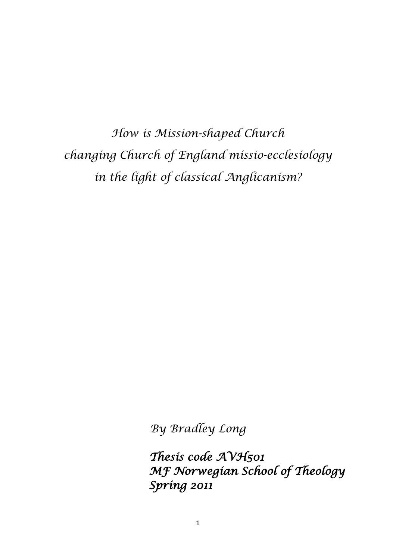*How is Mission-shaped Church changing Church of England missio-ecclesiology in the light of classical Anglicanism?* 

*By Bradley Long*

*Thesis code AVH501 MF Norwegian School of Theology Spring 2011*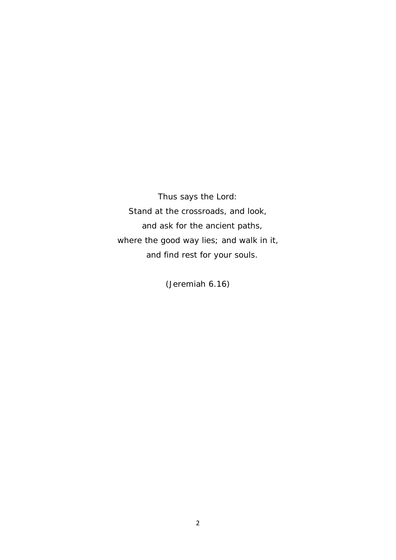*Thus says the Lord: Stand at the crossroads, and look, and ask for the ancient paths, where the good way lies; and walk in it, and find rest for your souls.* 

*(Jeremiah 6.16)*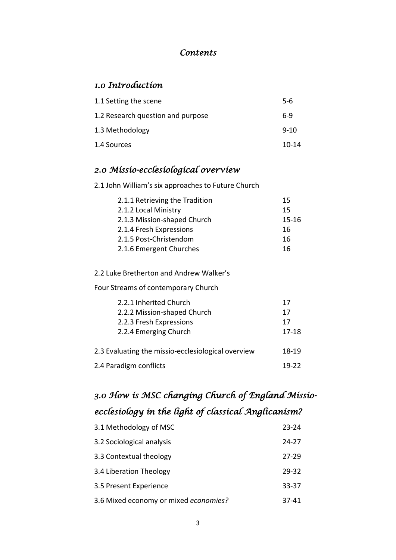# *Contents*

# *1.0 Introduction*

| 1.1 Setting the scene             | $5-6$     |
|-----------------------------------|-----------|
| 1.2 Research question and purpose | 6-9       |
| 1.3 Methodology                   | $9 - 10$  |
| 1.4 Sources                       | $10 - 14$ |

# *2.0 Missio-ecclesiological overview*

2.1 John William's six approaches to Future Church

| 2.1.1 Retrieving the Tradition | 15    |
|--------------------------------|-------|
| 2.1.2 Local Ministry           | 15    |
| 2.1.3 Mission-shaped Church    | 15-16 |
| 2.1.4 Fresh Expressions        | 16    |
| 2.1.5 Post-Christendom         | 16    |
| 2.1.6 Emergent Churches        | 16    |

2.2 Luke Bretherton and Andrew Walker's

Four Streams of contemporary Church

| 2.2.1 Inherited Church                             | 17    |
|----------------------------------------------------|-------|
| 2.2.2 Mission-shaped Church                        | 17    |
| 2.2.3 Fresh Expressions                            | 17    |
| 2.2.4 Emerging Church                              | 17-18 |
| 2.3 Evaluating the missio-ecclesiological overview | 18-19 |
| 2.4 Paradigm conflicts                             | 19-22 |

# *3.0 How is MSC changing Church of England Missioecclesiology in the light of classical Anglicanism?*

| 3.1 Methodology of MSC                | 23-24     |
|---------------------------------------|-----------|
| 3.2 Sociological analysis             | 24-27     |
| 3.3 Contextual theology               | 27-29     |
| 3.4 Liberation Theology               | $29 - 32$ |
| 3.5 Present Experience                | $33 - 37$ |
| 3.6 Mixed economy or mixed economies? | 37-41     |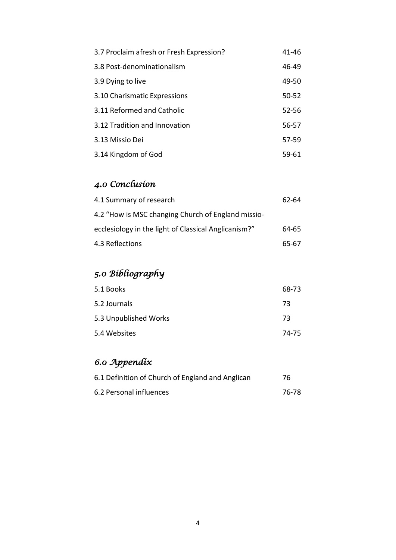| 3.7 Proclaim afresh or Fresh Expression? | 41-46     |
|------------------------------------------|-----------|
| 3.8 Post-denominationalism               | 46-49     |
| 3.9 Dying to live                        | 49-50     |
| 3.10 Charismatic Expressions             | $50 - 52$ |
| 3.11 Reformed and Catholic               | $52 - 56$ |
| 3.12 Tradition and Innovation            | 56-57     |
| 3.13 Missio Dei                          | 57-59     |
| 3.14 Kingdom of God                      | 59-61     |

# *4.0 Conclusion*

| 4.1 Summary of research                              | 62-64 |
|------------------------------------------------------|-------|
| 4.2 "How is MSC changing Church of England missio-   |       |
| ecclesiology in the light of Classical Anglicanism?" | 64-65 |
| 4.3 Reflections                                      | 65-67 |

# *5.0 Bibliography*

| 5.1 Books             | 68-73 |
|-----------------------|-------|
| 5.2 Journals          | 73    |
| 5.3 Unpublished Works | 73    |
| 5.4 Websites          | 74-75 |

# *6.0 Appendix*

| 6.1 Definition of Church of England and Anglican | 76    |
|--------------------------------------------------|-------|
| 6.2 Personal influences                          | 76-78 |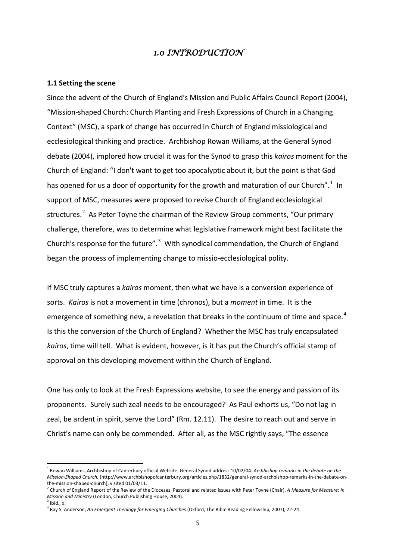# *1.0 INTRODUCTION*

#### **1.1 Setting the scene**

Since the advent of the Church of England's Mission and Public Affairs Council Report (2004), "Mission-shaped Church: Church Planting and Fresh Expressions of Church in a Changing Context" (MSC), a spark of change has occurred in Church of England missiological and ecclesiological thinking and practice. Archbishop Rowan Williams, at the General Synod debate (2004), implored how crucial it was for the Synod to grasp this *kairos* moment for the Church of England: "I don't want to get too apocalyptic about it, but the point is that God has opened for us a door of opportunity for the growth and maturation of our Church".<sup>[1](#page-4-0)</sup> In support of MSC, measures were proposed to revise Church of England ecclesiological structures.<sup>[2](#page-4-1)</sup> As Peter Toyne the chairman of the Review Group comments, "Our primary challenge, therefore, was to determine what legislative framework might best facilitate the Church's response for the future". $3$  With synodical commendation, the Church of England began the process of implementing change to missio-ecclesiological polity.

If MSC truly captures a *kairos* moment, then what we have is a conversion experience of sorts. *Kairos* is not a movement in time (chronos), but a *moment* in time. It is the emergence of something new, a revelation that breaks in the continuum of time and space.<sup>[4](#page-4-3)</sup> Is this the conversion of the Church of England? Whether the MSC has truly encapsulated *kairos*, time will tell. What is evident, however, is it has put the Church's official stamp of approval on this developing movement within the Church of England.

One has only to look at the Fresh Expressions website, to see the energy and passion of its proponents. Surely such zeal needs to be encouraged? As Paul exhorts us, "Do not lag in zeal, be ardent in spirit, serve the Lord" (Rm. 12.11). The desire to reach out and serve in Christ's name can only be commended. After all, as the MSC rightly says, "The essence

<span id="page-4-0"></span><sup>1</sup> Rowan Williams, Archbishop of Canterbury official Website, General Synod address 10/02/04: *Archbishop remarks in the debate on the Mission-Shaped Church,* (http://www.archbishopofcanterbury.org/articles.php/1832/general-synod-archbishop-remarks-in-the-debate-onthe-mission-shaped-church), visited 01/03/11.

<span id="page-4-1"></span><sup>2</sup> Church of England Report of the Review of the Dioceses, Pastoral and related issues with Peter Toyne (Chair), *A Measure for Measure: In Mission and Ministry* (London, Church Publishing House, 2004).<br><sup>3</sup> Ibid., x.

<span id="page-4-3"></span><span id="page-4-2"></span><sup>4</sup> Ray S. Anderson, *An Emergent Theology for Emerging Churches* (Oxford, The Bible Reading Fellowship, 2007), 22-24.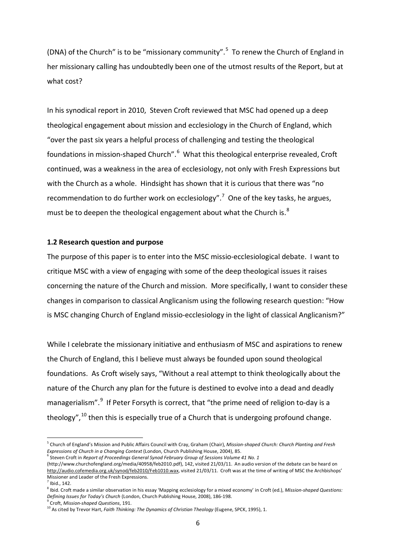(DNA) of the Church" is to be "missionary community". $5$  To renew the Church of England in her missionary calling has undoubtedly been one of the utmost results of the Report, but at what cost?

In his synodical report in 2010, Steven Croft reviewed that MSC had opened up a deep theological engagement about mission and ecclesiology in the Church of England, which "over the past six years a helpful process of challenging and testing the theological foundations in mission-shaped Church".<sup>[6](#page-5-1)</sup> What this theological enterprise revealed, Croft continued, was a weakness in the area of ecclesiology, not only with Fresh Expressions but with the Church as a whole. Hindsight has shown that it is curious that there was "no recommendation to do further work on ecclesiology".<sup>[7](#page-5-2)</sup> One of the key tasks, he argues, must be to deepen the theological engagement about what the Church is. $8$ 

#### **1.2 Research question and purpose**

The purpose of this paper is to enter into the MSC missio-ecclesiological debate. I want to critique MSC with a view of engaging with some of the deep theological issues it raises concerning the nature of the Church and mission. More specifically, I want to consider these changes in comparison to classical Anglicanism using the following research question: "How is MSC changing Church of England missio-ecclesiology in the light of classical Anglicanism?"

While I celebrate the missionary initiative and enthusiasm of MSC and aspirations to renew the Church of England, this I believe must always be founded upon sound theological foundations. As Croft wisely says, "Without a real attempt to think theologically about the nature of the Church any plan for the future is destined to evolve into a dead and deadly managerialism".<sup>[9](#page-5-4)</sup> If Peter Forsyth is correct, that "the prime need of religion to-day is a theology",  $^{10}$  $^{10}$  $^{10}$  then this is especially true of a Church that is undergoing profound change.

<span id="page-5-1"></span><sup>6</sup> Steven Croft in *Report of Proceedings General Synod February Group of Sessions Volume 41 No. 1*

<span id="page-5-0"></span><sup>5</sup> Church of England's Mission and Public Affairs Council with Cray, Graham (Chair), *Mission-shaped Church: Church Planting and Fresh Expressions of Church in a Changing Context* (London, Church Publishing House, 2004), 85.

<sup>(</sup>http://www.churchofengland.org/media/40958/feb2010.pdf), 142, visited 21/03/11. An audio version of the debate can be heard on [http://audio.cofemedia.org.uk/synod/feb2010/Feb1010.wax,](http://audio.cofemedia.org.uk/synod/feb2010/Feb1010.wax) visited 21/03/11. Croft was at the time of writing of MSC the Archbishops' Missioner and Leader of the Fresh Expressions.

 $<sup>7</sup>$  Ibid., 142.</sup>

<span id="page-5-3"></span><span id="page-5-2"></span><sup>8</sup> Ibid. Croft made a similar observation in his essay 'Mapping ecclesiology for a mixed economy' in Croft (ed.), *Mission-shaped Questions: Defining Issues for Today's Church* (London, Church Publishing House, 2008), 186-198.<br><sup>9</sup> Croft, *Mission-shaped Questions*, 191.

<span id="page-5-5"></span><span id="page-5-4"></span><sup>10</sup> As cited by Trevor Hart, *Faith Thinking: The Dynamics of Christian Theology* (Eugene, SPCK, 1995), 1.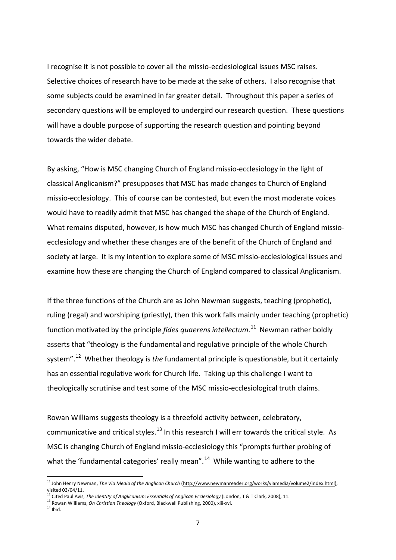I recognise it is not possible to cover all the missio-ecclesiological issues MSC raises. Selective choices of research have to be made at the sake of others. I also recognise that some subjects could be examined in far greater detail. Throughout this paper a series of secondary questions will be employed to undergird our research question. These questions will have a double purpose of supporting the research question and pointing beyond towards the wider debate.

By asking, "How is MSC changing Church of England missio-ecclesiology in the light of classical Anglicanism?" presupposes that MSC has made changes to Church of England missio-ecclesiology. This of course can be contested, but even the most moderate voices would have to readily admit that MSC has changed the shape of the Church of England. What remains disputed, however, is how much MSC has changed Church of England missioecclesiology and whether these changes are of the benefit of the Church of England and society at large. It is my intention to explore some of MSC missio-ecclesiological issues and examine how these are changing the Church of England compared to classical Anglicanism.

If the three functions of the Church are as John Newman suggests, teaching (prophetic), ruling (regal) and worshiping (priestly), then this work falls mainly under teaching (prophetic) function motivated by the principle *fides quaerens intellectum*. [11](#page-6-0) Newman rather boldly asserts that "theology is the fundamental and regulative principle of the whole Church system".[12](#page-6-1) Whether theology is *the* fundamental principle is questionable, but it certainly has an essential regulative work for Church life. Taking up this challenge I want to theologically scrutinise and test some of the MSC missio-ecclesiological truth claims.

Rowan Williams suggests theology is a threefold activity between, celebratory, communicative and critical styles.<sup>[13](#page-6-2)</sup> In this research I will err towards the critical style. As MSC is changing Church of England missio-ecclesiology this "prompts further probing of what the 'fundamental categories' really mean". $14$  While wanting to adhere to the

<span id="page-6-0"></span><sup>&</sup>lt;sup>11</sup> John Henry Newman, *The Via Media of the Anglican Church* ([http://www.newmanreader.org/works/viamedia/volume2/index.html\),](http://www.newmanreader.org/works/viamedia/volume2/index.html) visited 03/04/11.

<span id="page-6-1"></span><sup>12</sup> Cited Paul Avis, *The Identity of Anglicanism: Essentials of Anglican Ecclesiology* (London, T & T Clark, 2008), 11.<br><sup>13</sup> Rowan Williams, *On Christian Theology* (Oxford, Blackwell Publishing, 2000), xiii-xvi.

<span id="page-6-3"></span><span id="page-6-2"></span> $14$  Ibid.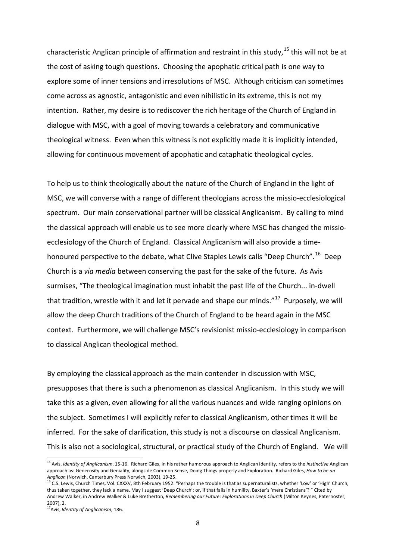characteristic Anglican principle of affirmation and restraint in this study,  $^{15}$  $^{15}$  $^{15}$  this will not be at the cost of asking tough questions. Choosing the apophatic critical path is one way to explore some of inner tensions and irresolutions of MSC. Although criticism can sometimes come across as agnostic, antagonistic and even nihilistic in its extreme, this is not my intention. Rather, my desire is to rediscover the rich heritage of the Church of England in dialogue with MSC, with a goal of moving towards a celebratory and communicative theological witness. Even when this witness is not explicitly made it is implicitly intended, allowing for continuous movement of apophatic and cataphatic theological cycles.

To help us to think theologically about the nature of the Church of England in the light of MSC, we will converse with a range of different theologians across the missio-ecclesiological spectrum. Our main conservational partner will be classical Anglicanism. By calling to mind the classical approach will enable us to see more clearly where MSC has changed the missioecclesiology of the Church of England. Classical Anglicanism will also provide a time-honoured perspective to the debate, what Clive Staples Lewis calls "Deep Church". <sup>[16](#page-7-1)</sup> Deep Church is a *via media* between conserving the past for the sake of the future. As Avis surmises, "The theological imagination must inhabit the past life of the Church... in-dwell that tradition, wrestle with it and let it pervade and shape our minds."<sup>17</sup> Purposelv, we will allow the deep Church traditions of the Church of England to be heard again in the MSC context. Furthermore, we will challenge MSC's revisionist missio-ecclesiology in comparison to classical Anglican theological method.

By employing the classical approach as the main contender in discussion with MSC, presupposes that there is such a phenomenon as classical Anglicanism. In this study we will take this as a given, even allowing for all the various nuances and wide ranging opinions on the subject. Sometimes I will explicitly refer to classical Anglicanism, other times it will be inferred. For the sake of clarification, this study is not a discourse on classical Anglicanism. This is also not a sociological, structural, or practical study of the Church of England. We will

<span id="page-7-0"></span><sup>15</sup> Avis, *Identity of Anglicanism*, 15-16. Richard Giles, in his rather humorous approach to Anglican identity, refers to the *instinctive* Anglican approach as: Generosity and Geniality, alongside Common Sense, Doing Things properly and Exploration. Richard Giles, *How to be an* 

<span id="page-7-1"></span>*Anglican* (Norwich, Canterbury Press Norwich, 2003), 19-25.<br><sup>16</sup> C.S. Lewis, Church Times, Vol. CXXXV, 8th February 1952: "Perhaps the trouble is that as supernaturalists, whether 'Low' or 'High' Church, thus taken together, they lack a name. May I suggest 'Deep Church'; or, if that fails in humility, Baxter's 'mere Christians'? " Cited by Andrew Walker, in Andrew Walker & Luke Bretherton, *Remembering our Future: Explorations in Deep Church* (Milton Keynes, Paternoster, 2007), 2.

<span id="page-7-2"></span><sup>17</sup>Avis, *Identity of Anglicanism*, 186.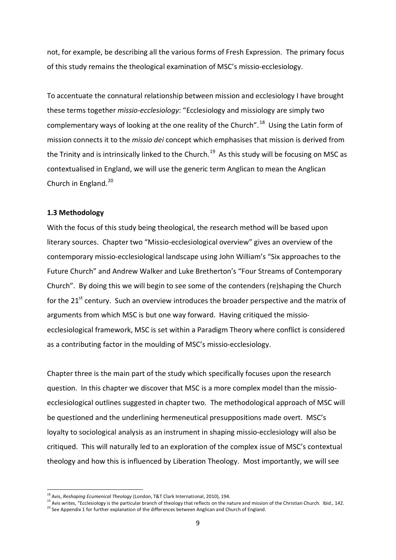not, for example, be describing all the various forms of Fresh Expression. The primary focus of this study remains the theological examination of MSC's missio-ecclesiology.

To accentuate the connatural relationship between mission and ecclesiology I have brought these terms together *missio-ecclesiology*: "Ecclesiology and missiology are simply two complementary ways of looking at the one reality of the Church".<sup>[18](#page-8-0)</sup> Using the Latin form of mission connects it to the *missio dei* concept which emphasises that mission is derived from the Trinity and is intrinsically linked to the Church.<sup>19</sup> As this study will be focusing on MSC as contextualised in England, we will use the generic term Anglican to mean the Anglican Church in England.<sup>[20](#page-8-2)</sup>

### **1.3 Methodology**

With the focus of this study being theological, the research method will be based upon literary sources. Chapter two "Missio-ecclesiological overview" gives an overview of the contemporary missio-ecclesiological landscape using John William's "Six approaches to the Future Church" and Andrew Walker and Luke Bretherton's "Four Streams of Contemporary Church". By doing this we will begin to see some of the contenders (re)shaping the Church for the  $21^{st}$  century. Such an overview introduces the broader perspective and the matrix of arguments from which MSC is but one way forward. Having critiqued the missioecclesiological framework, MSC is set within a Paradigm Theory where conflict is considered as a contributing factor in the moulding of MSC's missio-ecclesiology.

Chapter three is the main part of the study which specifically focuses upon the research question. In this chapter we discover that MSC is a more complex model than the missioecclesiological outlines suggested in chapter two. The methodological approach of MSC will be questioned and the underlining hermeneutical presuppositions made overt. MSC's loyalty to sociological analysis as an instrument in shaping missio-ecclesiology will also be critiqued. This will naturally led to an exploration of the complex issue of MSC's contextual theology and how this is influenced by Liberation Theology. Most importantly, we will see

<span id="page-8-2"></span><span id="page-8-1"></span><span id="page-8-0"></span><sup>&</sup>lt;sup>18</sup> Avis, Reshaping Ecumenical Theology (London, T&T Clark International, 2010), 194.<br><sup>19</sup> Avis writes, "Ecclesiology is the particular branch of theology that reflects on the nature and mission of the Christian Church. I <sup>20</sup> See Appendix 1 for further explanation of the differences between Anglican and Church of England.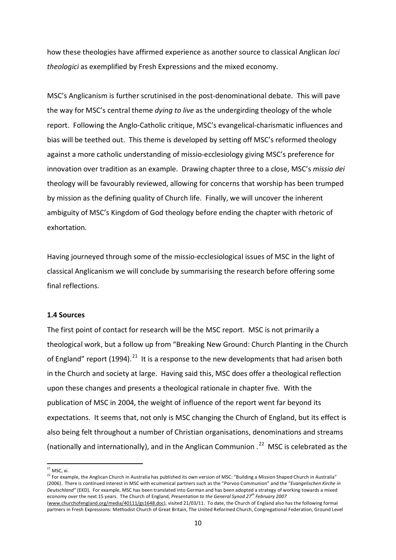how these theologies have affirmed experience as another source to classical Anglican *loci theologici* as exemplified by Fresh Expressions and the mixed economy.

MSC's Anglicanism is further scrutinised in the post-denominational debate. This will pave the way for MSC's central theme *dying to live* as the undergirding theology of the whole report. Following the Anglo-Catholic critique, MSC's evangelical-charismatic influences and bias will be teethed out. This theme is developed by setting off MSC's reformed theology against a more catholic understanding of missio-ecclesiology giving MSC's preference for innovation over tradition as an example. Drawing chapter three to a close, MSC's *missio dei* theology will be favourably reviewed, allowing for concerns that worship has been trumped by mission as the defining quality of Church life. Finally, we will uncover the inherent ambiguity of MSC's Kingdom of God theology before ending the chapter with rhetoric of exhortation.

Having journeyed through some of the missio-ecclesiological issues of MSC in the light of classical Anglicanism we will conclude by summarising the research before offering some final reflections.

#### **1.4 Sources**

The first point of contact for research will be the MSC report. MSC is not primarily a theological work, but a follow up from "Breaking New Ground: Church Planting in the Church of England" report (1994).<sup>[21](#page-9-0)</sup> It is a response to the new developments that had arisen both in the Church and society at large. Having said this, MSC does offer a theological reflection upon these changes and presents a theological rationale in chapter five. With the publication of MSC in 2004, the weight of influence of the report went far beyond its expectations. It seems that, not only is MSC changing the Church of England, but its effect is also being felt throughout a number of Christian organisations, denominations and streams (nationally and internationally), and in the Anglican Communion  $.^{22}$  $.^{22}$  $.^{22}$  MSC is celebrated as the

 $21$  MSC, xi.

<span id="page-9-1"></span><span id="page-9-0"></span><sup>&</sup>lt;sup>22</sup> For example, the Anglican Church in Australia has published its own version of MSC: "Building a Mission Shaped Church in Australia" (2006). There is continued interest in MSC with ecumenical partners such as the "Porvoo Communion" and the "*Evangelischen Kirche in Deutschland"* (EKD). For example, MSC has been translated into German and has been adopted a strategy of working towards a mixed economy over the next 15 years. The Church of England, *Presentation to the General Synod 27th February 2007* [\(www.churchofengland.org/media/40111/gs1648.doc\),](http://www.churchofengland.org/media/40111/gs1648.doc) visited 21/03/11. To date, the Church of England also has the following formal

partners in Fresh Expressions: Methodist Church of Great Britain, The United Reformed Church, Congregational Federation, Ground Level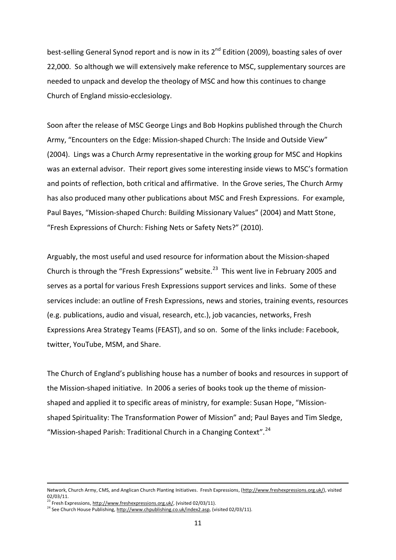best-selling General Synod report and is now in its 2<sup>nd</sup> Edition (2009), boasting sales of over 22,000. So although we will extensively make reference to MSC, supplementary sources are needed to unpack and develop the theology of MSC and how this continues to change Church of England missio-ecclesiology.

Soon after the release of MSC George Lings and Bob Hopkins published through the Church Army, "Encounters on the Edge: Mission-shaped Church: The Inside and Outside View" (2004). Lings was a Church Army representative in the working group for MSC and Hopkins was an external advisor. Their report gives some interesting inside views to MSC's formation and points of reflection, both critical and affirmative. In the Grove series, The Church Army has also produced many other publications about MSC and Fresh Expressions. For example, Paul Bayes, "Mission-shaped Church: Building Missionary Values" (2004) and Matt Stone, "Fresh Expressions of Church: Fishing Nets or Safety Nets?" (2010).

Arguably, the most useful and used resource for information about the Mission-shaped Church is through the "Fresh Expressions" website. $^{23}$  $^{23}$  $^{23}$  This went live in February 2005 and serves as a portal for various Fresh Expressions support services and links. Some of these services include: an outline of Fresh Expressions, news and stories, training events, resources (e.g. publications, audio and visual, research, etc.), job vacancies, networks, Fresh Expressions Area Strategy Teams (FEAST), and so on. Some of the links include: Facebook, twitter, YouTube, MSM, and Share.

The Church of England's publishing house has a number of books and resources in support of the Mission-shaped initiative. In 2006 a series of books took up the theme of missionshaped and applied it to specific areas of ministry, for example: Susan Hope, "Missionshaped Spirituality: The Transformation Power of Mission" and; Paul Bayes and Tim Sledge, "Mission-shaped Parish: Traditional Church in a Changing Context".<sup>[24](#page-10-1)</sup>

Network, Church Army, CMS, and Anglican Church Planting Initiatives. Fresh Expressions, [\(http://www.freshexpressions.org.uk/\),](http://www.freshexpressions.org.uk/) visited 02/03/11.

<sup>&</sup>lt;sup>23</sup> Fresh Expressions[, http://www.freshexpressions.org.uk/,](http://www.freshexpressions.org.uk/) (visited 02/03/11).

<span id="page-10-1"></span><span id="page-10-0"></span><sup>&</sup>lt;sup>24</sup> See Church House Publishing[, http://www.chpublishing.co.uk/index2.asp,](http://www.chpublishing.co.uk/index2.asp) (visited 02/03/11).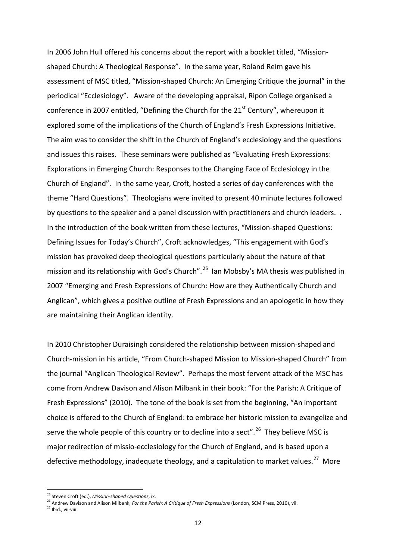In 2006 John Hull offered his concerns about the report with a booklet titled, "Missionshaped Church: A Theological Response". In the same year, Roland Reim gave his assessment of MSC titled, "Mission-shaped Church: An Emerging Critique the journal" in the periodical "Ecclesiology". Aware of the developing appraisal, Ripon College organised a conference in 2007 entitled, "Defining the Church for the  $21<sup>st</sup>$  Century", whereupon it explored some of the implications of the Church of England's Fresh Expressions Initiative. The aim was to consider the shift in the Church of England's ecclesiology and the questions and issues this raises. These seminars were published as "Evaluating Fresh Expressions: Explorations in Emerging Church: Responses to the Changing Face of Ecclesiology in the Church of England". In the same year, Croft, hosted a series of day conferences with the theme "Hard Questions". Theologians were invited to present 40 minute lectures followed by questions to the speaker and a panel discussion with practitioners and church leaders. . In the introduction of the book written from these lectures, "Mission-shaped Questions: Defining Issues for Today's Church", Croft acknowledges, "This engagement with God's mission has provoked deep theological questions particularly about the nature of that mission and its relationship with God's Church".<sup>25</sup> Ian Mobsby's MA thesis was published in 2007 "Emerging and Fresh Expressions of Church: How are they Authentically Church and Anglican", which gives a positive outline of Fresh Expressions and an apologetic in how they are maintaining their Anglican identity.

In 2010 Christopher Duraisingh considered the relationship between mission-shaped and Church-mission in his article, "From Church-shaped Mission to Mission-shaped Church" from the journal "Anglican Theological Review". Perhaps the most fervent attack of the MSC has come from Andrew Davison and Alison Milbank in their book: "For the Parish: A Critique of Fresh Expressions" (2010). The tone of the book is set from the beginning, "An important choice is offered to the Church of England: to embrace her historic mission to evangelize and serve the whole people of this country or to decline into a sect".<sup>[26](#page-11-1)</sup> They believe MSC is major redirection of missio-ecclesiology for the Church of England, and is based upon a defective methodology, inadequate theology, and a capitulation to market values.<sup>[27](#page-11-2)</sup> More

<span id="page-11-0"></span><sup>25</sup> Steven Croft (ed.), *Mission-shaped Questions*, ix.

<sup>26</sup> Andrew Davison and Alison Milbank, *For the Parish: A Critique of Fresh Expressions* (London, SCM Press, 2010), vii.

<span id="page-11-2"></span><span id="page-11-1"></span> $27$  Ibid., vii-viii.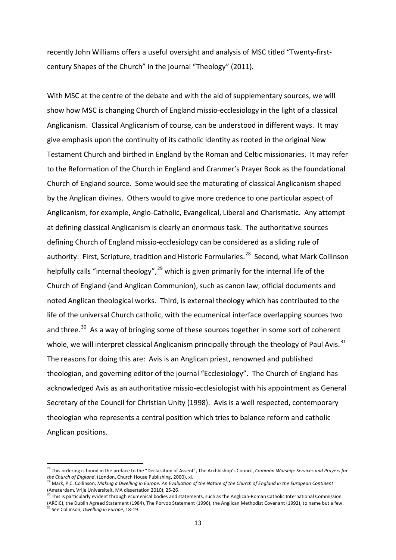recently John Williams offers a useful oversight and analysis of MSC titled "Twenty-firstcentury Shapes of the Church" in the journal "Theology" (2011).

With MSC at the centre of the debate and with the aid of supplementary sources, we will show how MSC is changing Church of England missio-ecclesiology in the light of a classical Anglicanism. Classical Anglicanism of course, can be understood in different ways. It may give emphasis upon the continuity of its catholic identity as rooted in the original New Testament Church and birthed in England by the Roman and Celtic missionaries. It may refer to the Reformation of the Church in England and Cranmer's Prayer Book as the foundational Church of England source. Some would see the maturating of classical Anglicanism shaped by the Anglican divines. Others would to give more credence to one particular aspect of Anglicanism, for example, Anglo-Catholic, Evangelical, Liberal and Charismatic. Any attempt at defining classical Anglicanism is clearly an enormous task. The authoritative sources defining Church of England missio-ecclesiology can be considered as a sliding rule of authority: First, Scripture, tradition and Historic Formularies.<sup>[28](#page-12-0)</sup> Second, what Mark Collinson helpfully calls "internal theology",<sup>[29](#page-12-1)</sup> which is given primarily for the internal life of the Church of England (and Anglican Communion), such as canon law, official documents and noted Anglican theological works. Third, is external theology which has contributed to the life of the universal Church catholic, with the ecumenical interface overlapping sources two and three. $30$  As a way of bringing some of these sources together in some sort of coherent whole, we will interpret classical Anglicanism principally through the theology of Paul Avis.<sup>[31](#page-12-3)</sup> The reasons for doing this are: Avis is an Anglican priest, renowned and published theologian, and governing editor of the journal "Ecclesiology". The Church of England has acknowledged Avis as an authoritative missio-ecclesiologist with his appointment as General Secretary of the Council for Christian Unity (1998). Avis is a well respected, contemporary theologian who represents a central position which tries to balance reform and catholic Anglican positions.

 $\overline{a}$ 

<span id="page-12-2"></span> $30$  This is particularly evident through ecumenical bodies and statements, such as the Anglican-Roman Catholic International Commission

<span id="page-12-0"></span><sup>&</sup>lt;sup>28</sup> This ordering is found in the preface to the "Declaration of Assent", The Archbishop's Council, *Common Worship: Services and Prayers for*<br>*the Church of England*, (London, Church House Publishing, 2000), xi.

<span id="page-12-1"></span><sup>&</sup>lt;sup>29</sup> Mark, P.C. Collinson, Making a Dwelling in Europe: An Evaluation of the Nature of the Church of England in the European Continent (Amsterdam, Vrije Universiteit, MA dissertation 2010), 25-26.

<span id="page-12-3"></span><sup>(</sup>ARCIC), the Dublin Agreed Statement (1984), The Porvoo Statement (1996), the Anglican Methodist Covenant (1992), to name but a few. <sup>31</sup> See Collinson, *Dwelling in Europe,* 18-19.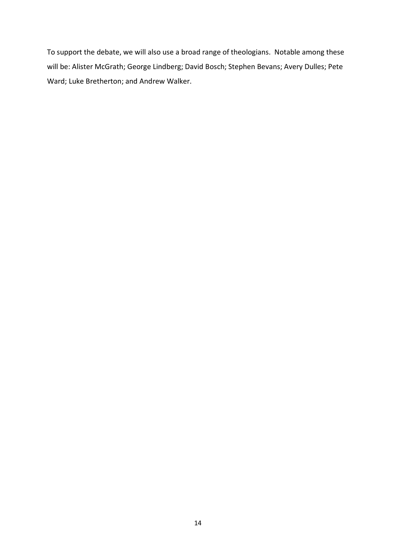To support the debate, we will also use a broad range of theologians. Notable among these will be: Alister McGrath; George Lindberg; David Bosch; Stephen Bevans; Avery Dulles; Pete Ward; Luke Bretherton; and Andrew Walker.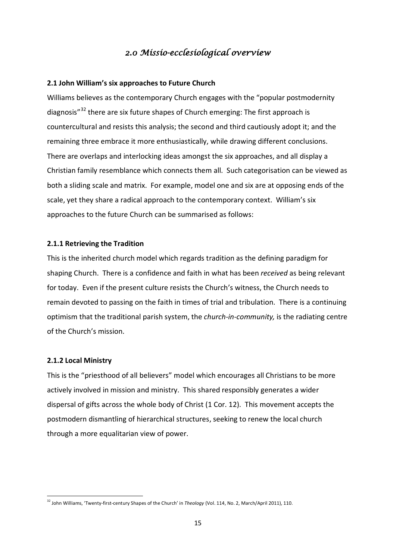# *2.0 Missio-ecclesiological overview*

## **2.1 John William's six approaches to Future Church**

Williams believes as the contemporary Church engages with the "popular postmodernity diagnosis"[32](#page-14-0) there are six future shapes of Church emerging: The first approach is countercultural and resists this analysis; the second and third cautiously adopt it; and the remaining three embrace it more enthusiastically, while drawing different conclusions. There are overlaps and interlocking ideas amongst the six approaches, and all display a Christian family resemblance which connects them all. Such categorisation can be viewed as both a sliding scale and matrix. For example, model one and six are at opposing ends of the scale, yet they share a radical approach to the contemporary context. William's six approaches to the future Church can be summarised as follows:

## **2.1.1 Retrieving the Tradition**

This is the inherited church model which regards tradition as the defining paradigm for shaping Church. There is a confidence and faith in what has been *received* as being relevant for today. Even if the present culture resists the Church's witness, the Church needs to remain devoted to passing on the faith in times of trial and tribulation. There is a continuing optimism that the traditional parish system, the *church-in-community,* is the radiating centre of the Church's mission.

# **2.1.2 Local Ministry**

 $\overline{a}$ 

This is the "priesthood of all believers" model which encourages all Christians to be more actively involved in mission and ministry. This shared responsibly generates a wider dispersal of gifts across the whole body of Christ (1 Cor. 12). This movement accepts the postmodern dismantling of hierarchical structures, seeking to renew the local church through a more equalitarian view of power.

<span id="page-14-0"></span><sup>32</sup> John Williams, 'Twenty-first-century Shapes of the Church' in *Theology* (Vol. 114, No. 2, March/April 2011), 110.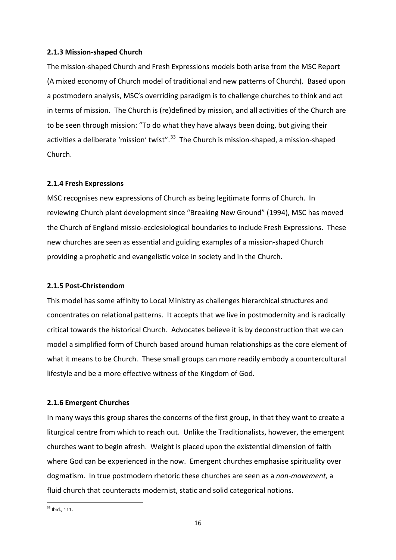## **2.1.3 Mission-shaped Church**

The mission-shaped Church and Fresh Expressions models both arise from the MSC Report (A mixed economy of Church model of traditional and new patterns of Church). Based upon a postmodern analysis, MSC's overriding paradigm is to challenge churches to think and act in terms of mission. The Church is (re)defined by mission, and all activities of the Church are to be seen through mission: "To do what they have always been doing, but giving their activities a deliberate 'mission' twist".<sup>[33](#page-15-0)</sup> The Church is mission-shaped, a mission-shaped Church.

### **2.1.4 Fresh Expressions**

MSC recognises new expressions of Church as being legitimate forms of Church. In reviewing Church plant development since "Breaking New Ground" (1994), MSC has moved the Church of England missio-ecclesiological boundaries to include Fresh Expressions. These new churches are seen as essential and guiding examples of a mission-shaped Church providing a prophetic and evangelistic voice in society and in the Church.

## **2.1.5 Post-Christendom**

This model has some affinity to Local Ministry as challenges hierarchical structures and concentrates on relational patterns. It accepts that we live in postmodernity and is radically critical towards the historical Church. Advocates believe it is by deconstruction that we can model a simplified form of Church based around human relationships as the core element of what it means to be Church. These small groups can more readily embody a countercultural lifestyle and be a more effective witness of the Kingdom of God.

## **2.1.6 Emergent Churches**

In many ways this group shares the concerns of the first group, in that they want to create a liturgical centre from which to reach out. Unlike the Traditionalists, however, the emergent churches want to begin afresh. Weight is placed upon the existential dimension of faith where God can be experienced in the now. Emergent churches emphasise spirituality over dogmatism. In true postmodern rhetoric these churches are seen as a *non-movement,* a fluid church that counteracts modernist, static and solid categorical notions.

<span id="page-15-0"></span> $33$  Ibid., 111.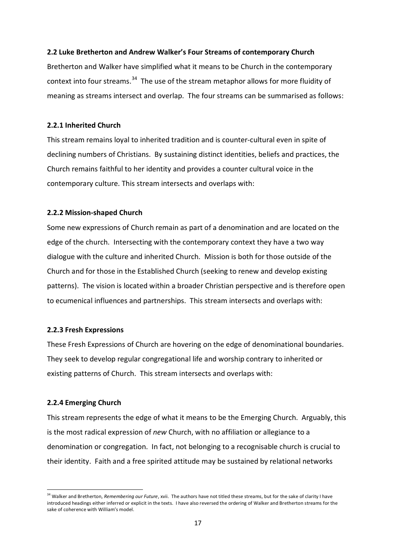## **2.2 Luke Bretherton and Andrew Walker's Four Streams of contemporary Church**

Bretherton and Walker have simplified what it means to be Church in the contemporary context into four streams.<sup>[34](#page-16-0)</sup> The use of the stream metaphor allows for more fluidity of meaning as streams intersect and overlap. The four streams can be summarised as follows:

#### **2.2.1 Inherited Church**

This stream remains loyal to inherited tradition and is counter-cultural even in spite of declining numbers of Christians. By sustaining distinct identities, beliefs and practices, the Church remains faithful to her identity and provides a counter cultural voice in the contemporary culture. This stream intersects and overlaps with:

### **2.2.2 Mission-shaped Church**

Some new expressions of Church remain as part of a denomination and are located on the edge of the church. Intersecting with the contemporary context they have a two way dialogue with the culture and inherited Church. Mission is both for those outside of the Church and for those in the Established Church (seeking to renew and develop existing patterns). The vision is located within a broader Christian perspective and is therefore open to ecumenical influences and partnerships. This stream intersects and overlaps with:

## **2.2.3 Fresh Expressions**

These Fresh Expressions of Church are hovering on the edge of denominational boundaries. They seek to develop regular congregational life and worship contrary to inherited or existing patterns of Church. This stream intersects and overlaps with:

## **2.2.4 Emerging Church**

This stream represents the edge of what it means to be the Emerging Church. Arguably, this is the most radical expression of *new* Church, with no affiliation or allegiance to a denomination or congregation. In fact, not belonging to a recognisable church is crucial to their identity. Faith and a free spirited attitude may be sustained by relational networks

<span id="page-16-0"></span><sup>34</sup> Walker and Bretherton, *Remembering our Future*, xvii. The authors have not titled these streams, but for the sake of clarity I have introduced headings either inferred or explicit in the texts. I have also reversed the ordering of Walker and Bretherton streams for the sake of coherence with William's model.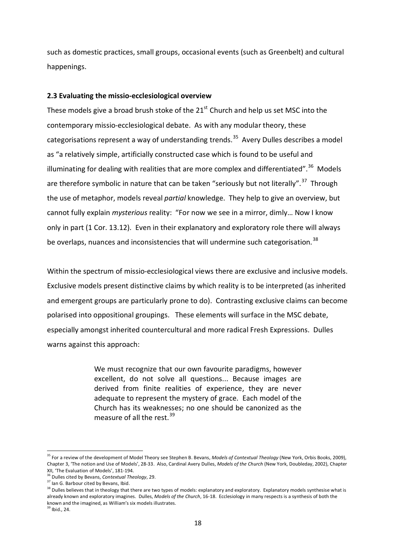such as domestic practices, small groups, occasional events (such as Greenbelt) and cultural happenings.

#### **2.3 Evaluating the missio-ecclesiological overview**

These models give a broad brush stoke of the  $21<sup>st</sup>$  Church and help us set MSC into the contemporary missio-ecclesiological debate. As with any modular theory, these categorisations represent a way of understanding trends.<sup>35</sup> Avery Dulles describes a model as "a relatively simple, artificially constructed case which is found to be useful and illuminating for dealing with realities that are more complex and differentiated".<sup>36</sup> Models are therefore symbolic in nature that can be taken "seriously but not literally".<sup>37</sup> Through the use of metaphor, models reveal *partial* knowledge. They help to give an overview, but cannot fully explain *mysterious* reality: "For now we see in a mirror, dimly… Now I know only in part (1 Cor. 13.12). Even in their explanatory and exploratory role there will always be overlaps, nuances and inconsistencies that will undermine such categorisation.<sup>38</sup>

Within the spectrum of missio-ecclesiological views there are exclusive and inclusive models. Exclusive models present distinctive claims by which reality is to be interpreted (as inherited and emergent groups are particularly prone to do). Contrasting exclusive claims can become polarised into oppositional groupings. These elements will surface in the MSC debate, especially amongst inherited countercultural and more radical Fresh Expressions. Dulles warns against this approach:

> We must recognize that our own favourite paradigms, however excellent, do not solve all questions... Because images are derived from finite realities of experience, they are never adequate to represent the mystery of grace. Each model of the Church has its weaknesses; no one should be canonized as the measure of all the rest.<sup>[39](#page-17-4)</sup>

<span id="page-17-0"></span><sup>35</sup> For a review of the development of Model Theory see Stephen B. Bevans, *Models of Contextual Theology* (New York, Orbis Books, 2009), Chapter 3, 'The notion and Use of Models', 28-33. Also, Cardinal Avery Dulles, *Models of the Church* (New York, Doubleday, 2002), Chapter

XII, 'The Evaluation of Models', 181-194.<br> $36$  Dulles cited by Bevans, Contextual Theology, 29.

<span id="page-17-3"></span><span id="page-17-2"></span><span id="page-17-1"></span>and the second of the second of the second of the second of the second of the second of the second of the secon<br>and in G. Barbour cited by Bevans, Ibid.<br><sup>38</sup> Dulles believes that in theology that there are two types of mod already known and exploratory imagines. Dulles, *Models of the Church*, 16-18. Ecclesiology in many respects is a synthesis of both the known and the imagined, as William's six models illustrates.

<span id="page-17-4"></span> $39$  Ibid., 24.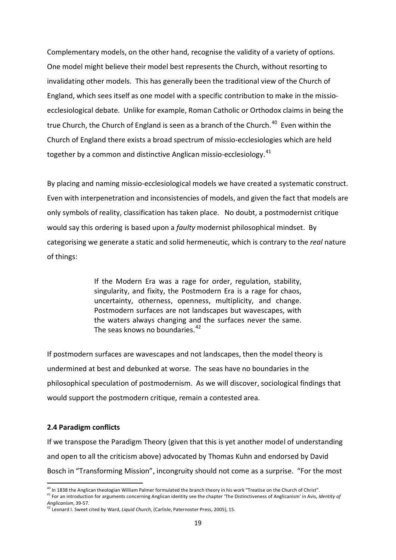Complementary models, on the other hand, recognise the validity of a variety of options. One model might believe their model best represents the Church, without resorting to invalidating other models. This has generally been the traditional view of the Church of England, which sees itself as one model with a specific contribution to make in the missioecclesiological debate. Unlike for example, Roman Catholic or Orthodox claims in being the true Church, the Church of England is seen as a branch of the Church. $40$  Even within the Church of England there exists a broad spectrum of missio-ecclesiologies which are held together by a common and distinctive Anglican missio-ecclesiology.<sup>41</sup>

By placing and naming missio-ecclesiological models we have created a systematic construct. Even with interpenetration and inconsistencies of models, and given the fact that models are only symbols of reality, classification has taken place. No doubt, a postmodernist critique would say this ordering is based upon a *faulty* modernist philosophical mindset. By categorising we generate a static and solid hermeneutic, which is contrary to the *real* nature of things:

> If the Modern Era was a rage for order, regulation, stability, singularity, and fixity, the Postmodern Era is a rage for chaos, uncertainty, otherness, openness, multiplicity, and change. Postmodern surfaces are not landscapes but wavescapes, with the waters always changing and the surfaces never the same. The seas knows no boundaries.<sup>[42](#page-18-2)</sup>

If postmodern surfaces are wavescapes and not landscapes, then the model theory is undermined at best and debunked at worse. The seas have no boundaries in the philosophical speculation of postmodernism. As we will discover, sociological findings that would support the postmodern critique, remain a contested area.

#### **2.4 Paradigm conflicts**

If we transpose the Paradigm Theory (given that this is yet another model of understanding and open to all the criticism above) advocated by Thomas Kuhn and endorsed by David Bosch in "Transforming Mission", incongruity should not come as a surprise. "For the most

<span id="page-18-0"></span><sup>&</sup>lt;sup>40</sup> In 1838 the Anglican theologian William Palmer formulated the branch theory in his work "Treatise on the Church of Christ".

<span id="page-18-1"></span><sup>41</sup> For an introduction for arguments concerning Anglican identity see the chapter 'The Distinctiveness of Anglicanism' in Avis, *Identity of Anglicanism*, 39-57.

<span id="page-18-2"></span><sup>42</sup> Leonard I. Sweet cited by Ward, *Liquid Church*, (Carlisle, Paternoster Press, 2005), 15.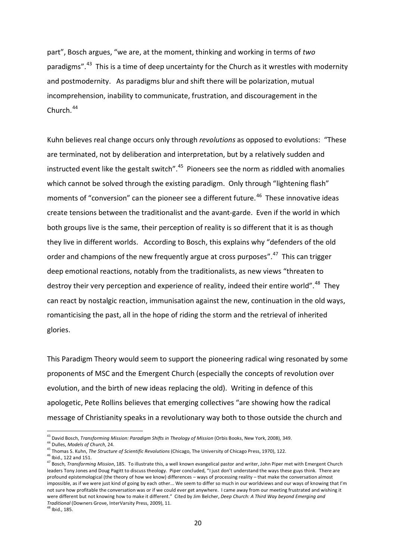part", Bosch argues, "we are, at the moment, thinking and working in terms of *two* paradigms".<sup>[43](#page-19-0)</sup> This is a time of deep uncertainty for the Church as it wrestles with modernity and postmodernity. As paradigms blur and shift there will be polarization, mutual incomprehension, inability to communicate, frustration, and discouragement in the Church. [44](#page-19-1)

Kuhn believes real change occurs only through *revolutions* as opposed to evolutions: "These are terminated, not by deliberation and interpretation, but by a relatively sudden and instructed event like the gestalt switch".<sup>45</sup> Pioneers see the norm as riddled with anomalies which cannot be solved through the existing paradigm. Only through "lightening flash" moments of "conversion" can the pioneer see a different future.<sup>46</sup> These innovative ideas create tensions between the traditionalist and the avant-garde. Even if the world in which both groups live is the same, their perception of reality is so different that it is as though they live in different worlds. According to Bosch, this explains why "defenders of the old order and champions of the new frequently argue at cross purposes".<sup>47</sup> This can trigger deep emotional reactions, notably from the traditionalists, as new views "threaten to destroy their very perception and experience of reality, indeed their entire world".<sup>48</sup> They can react by nostalgic reaction, immunisation against the new, continuation in the old ways, romanticising the past, all in the hope of riding the storm and the retrieval of inherited glories.

This Paradigm Theory would seem to support the pioneering radical wing resonated by some proponents of MSC and the Emergent Church (especially the concepts of revolution over evolution, and the birth of new ideas replacing the old). Writing in defence of this apologetic, Pete Rollins believes that emerging collectives "are showing how the radical message of Christianity speaks in a revolutionary way both to those outside the church and

<span id="page-19-0"></span><sup>43</sup> David Bosch, *Transforming Mission: Paradigm Shifts in Theology of Mission* (Orbis Books, New York, 2008), 349.

<span id="page-19-1"></span><sup>44</sup> Dulles, *Models of Church*, 24.

<span id="page-19-2"></span><sup>45</sup> Thomas S. Kuhn, *The Structure of Scientific Revolutions* (Chicago, The University of Chicago Press, 1970), 122.<br><sup>46</sup> Ibid., 122 and 151.

<span id="page-19-5"></span><span id="page-19-4"></span><span id="page-19-3"></span><sup>47</sup> Bosch, *Transforming Mission*, 185. To illustrate this, a well known evangelical pastor and writer, John Piper met with Emergent Church leaders Tony Jones and Doug Pagitt to discuss theology. Piper concluded, "I just don't understand the ways these guys think. There are profound epistemological (the theory of how we know) differences – ways of processing reality – that make the conversation almost impossible, as if we were just kind of going by each other... We seem to differ so much in our worldviews and our ways of knowing that I'm not sure how profitable the conversation was or if we could ever get anywhere. I came away from our meeting frustrated and wishing it were different but not knowing how to make it different." Cited by Jim Belcher, *Deep Church: A Third Way beyond Emerging and Traditional* (Downers Grove, InterVarsity Press, 2009), 11.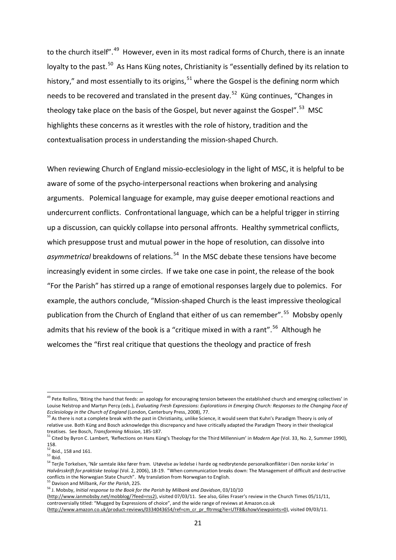to the church itself".<sup>[49](#page-20-0)</sup> However, even in its most radical forms of Church, there is an innate loyalty to the past.<sup>[50](#page-20-1)</sup> As Hans Küng notes, Christianity is "essentially defined by its relation to history," and most essentially to its origins,<sup>[51](#page-20-2)</sup> where the Gospel is the defining norm which needs to be recovered and translated in the present day.<sup>52</sup> Küng continues, "Changes in theology take place on the basis of the Gospel, but never against the Gospel".<sup>53</sup> MSC highlights these concerns as it wrestles with the role of history, tradition and the contextualisation process in understanding the mission-shaped Church.

When reviewing Church of England missio-ecclesiology in the light of MSC, it is helpful to be aware of some of the psycho-interpersonal reactions when brokering and analysing arguments. Polemical language for example, may guise deeper emotional reactions and undercurrent conflicts. Confrontational language, which can be a helpful trigger in stirring up a discussion, can quickly collapse into personal affronts. Healthy symmetrical conflicts, which presuppose trust and mutual power in the hope of resolution, can dissolve into *asymmetrical* breakdowns of relations. [54](#page-20-5) In the MSC debate these tensions have become increasingly evident in some circles. If we take one case in point, the release of the book "For the Parish" has stirred up a range of emotional responses largely due to polemics. For example, the authors conclude, "Mission-shaped Church is the least impressive theological publication from the Church of England that either of us can remember".<sup>55</sup> Mobsby openly admits that his review of the book is a "critique mixed in with a rant".<sup>[56](#page-20-7)</sup> Although he welcomes the "first real critique that questions the theology and practice of fresh

[\(http://www.ianmobsby.net/mobblog/?feed=rss2\),](http://www.ianmobsby.net/mobblog/?feed=rss2) visited 07/03/11. See also, Giles Fraser's review in the Church Times 05/11/11, controversially titled: "Mugged by Expressions of choice", and the wide range of reviews at Amazon.co.uk

<span id="page-20-0"></span><sup>&</sup>lt;sup>49</sup> Pete Rollins, 'Biting the hand that feeds: an apology for encouraging tension between the established church and emerging collectives' in Louise Nelstrop and Martyn Percy (eds.), *Evaluating Fresh Expressions: Explorations in Emerging Church: Responses to the Changing Face of Ecclesiology in the Church of England* (London, Canterbury Press, 2008), 77.

<span id="page-20-1"></span> $^{\circ}$  As there is not a complete break with the past in Christianity, unlike Science, it would seem that Kuhn's Paradigm Theory is only of relative use. Both Küng and Bosch acknowledge this discrepancy and have critically adapted the Paradigm Theory in their theological treatises. See Bosch, *Transforming Mission*, 185-187.<br><sup>51</sup> Cited by Byron C. Lambert, 'Reflections on Hans Küng's Theology for the Third Millennium' in *Modern Age* (Vol. 33, No. 2, Summer 1990),

<span id="page-20-2"></span><sup>158.</sup>

<span id="page-20-3"></span> $\frac{52}{53}$  lbid., 158 and 161.

<span id="page-20-5"></span><span id="page-20-4"></span><sup>&</sup>lt;sup>54</sup> Terjle Torkelsen, 'Når samtale ikke fører fram. Utøvelse av ledelse i harde og nedbrytende personalkonflikter i Den norske kirke' in *Halvårsskrift for praktiske teologi* (Vol. 2, 2006), 18-19. "When communication breaks down: The Management of difficult and destructive conflicts in the Norwegian State Church". My translation from Norwegian to English. <sup>55</sup> Davison and Milbank, *For the Parish*, 225.

<span id="page-20-7"></span><span id="page-20-6"></span><sup>56</sup> J. Mobsby, *Initial response to the Book for the Parish by Milbank and Davidson*, 03/10/10

[<sup>\(</sup>http://www.amazon.co.uk/product-reviews/0334043654/ref=cm\\_cr\\_pr\\_fltrmsg?ie=UTF8&showViewpoints=0\)](http://www.amazon.co.uk/product-reviews/0334043654/ref=cm_cr_pr_fltrmsg?ie=UTF8&showViewpoints=0), visited 09/03/11.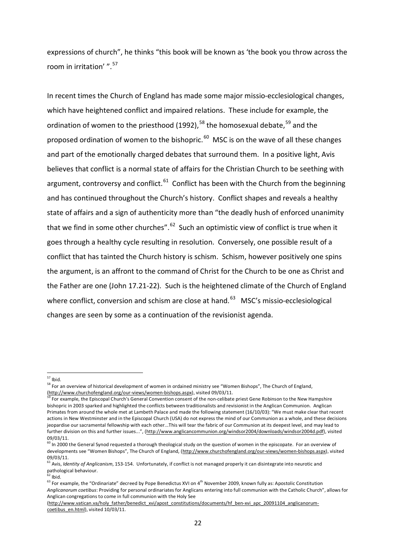expressions of church", he thinks "this book will be known as 'the book you throw across the room in irritation' ".[57](#page-21-0)

In recent times the Church of England has made some major missio-ecclesiological changes, which have heightened conflict and impaired relations. These include for example, the ordination of women to the priesthood (1992),<sup>[58](#page-21-1)</sup> the homosexual debate,  $59$  and the proposed ordination of women to the bishopric.  $^{60}$  $^{60}$  $^{60}$  MSC is on the wave of all these changes and part of the emotionally charged debates that surround them. In a positive light, Avis believes that conflict is a normal state of affairs for the Christian Church to be seething with argument, controversy and conflict.<sup>61</sup> Conflict has been with the Church from the beginning and has continued throughout the Church's history. Conflict shapes and reveals a healthy state of affairs and a sign of authenticity more than "the deadly hush of enforced unanimity that we find in some other churches". $62$  Such an optimistic view of conflict is true when it goes through a healthy cycle resulting in resolution. Conversely, one possible result of a conflict that has tainted the Church history is schism. Schism, however positively one spins the argument, is an affront to the command of Christ for the Church to be one as Christ and the Father are one (John 17.21-22). Such is the heightened climate of the Church of England where conflict, conversion and schism are close at hand.<sup>[63](#page-21-6)</sup> MSC's missio-ecclesiological changes are seen by some as a continuation of the revisionist agenda.

 $57$  Ibid.

<span id="page-21-1"></span><span id="page-21-0"></span><sup>&</sup>lt;sup>58</sup> For an overview of historical development of women in ordained ministry see "Women Bishops", The Church of England,  $(\frac{Int}{cut}p://www.churchofengland.org/our-view/women-bishops.sspx)$ , visited 09/03/11.

<span id="page-21-2"></span>For example, the Episcopal Church'[s General Convention](http://en.wikipedia.org/wiki/General_Convention) consent of the non-celibate priest Gene Robinson to the New Hampshire bishopric in 2003 sparked and highlighted the conflicts between traditionalists and revisionist in the Anglican Communion. Anglican Primates from around the whole met at Lambeth Palace and made the following statement (16/10/03): "We must make clear that recent actions in New Westminster and in the Episcopal Church (USA) do not express the mind of our Communion as a whole, and these decisions jeopardise our sacramental fellowship with each other...This will tear the fabric of our Communion at its deepest level, and may lead to further division on this and further issues...", [\(http://www.anglicancommunion.org/windsor2004/downloads/windsor2004d.pdf\),](http://www.anglicancommunion.org/windsor2004/downloads/windsor2004d.pdf) visited 09/03/11.

<span id="page-21-3"></span> $^{60}$  In 2000 the General Synod requested a thorough theological study on the question of women in the episcopate. For an overview of developments see "Women Bishops", The Church of England, [\(http://www.churchofengland.org/our-views/women-bishops.aspx\)](http://www.churchofengland.org/our-views/women-bishops.aspx), visited 09/03/11.

<span id="page-21-4"></span><sup>61</sup> Avis, *Identity of Anglicanism*, 153-154. Unfortunately, if conflict is not managed properly it can disintegrate into neurotic and pathological behaviour.<br><sup>62</sup> Ihid.

<span id="page-21-6"></span><span id="page-21-5"></span> $^{63}$  For example, the "Ordinariate" decreed by Pope Benedictus XVI on 4<sup>th</sup> November 2009, known fully as: Apostolic Constitution *Anglicanorum coetibus*: Providing for personal ordinariates for Anglicans entering into full communion with the Catholic Church", allows for Anglican congregations to come in full communion with the Holy See

[<sup>\(</sup>http://www.vatican.va/holy\\_father/benedict\\_xvi/apost\\_constitutions/documents/hf\\_ben-xvi\\_apc\\_20091104\\_anglicanorum](http://www.vatican.va/holy_father/benedict_xvi/apost_constitutions/documents/hf_ben-xvi_apc_20091104_anglicanorum-coetibus_en.html)[coetibus\\_en.html\)](http://www.vatican.va/holy_father/benedict_xvi/apost_constitutions/documents/hf_ben-xvi_apc_20091104_anglicanorum-coetibus_en.html), visited 10/03/11.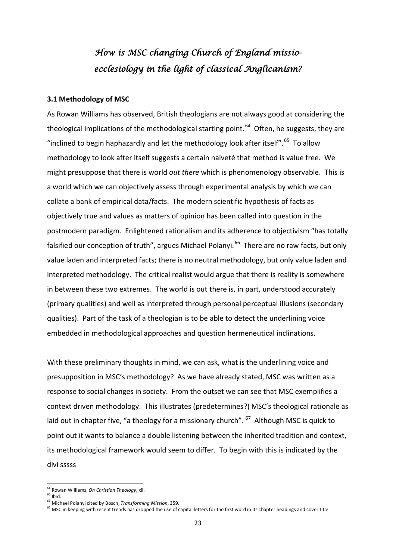# *How is MSC changing Church of England missioecclesiology in the light of classical Anglicanism?*

#### **3.1 Methodology of MSC**

As Rowan Williams has observed, British theologians are not always good at considering the theological implications of the methodological starting point.<sup>64</sup> Often, he suggests, they are "inclined to begin haphazardly and let the methodology look after itself".  $65$  To allow methodology to look after itself suggests a certain naiveté that method is value free. We might presuppose that there is world *out there* which is phenomenology observable. This is a world which we can objectively assess through experimental analysis by which we can collate a bank of empirical data/facts. The modern scientific hypothesis of facts as objectively true and values as matters of opinion has been called into question in the postmodern paradigm. Enlightened rationalism and its adherence to objectivism "has totally falsified our conception of truth", argues Michael Polanyi.<sup>[66](#page-22-2)</sup> There are no raw facts, but only value laden and interpreted facts; there is no neutral methodology, but only value laden and interpreted methodology. The critical realist would argue that there is reality is somewhere in between these two extremes. The world is out there is, in part, understood accurately (primary qualities) and well as interpreted through personal perceptual illusions (secondary qualities). Part of the task of a theologian is to be able to detect the underlining voice embedded in methodological approaches and question hermeneutical inclinations.

With these preliminary thoughts in mind, we can ask, what is the underlining voice and presupposition in MSC's methodology? As we have already stated, MSC was written as a response to social changes in society. From the outset we can see that MSC exemplifies a context driven methodology. This illustrates (predetermines?) MSC's theological rationale as laid out in chapter five, "a theology for a missionary church". <sup>[67](#page-22-3)</sup> Although MSC is quick to point out it wants to balance a double listening between the inherited tradition and context, its methodological framework would seem to differ. To begin with this is indicated by the divi sssss

<span id="page-22-0"></span><sup>64</sup> Rowan Williams, *On Christian Theology*, xii.

<span id="page-22-2"></span><span id="page-22-1"></span><sup>&</sup>lt;sup>66</sup> Michael Polanyi cited by Bosch, *Transforming Mission*, 359.

<span id="page-22-3"></span> $67$  MSC in keeping with recent trends has dropped the use of capital letters for the first word in its chapter headings and cover title.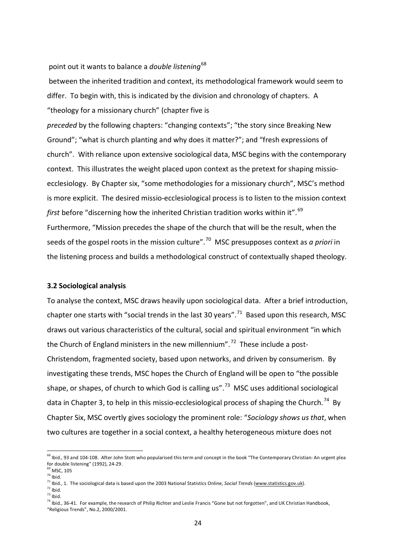#### point out it wants to balance a *double listening*[68](#page-23-0)

between the inherited tradition and context, its methodological framework would seem to differ. To begin with, this is indicated by the division and chronology of chapters. A "theology for a missionary church" (chapter five is

*preceded* by the following chapters: "changing contexts"; "the story since Breaking New Ground"; "what is church planting and why does it matter?"; and "fresh expressions of church". With reliance upon extensive sociological data, MSC begins with the contemporary context. This illustrates the weight placed upon context as the pretext for shaping missioecclesiology. By Chapter six, "some methodologies for a missionary church", MSC's method is more explicit. The desired missio-ecclesiological process is to listen to the mission context *first* before "discerning how the inherited Christian tradition works within it".<sup>69</sup> Furthermore, "Mission precedes the shape of the church that will be the result, when the seeds of the gospel roots in the mission culture".[70](#page-23-2) MSC presupposes context as *a priori* in the listening process and builds a methodological construct of contextually shaped theology.

#### **3.2 Sociological analysis**

To analyse the context, MSC draws heavily upon sociological data. After a brief introduction, chapter one starts with "social trends in the last 30 years".<sup>71</sup> Based upon this research, MSC draws out various characteristics of the cultural, social and spiritual environment "in which the Church of England ministers in the new millennium".<sup>[72](#page-23-4)</sup> These include a post-Christendom, fragmented society, based upon networks, and driven by consumerism. By investigating these trends, MSC hopes the Church of England will be open to "the possible shape, or shapes, of church to which God is calling us".<sup>[73](#page-23-5)</sup> MSC uses additional sociological data in Chapter 3, to help in this missio-ecclesiological process of shaping the Church.<sup>[74](#page-23-6)</sup> By Chapter Six, MSC overtly gives sociology the prominent role: "*Sociology shows us that*, when two cultures are together in a social context, a healthy heterogeneous mixture does not

<span id="page-23-5"></span><span id="page-23-4"></span>

<span id="page-23-0"></span><sup>&</sup>lt;sup>68</sup> Ibid., 93 and 104-108. After John Stott who popularised this term and concept in the book "The Contemporary Christian: An urgent plea for double listening" (1992), 24-29.

<span id="page-23-1"></span><sup>&</sup>lt;sup>69</sup> MSC, 105<br><sup>70</sup> Ibid.

<span id="page-23-3"></span><span id="page-23-2"></span><sup>&</sup>lt;sup>71</sup> Ibid., 1. The sociological data is based upon the 2003 National Statistics Online, *Social Trends* [\(www.statistics.gov.uk\)](http://www.statistics.gov.uk/).<br><sup>72</sup> Ibid.<br><sup>73</sup> Ibid.

<span id="page-23-6"></span><sup>&</sup>lt;sup>74</sup> Ibid., 36-41. For example, the research of Philip Richter and Leslie Francis "Gone but not forgotten", and UK Christian Handbook, "Religious Trends", No.2, 2000/2001.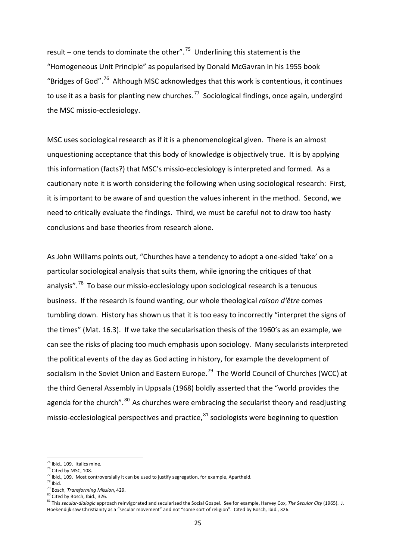result – one tends to dominate the other".<sup>75</sup> Underlining this statement is the "Homogeneous Unit Principle" as popularised by Donald McGavran in his 1955 book "Bridges of God".<sup>[76](#page-24-1)</sup> Although MSC acknowledges that this work is contentious, it continues to use it as a basis for planting new churches.<sup>[77](#page-24-2)</sup> Sociological findings, once again, undergird the MSC missio-ecclesiology.

MSC uses sociological research as if it is a phenomenological given. There is an almost unquestioning acceptance that this body of knowledge is objectively true. It is by applying this information (facts?) that MSC's missio-ecclesiology is interpreted and formed. As a cautionary note it is worth considering the following when using sociological research: First, it is important to be aware of and question the values inherent in the method. Second, we need to critically evaluate the findings. Third, we must be careful not to draw too hasty conclusions and base theories from research alone.

As John Williams points out, "Churches have a tendency to adopt a one-sided 'take' on a particular sociological analysis that suits them, while ignoring the critiques of that analysis".<sup>78</sup> To base our missio-ecclesiology upon sociological research is a tenuous business. If the research is found wanting, our whole theological *raison d'être* comes tumbling down. History has shown us that it is too easy to incorrectly "interpret the signs of the times" (Mat. 16.3). If we take the secularisation thesis of the 1960's as an example, we can see the risks of placing too much emphasis upon sociology. Many secularists interpreted the political events of the day as God acting in history, for example the development of socialism in the Soviet Union and Eastern Europe.<sup>79</sup> The World Council of Churches (WCC) at the third General Assembly in Uppsala (1968) boldly asserted that the "world provides the agenda for the church".<sup>[80](#page-24-5)</sup> As churches were embracing the secularist theory and readjusting missio-ecclesiological perspectives and practice,  $81$  sociologists were beginning to question

l

<span id="page-24-0"></span> $^{75}$  Ibid., 109. Italics mine.

<span id="page-24-1"></span><sup>&</sup>lt;sup>76</sup> Cited by MSC, 108.

<span id="page-24-2"></span><sup>&</sup>lt;sup>77</sup> Ibid., 109. Most controversially it can be used to justify segregation, for example, Apartheid.<br><sup>78</sup> Ibid.<br><sup>79</sup> Bosch, *Transforming Mission*, 429.<br><sup>80</sup> Cited by Bosch, Ibid., 326.

<span id="page-24-3"></span>

<span id="page-24-4"></span>

<span id="page-24-6"></span><span id="page-24-5"></span><sup>81</sup> This *secular-dialogic* approach reinvigorated and secularized the Social Gospel. See for example, Harvey Cox, The Secular City (1965). J. Hoekendijk saw Christianity as a "secular movement" and not "some sort of religion". Cited by Bosch, Ibid., 326.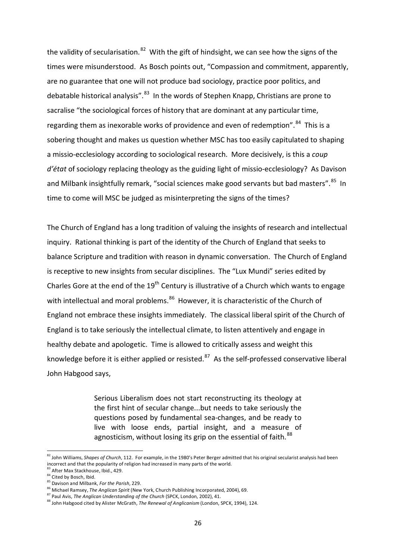the validity of secularisation.<sup>[82](#page-25-0)</sup> With the gift of hindsight, we can see how the signs of the times were misunderstood. As Bosch points out, "Compassion and commitment, apparently, are no guarantee that one will not produce bad sociology, practice poor politics, and debatable historical analysis".<sup>83</sup> In the words of Stephen Knapp, Christians are prone to sacralise "the sociological forces of history that are dominant at any particular time, regarding them as inexorable works of providence and even of redemption".<sup>84</sup> This is a sobering thought and makes us question whether MSC has too easily capitulated to shaping a missio-ecclesiology according to sociological research. More decisively, is this a *coup d'état* of sociology replacing theology as the guiding light of missio-ecclesiology? As Davison and Milbank insightfully remark, "social sciences make good servants but bad masters".<sup>85</sup> In time to come will MSC be judged as misinterpreting the signs of the times?

The Church of England has a long tradition of valuing the insights of research and intellectual inquiry. Rational thinking is part of the identity of the Church of England that seeks to balance Scripture and tradition with reason in dynamic conversation. The Church of England is receptive to new insights from secular disciplines. The "Lux Mundi" series edited by Charles Gore at the end of the  $19<sup>th</sup>$  Century is illustrative of a Church which wants to engage with intellectual and moral problems.<sup>86</sup> However, it is characteristic of the Church of England not embrace these insights immediately. The classical liberal spirit of the Church of England is to take seriously the intellectual climate, to listen attentively and engage in healthy debate and apologetic. Time is allowed to critically assess and weight this knowledge before it is either applied or resisted. $87$  As the self-professed conservative liberal John Habgood says,

> Serious Liberalism does not start reconstructing its theology at the first hint of secular change...but needs to take seriously the questions posed by fundamental sea-changes, and be ready to live with loose ends, partial insight, and a measure of agnosticism, without losing its grip on the essential of faith.<sup>[88](#page-25-6)</sup>

<span id="page-25-0"></span><sup>82</sup> John Williams, Shapes of Church, 112. For example, in the 1980's Peter Berger admitted that his original secularist analysis had been incorrect and that the popularity of religion had increased in many parts of the world.

<span id="page-25-1"></span> $83$  After Max Stackhouse, Ibid., 429.<br> $84$  Cited by Bosch, Ibid.

<span id="page-25-3"></span><span id="page-25-2"></span><sup>&</sup>lt;sup>85</sup> Davison and Milbank, For the Parish, 229.

<span id="page-25-4"></span><sup>&</sup>lt;sup>86</sup> Michael Ramsey, *The Anglican Spirit* (New York, Church Publishing Incorporated, 2004), 69.<br><sup>87</sup> Paul Avis, *The Anglican Understanding of the Church* (SPCK, London, 2002), 41.

<span id="page-25-6"></span><span id="page-25-5"></span><sup>&</sup>lt;sup>88</sup> John Habgood cited by Alister McGrath, *The Renewal of Anglicanism* (London, SPCK, 1994), 124.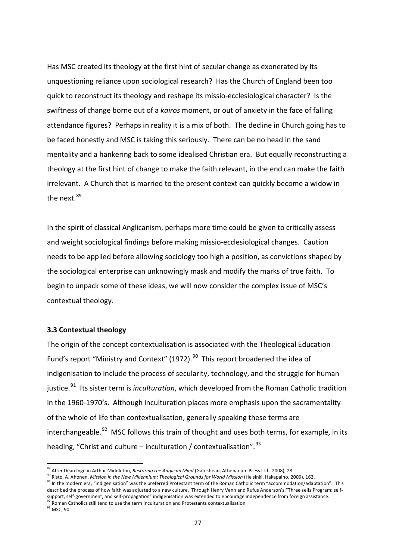Has MSC created its theology at the first hint of secular change as exonerated by its unquestioning reliance upon sociological research? Has the Church of England been too quick to reconstruct its theology and reshape its missio-ecclesiological character? Is the swiftness of change borne out of a *kairos* moment, or out of anxiety in the face of falling attendance figures? Perhaps in reality it is a mix of both. The decline in Church going has to be faced honestly and MSC is taking this seriously. There can be no head in the sand mentality and a hankering back to some idealised Christian era. But equally reconstructing a theology at the first hint of change to make the faith relevant, in the end can make the faith irrelevant. A Church that is married to the present context can quickly become a widow in the next.<sup>89</sup>

In the spirit of classical Anglicanism, perhaps more time could be given to critically assess and weight sociological findings before making missio-ecclesiological changes. Caution needs to be applied before allowing sociology too high a position, as convictions shaped by the sociological enterprise can unknowingly mask and modify the marks of true faith. To begin to unpack some of these ideas, we will now consider the complex issue of MSC's contextual theology.

#### **3.3 Contextual theology**

The origin of the concept contextualisation is associated with the Theological Education Fund's report "Ministry and Context" (1972).<sup>90</sup> This report broadened the idea of indigenisation to include the process of secularity, technology, and the struggle for human justice.<sup>[91](#page-26-2)</sup> Its sister term is *inculturation*, which developed from the Roman Catholic tradition in the 1960-1970's. Although inculturation places more emphasis upon the sacramentality of the whole of life than contextualisation, generally speaking these terms are interchangeable.<sup>92</sup> MSC follows this train of thought and uses both terms, for example, in its heading, "Christ and culture – inculturation / contextualisation".  $93$ 

<sup>&</sup>lt;sup>89</sup> After Dean Inge in Arthur Middleton, *Restoring the Anglican Mind* (Gateshead, Athenaeum Press Ltd., 2008), 28.

<span id="page-26-2"></span><span id="page-26-1"></span><span id="page-26-0"></span><sup>90</sup> Risto, A. Ahonen, *Mission in the New Millennium: Theological Grounds for World Mission* (Helsinki, Hakapaino, 2009), 162.<br><sup>91</sup> In the modern era, "indigenisation" was the preferred Protestant term of the Roman Catholic described the process of how faith was adjusted to a new culture. Through Henry Venn and Rufus Anderson's:"Three selfs Program: selfsupport, self-government, and self-propagation" indigenisation was extended to encourage independence from foreign assistance.<br><sup>92</sup> Roman Catholics still tend to use the term inculturation and Protestants contextualisation

<span id="page-26-4"></span><span id="page-26-3"></span><sup>&</sup>lt;sup>93</sup> MSC, 90.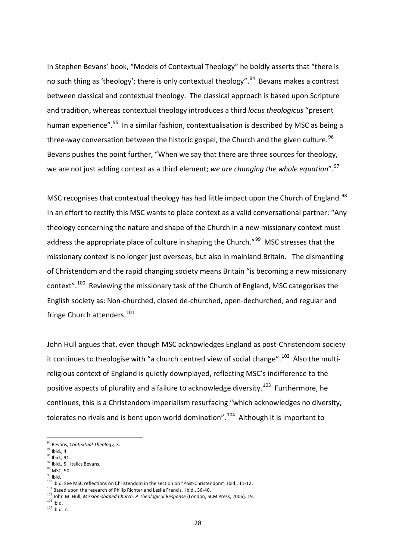In Stephen Bevans' book, "Models of Contextual Theology" he boldly asserts that "there is no such thing as 'theology'; there is only contextual theology".<sup>94</sup> Bevans makes a contrast between classical and contextual theology. The classical approach is based upon Scripture and tradition, whereas contextual theology introduces a third *locus theologicus* "present human experience".<sup>[95](#page-27-1)</sup> In a similar fashion, contextualisation is described by MSC as being a three-way conversation between the historic gospel, the Church and the given culture.<sup>96</sup> Bevans pushes the point further, "When we say that there are three sources for theology, we are not just adding context as a third element; we are changing the whole equation".<sup>[97](#page-27-3)</sup>

MSC recognises that contextual theology has had little impact upon the Church of England.<sup>[98](#page-27-4)</sup> In an effort to rectify this MSC wants to place context as a valid conversational partner: "Any theology concerning the nature and shape of the Church in a new missionary context must address the appropriate place of culture in shaping the Church."<sup>[99](#page-27-5)</sup> MSC stresses that the missionary context is no longer just overseas, but also in mainland Britain. The dismantling of Christendom and the rapid changing society means Britain "is becoming a new missionary context".<sup>[100](#page-27-6)</sup> Reviewing the missionary task of the Church of England, MSC categorises the English society as: Non-churched, closed de-churched, open-dechurched, and regular and fringe Church attenders.<sup>[101](#page-27-7)</sup>

John Hull argues that, even though MSC acknowledges England as post-Christendom society it continues to theologise with "a church centred view of social change".<sup>102</sup> Also the multireligious context of England is quietly downplayed, reflecting MSC's indifference to the positive aspects of plurality and a failure to acknowledge diversity.<sup>103</sup> Furthermore, he continues, this is a Christendom imperialism resurfacing "which acknowledges no diversity, tolerates no rivals and is bent upon world domination".  $104$  Although it is important to

l

<sup>97</sup> Ibid.*,* 5. Italics Bevans.

<span id="page-27-6"></span><span id="page-27-5"></span>100 Ibid. See MSC reflections on Christendom in the section on "Post-Christendom", Ibid., 11-12.

- <span id="page-27-7"></span><sup>101</sup> Based upon the research of Philip Richter and Leslie Francis. Ibid., 36-40.<br><sup>102</sup> John M. Hull, *Mission-shaped Church: A Theological Response* (London, SCM Press, 2006), 19.<br><sup>103</sup> Ibid.
- <span id="page-27-10"></span><span id="page-27-9"></span><span id="page-27-8"></span>

<span id="page-27-0"></span><sup>94</sup> Bevans, *Contextual Theology,* 3.

<span id="page-27-1"></span>

<span id="page-27-2"></span><sup>&</sup>lt;sup>96</sup> Ibid., 91.

<span id="page-27-4"></span><span id="page-27-3"></span><sup>&</sup>lt;sup>98</sup> MSC, 90<br><sup>99</sup> Ihid.

 $104$  Ibid. 7.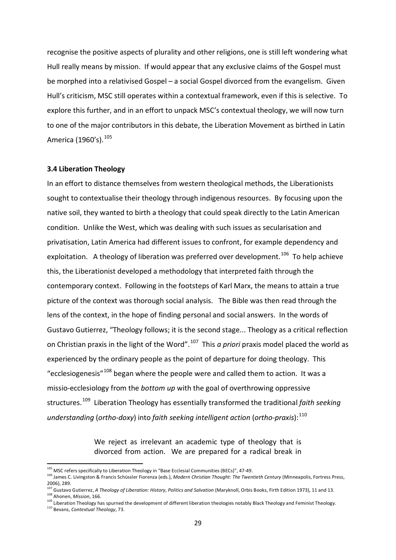recognise the positive aspects of plurality and other religions, one is still left wondering what Hull really means by mission. If would appear that any exclusive claims of the Gospel must be morphed into a relativised Gospel – a social Gospel divorced from the evangelism. Given Hull's criticism, MSC still operates within a contextual framework, even if this is selective. To explore this further, and in an effort to unpack MSC's contextual theology, we will now turn to one of the major contributors in this debate, the Liberation Movement as birthed in Latin America (1960's).<sup>105</sup>

#### **3.4 Liberation Theology**

In an effort to distance themselves from western theological methods, the Liberationists sought to contextualise their theology through indigenous resources. By focusing upon the native soil, they wanted to birth a theology that could speak directly to the Latin American condition. Unlike the West, which was dealing with such issues as secularisation and privatisation, Latin America had different issues to confront, for example dependency and exploitation. A theology of liberation was preferred over development.<sup>106</sup> To help achieve this, the Liberationist developed a methodology that interpreted faith through the contemporary context. Following in the footsteps of Karl Marx, the means to attain a true picture of the context was thorough social analysis. The Bible was then read through the lens of the context, in the hope of finding personal and social answers. In the words of Gustavo Gutierrez, "Theology follows; it is the second stage... Theology as a critical reflection on Christian praxis in the light of the Word".[107](#page-28-2) This *a priori* praxis model placed the world as experienced by the ordinary people as the point of departure for doing theology. This "ecclesiogenesis"<sup>[108](#page-28-3)</sup> began where the people were and called them to action. It was a missio-ecclesiology from the *bottom up* with the goal of overthrowing oppressive structures.[109](#page-28-4) Liberation Theology has essentially transformed the traditional *faith seeking understanding* (*ortho-doxy*) into *faith seeking intelligent action* (*ortho-praxis*):<sup>110</sup>

> We reject as irrelevant an academic type of theology that is divorced from action. We are prepared for a radical break in

<span id="page-28-0"></span> $105$  MSC refers specifically to Liberation Theology in "Base Ecclesial Communities (BECs)", 47-49.

<span id="page-28-1"></span><sup>106</sup> James C. Livingston & Francis Schüssler Fiorenza (eds.), *Modern Christian Thought: The Twentieth Century* (Minneapolis, Fortress Press, 2006), 289.

<span id="page-28-2"></span><sup>&</sup>lt;sup>107</sup> Gustavo Gutierrez, *A Theology of Liberation: History, Politics and Salvation* (Maryknoll, Orbis Books, Firth Edition 1973), 11 and 13.<br><sup>108</sup> Ahonen. *Mission*. 166.

<span id="page-28-5"></span><span id="page-28-4"></span><span id="page-28-3"></span><sup>&</sup>lt;sup>109</sup> Liberation Theology has spurned the development of different liberation theologies notably Black Theology and Feminist Theology.<br><sup>110</sup> Bevans, *Contextual Theology*, 73.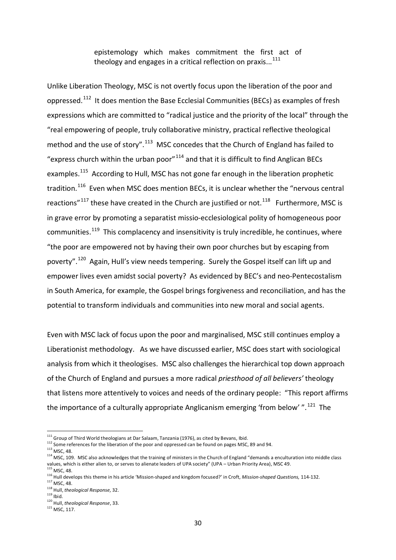epistemology which makes commitment the first act of theology and engages in a critical reflection on praxis... $^{111}$  $^{111}$  $^{111}$ 

Unlike Liberation Theology, MSC is not overtly focus upon the liberation of the poor and oppressed.<sup>[112](#page-29-1)</sup> It does mention the Base Ecclesial Communities (BECs) as examples of fresh expressions which are committed to "radical justice and the priority of the local" through the "real empowering of people, truly collaborative ministry, practical reflective theological method and the use of story".<sup>113</sup> MSC concedes that the Church of England has failed to "express church within the urban poor" $114$  and that it is difficult to find Anglican BECs examples.<sup>115</sup> According to Hull, MSC has not gone far enough in the liberation prophetic tradition.<sup>116</sup> Even when MSC does mention BECs, it is unclear whether the "nervous central reactions"<sup>[117](#page-29-6)</sup> these have created in the Church are justified or not.<sup>118</sup> Furthermore, MSC is in grave error by promoting a separatist missio-ecclesiological polity of homogeneous poor communities.<sup>[119](#page-29-8)</sup> This complacency and insensitivity is truly incredible, he continues, where "the poor are empowered not by having their own poor churches but by escaping from poverty".[120](#page-29-9) Again, Hull's view needs tempering. Surely the Gospel itself can lift up and empower lives even amidst social poverty? As evidenced by BEC's and neo-Pentecostalism in South America, for example, the Gospel brings forgiveness and reconciliation, and has the potential to transform individuals and communities into new moral and social agents.

Even with MSC lack of focus upon the poor and marginalised, MSC still continues employ a Liberationist methodology. As we have discussed earlier, MSC does start with sociological analysis from which it theologises. MSC also challenges the hierarchical top down approach of the Church of England and pursues a more radical *priesthood of all believers'* theology that listens more attentively to voices and needs of the ordinary people: "This report affirms the importance of a culturally appropriate Anglicanism emerging 'from below'  $\cdot$ ".<sup>[121](#page-29-10)</sup> The

<span id="page-29-0"></span><sup>&</sup>lt;sup>111</sup> Group of Third World theologians at Dar Salaam, Tanzania (1976), as cited by Bevans, Ibid.

<span id="page-29-1"></span><sup>112</sup> Some references for the liberation of the poor and oppressed can be found on pages MSC, 89 and 94.<br>113 MSC. 48.

<span id="page-29-3"></span><span id="page-29-2"></span> $114$  MSC, 109. MSC also acknowledges that the training of ministers in the Church of England "demands a enculturation into middle class values, which is either alien to, or serves to alienate leaders of UPA society" (UPA – Urban Priority Area), MSC 49.<br><sup>115</sup> MSC. 48.

<span id="page-29-5"></span><span id="page-29-4"></span><sup>116</sup> Hull develops this theme in his article 'Mission-shaped and kingdom focused?' in Croft, *Mission-shaped Questions,* 114-132.<sup>117</sup> MSC, 48.

<span id="page-29-7"></span><span id="page-29-6"></span><sup>118</sup> Hull, *theological Response,* 32.

<span id="page-29-8"></span>

<span id="page-29-9"></span><sup>&</sup>lt;sup>120</sup> Hull, *theological Response*, 33.<br><sup>121</sup> MSC. 117.

<span id="page-29-10"></span>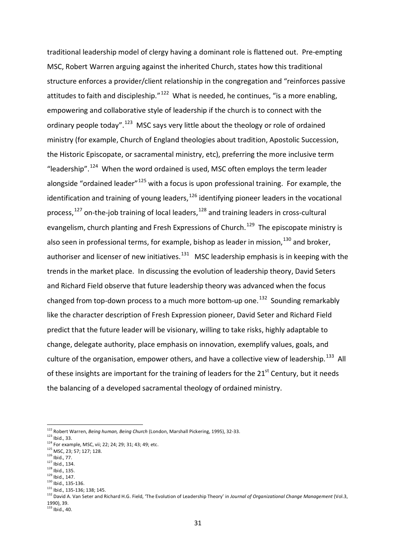traditional leadership model of clergy having a dominant role is flattened out. Pre-empting MSC, Robert Warren arguing against the inherited Church, states how this traditional structure enforces a provider/client relationship in the congregation and "reinforces passive attitudes to faith and discipleship." $122$  What is needed, he continues, "is a more enabling, empowering and collaborative style of leadership if the church is to connect with the ordinary people today".  $123$  MSC says very little about the theology or role of ordained ministry (for example, Church of England theologies about tradition, Apostolic Succession, the Historic Episcopate, or sacramental ministry, etc), preferring the more inclusive term "leadership".<sup>124</sup> When the word ordained is used, MSC often employs the term leader alongside "ordained leader" $125$  with a focus is upon professional training. For example, the identification and training of young leaders,  $126$  identifying pioneer leaders in the vocational process,<sup>[127](#page-30-5)</sup> on-the-job training of local leaders,<sup>[128](#page-30-6)</sup> and training leaders in cross-cultural evangelism, church planting and Fresh Expressions of Church.<sup>[129](#page-30-7)</sup> The episcopate ministry is also seen in professional terms, for example, bishop as leader in mission,  $^{130}$  $^{130}$  $^{130}$  and broker, authoriser and licenser of new initiatives. $131$  MSC leadership emphasis is in keeping with the trends in the market place. In discussing the evolution of leadership theory, David Seters and Richard Field observe that future leadership theory was advanced when the focus changed from top-down process to a much more bottom-up one.<sup>[132](#page-30-10)</sup> Sounding remarkably like the character description of Fresh Expression pioneer, David Seter and Richard Field predict that the future leader will be visionary, willing to take risks, highly adaptable to change, delegate authority, place emphasis on innovation, exemplify values, goals, and culture of the organisation, empower others, and have a collective view of leadership.<sup>133</sup> All of these insights are important for the training of leaders for the  $21<sup>st</sup>$  Century, but it needs the balancing of a developed sacramental theology of ordained ministry.

l

<span id="page-30-1"></span><span id="page-30-0"></span><sup>&</sup>lt;sup>122</sup> Robert Warren, *Being human, Being Church* (London, Marshall Pickering, 1995), 32-33.<br><sup>123</sup> Ibid., 33.

<span id="page-30-3"></span><span id="page-30-2"></span><sup>&</sup>lt;sup>124</sup> For example, MSC, vii; 22; 24; 29; 31; 43; 49; etc. <sup>125</sup> MSC, 23; 57; 127; 128.<br><sup>126</sup> Ibid., 77.<br><sup>126</sup> Ibid., 134.

<span id="page-30-4"></span>

<span id="page-30-6"></span><span id="page-30-5"></span> $\frac{128}{129}$  Ibid., 135.

<span id="page-30-8"></span><span id="page-30-7"></span> $\frac{130}{130}$  lbid., 135-136.<br> $\frac{131}{131}$  lbid.. 135-136; 138; 145.

<span id="page-30-10"></span><span id="page-30-9"></span><sup>132</sup> David A. Van Seter and Richard H.G. Field, 'The Evolution of Leadership Theory' in *Journal of Organizational Change Management* (Vol.3, 1990), 39.

<span id="page-30-11"></span> $133$  Ibid., 40.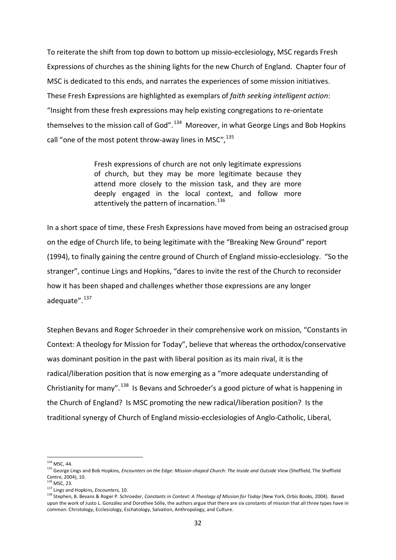To reiterate the shift from top down to bottom up missio-ecclesiology, MSC regards Fresh Expressions of churches as the shining lights for the new Church of England. Chapter four of MSC is dedicated to this ends, and narrates the experiences of some mission initiatives. These Fresh Expressions are highlighted as exemplars of *faith seeking intelligent action*: "Insight from these fresh expressions may help existing congregations to re-orientate themselves to the mission call of God".<sup>134</sup> Moreover, in what George Lings and Bob Hopkins call "one of the most potent throw-away lines in MSC",  $^{135}$  $^{135}$  $^{135}$ 

> Fresh expressions of church are not only legitimate expressions of church, but they may be more legitimate because they attend more closely to the mission task, and they are more deeply engaged in the local context, and follow more attentively the pattern of incarnation.<sup>[136](#page-31-2)</sup>

In a short space of time, these Fresh Expressions have moved from being an ostracised group on the edge of Church life, to being legitimate with the "Breaking New Ground" report (1994), to finally gaining the centre ground of Church of England missio-ecclesiology. "So the stranger", continue Lings and Hopkins, "dares to invite the rest of the Church to reconsider how it has been shaped and challenges whether those expressions are any longer adequate".<sup>[137](#page-31-3)</sup>

Stephen Bevans and Roger Schroeder in their comprehensive work on mission, "Constants in Context: A theology for Mission for Today", believe that whereas the orthodox/conservative was dominant position in the past with liberal position as its main rival, it is the radical/liberation position that is now emerging as a "more adequate understanding of Christianity for many".<sup>[138](#page-31-4)</sup> Is Bevans and Schroeder's a good picture of what is happening in the Church of England? Is MSC promoting the new radical/liberation position? Is the traditional synergy of Church of England missio-ecclesiologies of Anglo-Catholic, Liberal,

l

 $134$  MSC,  $44$ 

<span id="page-31-1"></span><span id="page-31-0"></span><sup>135</sup> George Lings and Bob Hopkins, *Encounters on the Edge: Mission-shaped Church: The Inside and Outside View* (Sheffield, The Sheffield Centre, 2004), 10.

<span id="page-31-2"></span><sup>136</sup> MSC, 23.

<sup>137</sup> Lings and Hopkins, *Encounters,* 10.

<span id="page-31-4"></span><span id="page-31-3"></span><sup>138</sup> Stephen, B. Bevans & Roger P. Schroeder, *Constants in Context: A Theology of Mission for Today* (New York, Orbis Books, 2004). Based upon the work of Justo L. González and Dorothee Sölle, the authors argue that there are six constants of mission that all three types have in common: Christology, Ecclesiology, Eschatology, Salvation, Anthropology, and Culture.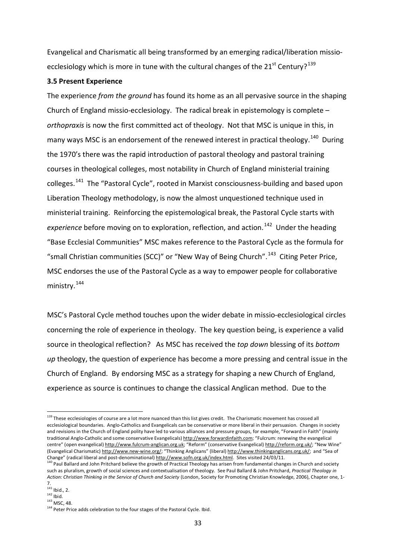Evangelical and Charismatic all being transformed by an emerging radical/liberation missio-ecclesiology which is more in tune with the cultural changes of the 21<sup>st</sup> Century?<sup>[139](#page-32-0)</sup>

### **3.5 Present Experience**

The experience *from the ground* has found its home as an all pervasive source in the shaping Church of England missio-ecclesiology. The radical break in epistemology is complete – *orthopraxis* is now the first committed act of theology. Not that MSC is unique in this, in many ways MSC is an endorsement of the renewed interest in practical theology.<sup>[140](#page-32-1)</sup> During the 1970's there was the rapid introduction of pastoral theology and pastoral training courses in theological colleges, most notability in Church of England ministerial training colleges.<sup>141</sup> The "Pastoral Cycle", rooted in Marxist consciousness-building and based upon Liberation Theology methodology, is now the almost unquestioned technique used in ministerial training. Reinforcing the epistemological break, the Pastoral Cycle starts with *experience* before moving on to exploration, reflection, and action.<sup>[142](#page-32-3)</sup> Under the heading "Base Ecclesial Communities" MSC makes reference to the Pastoral Cycle as the formula for "small Christian communities (SCC)" or "New Way of Being Church".<sup>[143](#page-32-4)</sup> Citing Peter Price, MSC endorses the use of the Pastoral Cycle as a way to empower people for collaborative ministry.<sup>[144](#page-32-5)</sup>

MSC's Pastoral Cycle method touches upon the wider debate in missio-ecclesiological circles concerning the role of experience in theology. The key question being, is experience a valid source in theological reflection? As MSC has received the *top down* blessing of its *bottom up* theology, the question of experience has become a more pressing and central issue in the Church of England. By endorsing MSC as a strategy for shaping a new Church of England, experience as source is continues to change the classical Anglican method. Due to the

<span id="page-32-0"></span><sup>&</sup>lt;sup>139</sup> These ecclesiologies of course are a lot more nuanced than this list gives credit. The Charismatic movement has crossed all ecclesiological boundaries. Anglo-Catholics and Evangelicals can be conservative or more liberal in their persuasion. Changes in society and revisions in the Church of England polity have led to various alliances and pressure groups, for example, "Forward in Faith" (mainly traditional Anglo-Catholic and some conservative Evangelicals) [http://www.forwardinfaith.com;](http://www.forwardinfaith.com/) "Fulcrum: renewing the evangelical centre" (open evangelical[\) http://www.fulcrum-anglican.org.uk;](http://www.fulcrum-anglican.org.uk/) "Reform" (conservative Evangelical) [http://reform.org.uk/;](http://reform.org.uk/) "New Wine" (Evangelical Charismatic[\) http://www.new-wine.org/;](http://www.new-wine.org/) "Thinking Anglicans" (liberal[\) http://www.thinkinganglicans.org.uk/;](http://www.thinkinganglicans.org.uk/) and "Sea of<br>Change" (radical liberal and post-denominational) http://www.sofn.org.uk/index.html. Site

<span id="page-32-1"></span> $140$  Paul Ballard and John Pritchard believe the growth of Practical Theology has arisen from fundamental changes in Church and society such as pluralism, growth of social sciences and contextualisation of theology. See Paul Ballard & John Pritchard, *Practical Theology in Action: Christian Thinking in the Service of Church and Society* (London, Society for Promoting Christian Knowledge, 2006), Chapter one, 1- 7.

 $141$  Ibid., 2.

<span id="page-32-3"></span><span id="page-32-2"></span> $^{142}$  Ibid.<br> $^{143}$  MSC, 48.

<span id="page-32-5"></span><span id="page-32-4"></span><sup>&</sup>lt;sup>144</sup> Peter Price adds celebration to the four stages of the Pastoral Cycle. Ibid.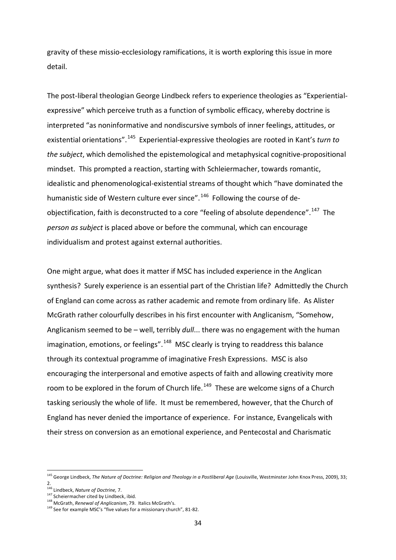gravity of these missio-ecclesiology ramifications, it is worth exploring this issue in more detail.

The post-liberal theologian George Lindbeck refers to experience theologies as "Experientialexpressive" which perceive truth as a function of symbolic efficacy, whereby doctrine is interpreted "as noninformative and nondiscursive symbols of inner feelings, attitudes, or existential orientations".[145](#page-33-0) Experiential-expressive theologies are rooted in Kant's *turn to the subject*, which demolished the epistemological and metaphysical cognitive-propositional mindset. This prompted a reaction, starting with Schleiermacher, towards romantic, idealistic and phenomenological-existential streams of thought which "have dominated the humanistic side of Western culture ever since".<sup>146</sup> Following the course of de-objectification, faith is deconstructed to a core "feeling of absolute dependence".<sup>[147](#page-33-2)</sup> The *person as subject* is placed above or before the communal, which can encourage individualism and protest against external authorities.

One might argue, what does it matter if MSC has included experience in the Anglican synthesis? Surely experience is an essential part of the Christian life? Admittedly the Church of England can come across as rather academic and remote from ordinary life. As Alister McGrath rather colourfully describes in his first encounter with Anglicanism, "Somehow, Anglicanism seemed to be – well, terribly *dull*... there was no engagement with the human imagination, emotions, or feelings".<sup>[148](#page-33-3)</sup> MSC clearly is trying to readdress this balance through its contextual programme of imaginative Fresh Expressions. MSC is also encouraging the interpersonal and emotive aspects of faith and allowing creativity more room to be explored in the forum of Church life.<sup>[149](#page-33-4)</sup> These are welcome signs of a Church tasking seriously the whole of life. It must be remembered, however, that the Church of England has never denied the importance of experience. For instance, Evangelicals with their stress on conversion as an emotional experience, and Pentecostal and Charismatic

<span id="page-33-0"></span><sup>145</sup> George Lindbeck, *The Nature of Doctrine: Religion and Theology in a Postliberal Age* (Louisville, Westminster John Knox Press, 2009), 33; 2.

<sup>146</sup> Lindbeck, *Nature of Doctrine,* 7.

<span id="page-33-3"></span>

<span id="page-33-2"></span><span id="page-33-1"></span><sup>&</sup>lt;sup>147</sup> Scheiermacher cited by Lindbeck, ibid.<br><sup>148</sup> McGrath, *Renewal of Anglicanism*, 79. Italics McGrath's.<br><sup>149</sup> See for example MSC's "five values for a missionary church", 81-82.

<span id="page-33-4"></span>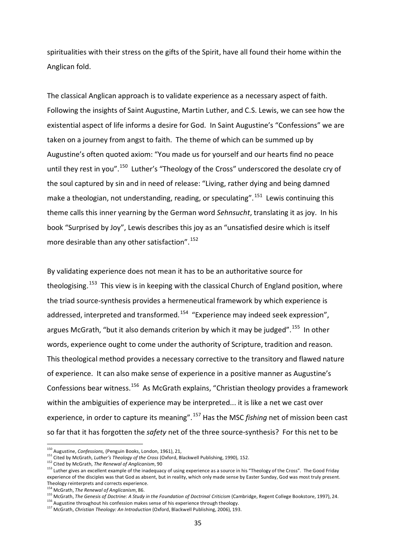spiritualities with their stress on the gifts of the Spirit, have all found their home within the Anglican fold.

The classical Anglican approach is to validate experience as a necessary aspect of faith. Following the insights of Saint Augustine, Martin Luther, and C.S. Lewis, we can see how the existential aspect of life informs a desire for God. In Saint Augustine's "Confessions" we are taken on a journey from angst to faith. The theme of which can be summed up by Augustine's often quoted axiom: "You made us for yourself and our hearts find no peace until they rest in you".<sup>[150](#page-34-0)</sup> Luther's "Theology of the Cross" underscored the desolate cry of the soul captured by sin and in need of release: "Living, rather dying and being damned make a theologian, not understanding, reading, or speculating". <sup>[151](#page-34-1)</sup> Lewis continuing this theme calls this inner yearning by the German word Sehnsucht, translating it as joy. In his book "Surprised by Joy", Lewis describes this joy as an "unsatisfied desire which is itself more desirable than any other satisfaction".<sup>[152](#page-34-2)</sup>

By validating experience does not mean it has to be an authoritative source for theologising.<sup>[153](#page-34-3)</sup> This view is in keeping with the classical Church of England position, where the triad source-synthesis provides a hermeneutical framework by which experience is addressed, interpreted and transformed.<sup>[154](#page-34-4)</sup> "Experience may indeed seek expression", argues McGrath, "but it also demands criterion by which it may be judged".<sup>[155](#page-34-5)</sup> In other words, experience ought to come under the authority of Scripture, tradition and reason. This theological method provides a necessary corrective to the transitory and flawed nature of experience. It can also make sense of experience in a positive manner as Augustine's Confessions bear witness.<sup>[156](#page-34-6)</sup> As McGrath explains, "Christian theology provides a framework within the ambiguities of experience may be interpreted... it is like a net we cast over experience, in order to capture its meaning". <sup>[157](#page-34-7)</sup> Has the MSC *fishing* net of mission been cast so far that it has forgotten the *safety* net of the three source-synthesis? For this net to be

l

<span id="page-34-0"></span><sup>150</sup> Augustine, *Confessions,* (Penguin Books, London, 1961), 21,

<span id="page-34-1"></span><sup>151</sup> Cited by McGrath, *Luther's Theology of the Cross* (Oxford, Blackwell Publishing, 1990), 152.

<span id="page-34-2"></span><sup>152</sup> Cited by McGrath, *The Renewal of Anglicanism*, 90

<span id="page-34-3"></span><sup>&</sup>lt;sup>153</sup> Luther gives an excellent example of the inadequacy of using experience as a source in his "Theology of the Cross". The Good Friday experience of the disciples was that God as absent, but in reality, which only made sense by Easter Sunday, God was most truly present. Theology reinterprets and corrects experience.

<sup>154</sup> McGrath, *The Renewal of Anglicanism*, 86.

<span id="page-34-5"></span><span id="page-34-4"></span><sup>155</sup> McGrath, The Genesis of Doctrine: A Study in the Foundation of Doctrinal Criticism (Cambridge, Regent College Bookstore, 1997), 24.<br><sup>156</sup> Augustine throughout his confession makes sense of his experience through theolo

<span id="page-34-7"></span><span id="page-34-6"></span>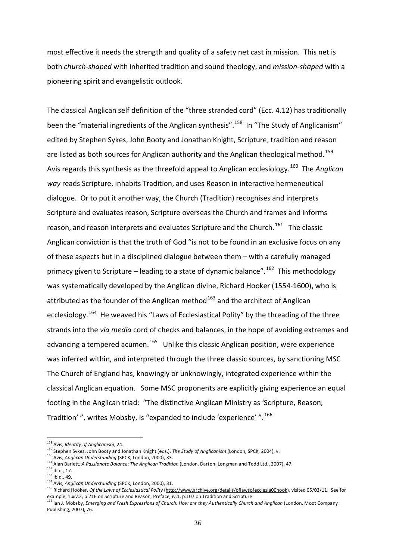most effective it needs the strength and quality of a safety net cast in mission. This net is both *church-shaped* with inherited tradition and sound theology, and *mission-shaped* with a pioneering spirit and evangelistic outlook.

The classical Anglican self definition of the "three stranded cord" (Ecc. 4.12) has traditionally been the "material ingredients of the Anglican synthesis".<sup>158</sup> In "The Study of Anglicanism" edited by Stephen Sykes, John Booty and Jonathan Knight, Scripture, tradition and reason are listed as both sources for Anglican authority and the Anglican theological method.<sup>[159](#page-35-1)</sup> Avis regards this synthesis as the threefold appeal to Anglican ecclesiology. [160](#page-35-2) The *Anglican way* reads Scripture, inhabits Tradition, and uses Reason in interactive hermeneutical dialogue. Or to put it another way, the Church (Tradition) recognises and interprets Scripture and evaluates reason, Scripture overseas the Church and frames and informs reason, and reason interprets and evaluates Scripture and the Church.<sup>161</sup> The classic Anglican conviction is that the truth of God "is not to be found in an exclusive focus on any of these aspects but in a disciplined dialogue between them – with a carefully managed primacy given to Scripture – leading to a state of dynamic balance".<sup>[162](#page-35-4)</sup> This methodology was systematically developed by the Anglican divine, Richard Hooker (1554-1600), who is attributed as the founder of the Anglican method  $163$  and the architect of Anglican ecclesiology.<sup>[164](#page-35-6)</sup> He weaved his "Laws of Ecclesiastical Polity" by the threading of the three strands into the *via media* cord of checks and balances, in the hope of avoiding extremes and advancing a tempered acumen.<sup>[165](#page-35-7)</sup> Unlike this classic Anglican position, were experience was inferred within, and interpreted through the three classic sources, by sanctioning MSC The Church of England has, knowingly or unknowingly, integrated experience within the classical Anglican equation. Some MSC proponents are explicitly giving experience an equal footing in the Anglican triad: "The distinctive Anglican Ministry as 'Scripture, Reason, Tradition' ", writes Mobsby, is "expanded to include 'experience' ".<sup>[166](#page-35-8)</sup>

l

<span id="page-35-0"></span><sup>158</sup> Avis, *Identity of Anglicanism*, 24.

<span id="page-35-1"></span><sup>&</sup>lt;sup>159</sup> Stephen Sykes, John Booty and Jonathan Knight (eds.), *The Study of Anglicanism* (London, SPCK, 2004), v.<br><sup>160</sup> Avis, *Anglican Understanding* (SPCK, London, 2000), 33.

<span id="page-35-3"></span><span id="page-35-2"></span><sup>161</sup> Alan Barlett, *A Passionate Balance*: *The Anglican Tradition* (London, Darton, Longman and Todd Ltd., 2007), 47.

<span id="page-35-4"></span>

<span id="page-35-5"></span><sup>162</sup> Ibid., 17. 163 Ibid., 49. <sup>164</sup> Avis, *Anglican Understanding* (SPCK, London, 2000), 31.

<span id="page-35-7"></span><span id="page-35-6"></span><sup>165</sup> Richard Hooker, *Of the Laws of Ecclesiastical Polity* (http://www.archive.org/details/oflawsofecclesia00hook), visited 05/03/11. See for example, 1.xiv.2, p.216 on Scripture and Reason; Preface, iv.1, p.107 on Tradition and Scripture.

<span id="page-35-8"></span><sup>166</sup> Ian J. Mobsby, *Emerging and Fresh Expressions of Church: How are they Authentically Church and Anglican* (London, Moot Company Publishing, 2007), 76.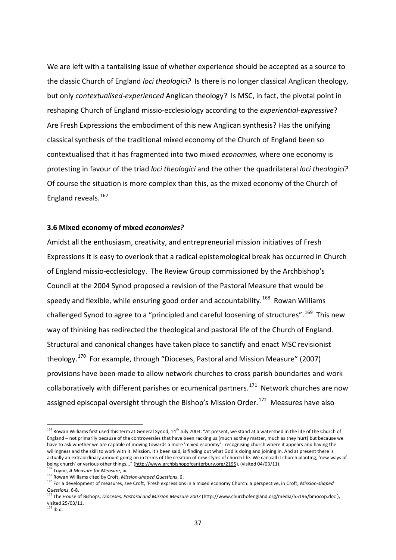We are left with a tantalising issue of whether experience should be accepted as a source to the classic Church of England *loci theologici?* Is there is no longer classical Anglican theology, but only *contextualised-experienced* Anglican theology? Is MSC, in fact, the pivotal point in reshaping Church of England missio-ecclesiology according to the *experiential-expressive*? Are Fresh Expressions the embodiment of this new Anglican synthesis? Has the unifying classical synthesis of the traditional mixed economy of the Church of England been so contextualised that it has fragmented into two mixed *economies,* where one economy is protesting in favour of the triad *loci theologici* and the other the quadrilateral *loci theologici?*  Of course the situation is more complex than this, as the mixed economy of the Church of England reveals.<sup>[167](#page-36-0)</sup>

#### **3.6 Mixed economy of mixed** *economies?*

Amidst all the enthusiasm, creativity, and entrepreneurial mission initiatives of Fresh Expressions it is easy to overlook that a radical epistemological break has occurred in Church of England missio-ecclesiology. The Review Group commissioned by the Archbishop's Council at the 2004 Synod proposed a revision of the Pastoral Measure that would be speedy and flexible, while ensuring good order and accountability.<sup>168</sup> Rowan Williams challenged Synod to agree to a "principled and careful loosening of structures".<sup>[169](#page-36-2)</sup> This new way of thinking has redirected the theological and pastoral life of the Church of England. Structural and canonical changes have taken place to sanctify and enact MSC revisionist theology.[170](#page-36-3) For example, through "Dioceses, Pastoral and Mission Measure" (2007) provisions have been made to allow network churches to cross parish boundaries and work collaboratively with different parishes or ecumenical partners.<sup>171</sup> Network churches are now assigned episcopal oversight through the Bishop's Mission Order.<sup>[172](#page-36-5)</sup> Measures have also

 $\overline{\phantom{a}}$ 

<span id="page-36-0"></span> $167$  Rowan Williams first used this term at General Synod,  $14^{\text{th}}$  July 2003: "At present, we stand at a watershed in the life of the Church of England – not primarily because of the controversies that have been racking us (much as they matter, much as they hurt) but because we have to ask whether we are capable of moving towards a more 'mixed economy' - recognising church where it appears and having the willingness and the skill to work with it. Mission, it's been said, is finding out what God is doing and joining in. And at present there is actually an extraordinary amount going on in terms of the creation of new styles of church life. We can call it church planting, 'new ways of being church' or various other things..." ([http://www.archbishopofcanterbury.org/2195\),](http://www.archbishopofcanterbury.org/2195) (visited 04/03/11).

<span id="page-36-1"></span><sup>&</sup>lt;sup>168</sup> Toyne, *A Measure for Measure*, ix.<br><sup>169</sup> Rowan Williams cited by Croft, *Mission-shaped Questions*, 6.

<span id="page-36-3"></span><span id="page-36-2"></span><sup>&</sup>lt;sup>170</sup> For a development of measures, see Croft, 'Fresh expressions in a mixed economy Church: a perspective, in Croft, *Mission-shaped Questions*, 6-8.

<span id="page-36-5"></span><span id="page-36-4"></span><sup>171</sup> The House of Bishops, *Dioceses, Pastoral and Mission Measure 2007* (http://www.churchofengland.org/media/55196/bmocop.doc ), visited 25/03/11.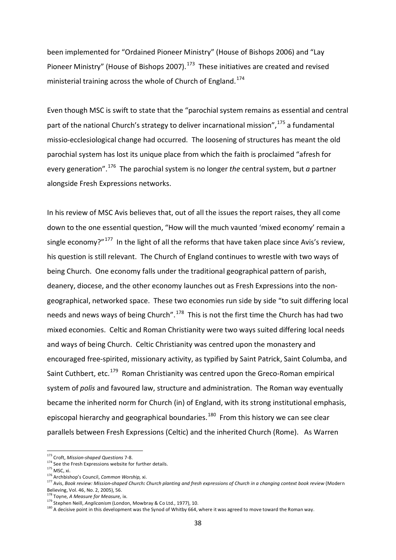been implemented for "Ordained Pioneer Ministry" (House of Bishops 2006) and "Lay Pioneer Ministry" (House of Bishops 2007).<sup>[173](#page-37-0)</sup> These initiatives are created and revised ministerial training across the whole of Church of England.<sup>174</sup>

Even though MSC is swift to state that the "parochial system remains as essential and central part of the national Church's strategy to deliver incarnational mission",  $175$  a fundamental missio-ecclesiological change had occurred. The loosening of structures has meant the old parochial system has lost its unique place from which the faith is proclaimed "afresh for every generation".[176](#page-37-3) The parochial system is no longer *the* central system, but *a* partner alongside Fresh Expressions networks.

In his review of MSC Avis believes that, out of all the issues the report raises, they all come down to the one essential question, "How will the much vaunted 'mixed economy' remain a single economy?" $177$  In the light of all the reforms that have taken place since Avis's review, his question is still relevant. The Church of England continues to wrestle with two ways of being Church. One economy falls under the traditional geographical pattern of parish, deanery, diocese, and the other economy launches out as Fresh Expressions into the nongeographical, networked space. These two economies run side by side "to suit differing local needs and news ways of being Church".<sup>178</sup> This is not the first time the Church has had two mixed economies. Celtic and Roman Christianity were two ways suited differing local needs and ways of being Church. Celtic Christianity was centred upon the monastery and encouraged free-spirited, missionary activity, as typified by Saint Patrick, Saint Columba, and Saint Cuthbert, etc.<sup>179</sup> Roman Christianity was centred upon the Greco-Roman empirical system of *polis* and favoured law, structure and administration. The Roman way eventually became the inherited norm for Church (in) of England, with its strong institutional emphasis, episcopal hierarchy and geographical boundaries.<sup>[180](#page-37-7)</sup> From this history we can see clear parallels between Fresh Expressions (Celtic) and the inherited Church (Rome). As Warren

<span id="page-37-0"></span><sup>173</sup> Croft, *Mission-shaped Questions* 7-8.

<span id="page-37-1"></span><sup>&</sup>lt;sup>174</sup> See the Fresh Expressions website for further details.

<span id="page-37-2"></span><sup>175</sup> MSC, xi.<br>175 MSC, xi.<br><sup>176</sup> Archbishop's Council, *Common Worship,* xi.

<span id="page-37-4"></span><span id="page-37-3"></span><sup>&</sup>lt;sup>177</sup> Avis, Book review: Mission-shaped Church: Church planting and fresh expressions of Church in a changing context book review (Modern Believing, Vol. 46, No. 2, 2005), 56.<br><sup>178</sup> Toyne, *A Measure for Measure,* ix.

<span id="page-37-6"></span><span id="page-37-5"></span><sup>&</sup>lt;sup>179</sup> Stephen Neill, *Anglicanism* (London, Mowbray & Co Ltd., 1977), 10.

<span id="page-37-7"></span><sup>&</sup>lt;sup>180</sup> A decisive point in this development was the Synod of Whitby 664, where it was agreed to move toward the Roman way.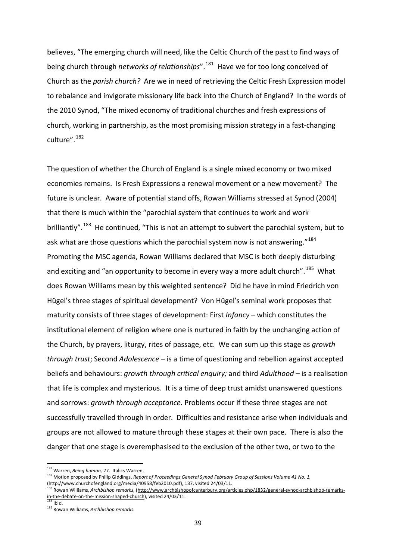believes, "The emerging church will need, like the Celtic Church of the past to find ways of being church through *networks of relationships*".[181](#page-38-0) Have we for too long conceived of Church as the *parish church?* Are we in need of retrieving the Celtic Fresh Expression model to rebalance and invigorate missionary life back into the Church of England? In the words of the 2010 Synod, "The mixed economy of traditional churches and fresh expressions of church, working in partnership, as the most promising mission strategy in a fast-changing culture". [182](#page-38-1)

The question of whether the Church of England is a single mixed economy or two mixed economies remains. Is Fresh Expressions a renewal movement or a new movement? The future is unclear. Aware of potential stand offs, Rowan Williams stressed at Synod (2004) that there is much within the "parochial system that continues to work and work brilliantly".<sup>[183](#page-38-2)</sup> He continued, "This is not an attempt to subvert the parochial system, but to ask what are those questions which the parochial system now is not answering."<sup>184</sup> Promoting the MSC agenda, Rowan Williams declared that MSC is both deeply disturbing and exciting and "an opportunity to become in every way a more adult church".<sup>[185](#page-38-4)</sup> What does Rowan Williams mean by this weighted sentence? Did he have in mind Friedrich von Hügel's three stages of spiritual development? Von Hügel's seminal work proposes that maturity consists of three stages of development: First *Infancy* – which constitutes the institutional element of religion where one is nurtured in faith by the unchanging action of the Church, by prayers, liturgy, rites of passage, etc. We can sum up this stage as *growth through trust*; Second *Adolescence* – is a time of questioning and rebellion against accepted beliefs and behaviours: *growth through critical enquiry;* and third *Adulthood* – is a realisation that life is complex and mysterious. It is a time of deep trust amidst unanswered questions and sorrows: *growth through acceptance.* Problems occur if these three stages are not successfully travelled through in order. Difficulties and resistance arise when individuals and groups are not allowed to mature through these stages at their own pace. There is also the danger that one stage is overemphasised to the exclusion of the other two, or two to the

<sup>181</sup> Warren, *Being human,* 27. Italics Warren.

<span id="page-38-1"></span><span id="page-38-0"></span><sup>182</sup> Motion proposed by Philip Giddings, *Report of Proceedings General Synod February Group of Sessions Volume 41 No. 1*, (http://www.churchofengland.org/media/40958/feb2010.pdf), 137, visited 24/03/11.

<span id="page-38-2"></span><sup>183</sup> Rowan Williams, *Archbishop remarks,* [\(http://www.archbishopofcanterbury.org/articles.php/1832/general-synod-archbishop-remarks](http://www.archbishopofcanterbury.org/articles.php/1832/general-synod-archbishop-remarks-in-the-debate-on-the-mission-shaped-church)[in-the-debate-on-the-mission-shaped-church\),](http://www.archbishopofcanterbury.org/articles.php/1832/general-synod-archbishop-remarks-in-the-debate-on-the-mission-shaped-church) visited 24/03/11.<br><sup>184</sup> Ibid

<span id="page-38-3"></span>

<span id="page-38-4"></span><sup>185</sup> Rowan Williams, *Archbishop remarks.*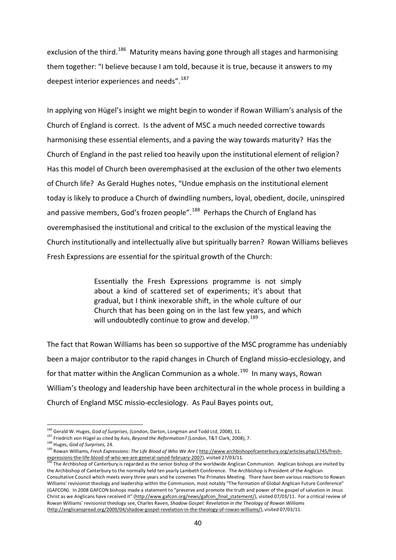exclusion of the third.<sup>186</sup> Maturity means having gone through all stages and harmonising them together: "I believe because I am told, because it is true, because it answers to my deepest interior experiences and needs".<sup>[187](#page-39-1)</sup>

In applying von Hügel's insight we might begin to wonder if Rowan William's analysis of the Church of England is correct. Is the advent of MSC a much needed corrective towards harmonising these essential elements, and a paving the way towards maturity? Has the Church of England in the past relied too heavily upon the institutional element of religion? Has this model of Church been overemphasised at the exclusion of the other two elements of Church life? As Gerald Hughes notes, "Undue emphasis on the institutional element today is likely to produce a Church of dwindling numbers, loyal, obedient, docile, uninspired and passive members, God's frozen people".<sup>188</sup> Perhaps the Church of England has overemphasised the institutional and critical to the exclusion of the mystical leaving the Church institutionally and intellectually alive but spiritually barren? Rowan Williams believes Fresh Expressions are essential for the spiritual growth of the Church:

> Essentially the Fresh Expressions programme is not simply about a kind of scattered set of experiments; it's about that gradual, but I think inexorable shift, in the whole culture of our Church that has been going on in the last few years, and which will undoubtedly continue to grow and develop.<sup>[189](#page-39-3)</sup>

The fact that Rowan Williams has been so supportive of the MSC programme has undeniably been a major contributor to the rapid changes in Church of England missio-ecclesiology, and for that matter within the Anglican Communion as a whole.<sup>[190](#page-39-4)</sup> In many ways, Rowan William's theology and leadership have been architectural in the whole process in building a Church of England MSC missio-ecclesiology. As Paul Bayes points out,

 $\overline{\phantom{a}}$ 

<span id="page-39-0"></span><sup>186</sup> Gerald W. Huges, *God of Surprises*, (London, Darton, Longman and Todd Ltd, 2008), 11.

<span id="page-39-1"></span><sup>187</sup> Friedrich von Hügel as cited by Avis, *Beyond the Reformation?* (London, T&T Clark, 2008), 7.

<sup>188</sup> Huges, *God of Surprises,* 24.

<span id="page-39-3"></span><span id="page-39-2"></span><sup>189</sup> Rowan Williams, *Fresh Expressions: The Life Blood of Who We Are* [\( http://www.archbishopofcanterbury.org/articles.php/1745/fresh](http://www.archbishopofcanterbury.org/articles.php/1745/fresh-expressions-the-life-blood-of-who-we-are-general-synod-february-2007)[expressions-the-life-blood-of-who-we-are-general-synod-february-2007\),](http://www.archbishopofcanterbury.org/articles.php/1745/fresh-expressions-the-life-blood-of-who-we-are-general-synod-february-2007) visited 27/03/11.

<span id="page-39-4"></span><sup>&</sup>lt;sup>190</sup> The Archbishop of Canterbury is regarded as the senior bishop of the worldwide Anglican Communion. Anglican bishops are invited by the Archbishop of Canterbury to the normally held ten yearly Lambeth Conference. The Archbishop is President of the Anglican Consultative Council which meets every three years and he convenes The Primates Meeting. There have been various reactions to Rowan Williams' revisionist theology and leadership within the Communion, most notably "The formation of Global Anglican Future Conference" (GAFCON). In 2008 GAFCON bishops made a statement to "preserve and promote the truth and power of the gospel of salvation in Jesus Christ as we Anglicans have received it" (http://www.gafcon.org/news/gafcon final statement/), visited 07/03/11. For a critical review of Rowan Williams' revisionist theology see, Charles Raven, *Shadow Gospel: Revelation in the Theology of Rowan Williams* [\(http://anglicanspread.org/2009/04/shadow-gospel-revelation-in-the-theology-of-rowan-williams/\)](http://anglicanspread.org/2009/04/shadow-gospel-revelation-in-the-theology-of-rowan-williams/), visited 07/03/11.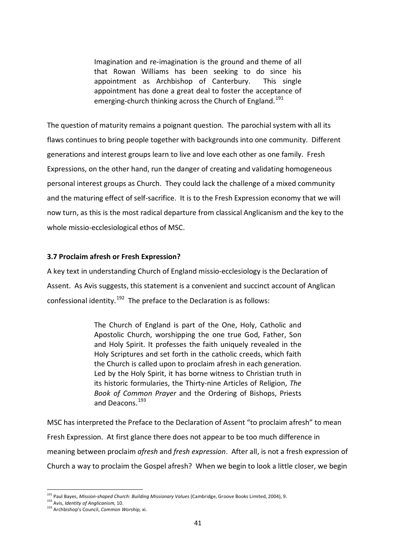Imagination and re-imagination is the ground and theme of all that Rowan Williams has been seeking to do since his appointment as Archbishop of Canterbury. This single appointment has done a great deal to foster the acceptance of emerging-church thinking across the Church of England.<sup>[191](#page-40-0)</sup>

The question of maturity remains a poignant question. The parochial system with all its flaws continues to bring people together with backgrounds into one community. Different generations and interest groups learn to live and love each other as one family. Fresh Expressions, on the other hand, run the danger of creating and validating homogeneous personal interest groups as Church. They could lack the challenge of a mixed community and the maturing effect of self-sacrifice. It is to the Fresh Expression economy that we will now turn, as this is the most radical departure from classical Anglicanism and the key to the whole missio-ecclesiological ethos of MSC.

# **3.7 Proclaim afresh or Fresh Expression?**

A key text in understanding Church of England missio-ecclesiology is the Declaration of Assent. As Avis suggests, this statement is a convenient and succinct account of Anglican confessional identity.<sup>[192](#page-40-1)</sup> The preface to the Declaration is as follows:

> The Church of England is part of the One, Holy, Catholic and Apostolic Church, worshipping the one true God, Father, Son and Holy Spirit. It professes the faith uniquely revealed in the Holy Scriptures and set forth in the catholic creeds, which faith the Church is called upon to proclaim afresh in each generation. Led by the Holy Spirit, it has borne witness to Christian truth in its historic formularies, the Thirty-nine Articles of Religion, *The Book of Common Prayer* and the Ordering of Bishops, Priests and Deacons.[193](#page-40-2)

MSC has interpreted the Preface to the Declaration of Assent "to proclaim afresh" to mean Fresh Expression. At first glance there does not appear to be too much difference in meaning between proclaim *afresh* and *fresh expression*. After all, is not a fresh expression of Church a way to proclaim the Gospel afresh? When we begin to look a little closer, we begin

<span id="page-40-0"></span><sup>&</sup>lt;sup>191</sup> Paul Bayes, *Mission-shaped Church: Building Missionary Values* (Cambridge, Groove Books Limited, 2004), 9.<br><sup>192</sup> Avis, *Identity of Anglicanism,* 10.

<span id="page-40-2"></span><span id="page-40-1"></span><sup>193</sup> Archbishop's Council, *Common Worship,* xi.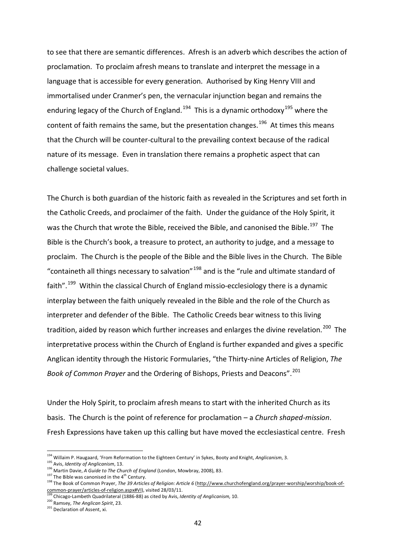to see that there are semantic differences. Afresh is an adverb which describes the action of proclamation. To proclaim afresh means to translate and interpret the message in a language that is accessible for every generation. Authorised by King Henry VIII and immortalised under Cranmer's pen, the vernacular injunction began and remains the enduring legacy of the Church of England.<sup>[194](#page-41-0)</sup> This is a dynamic orthodoxy<sup>[195](#page-41-1)</sup> where the content of faith remains the same, but the presentation changes.<sup>[196](#page-41-2)</sup> At times this means that the Church will be counter-cultural to the prevailing context because of the radical nature of its message. Even in translation there remains a prophetic aspect that can challenge societal values.

The Church is both guardian of the historic faith as revealed in the Scriptures and set forth in the Catholic Creeds, and proclaimer of the faith. Under the guidance of the Holy Spirit, it was the Church that wrote the Bible, received the Bible, and canonised the Bible.<sup>[197](#page-41-3)</sup> The Bible is the Church's book, a treasure to protect, an authority to judge, and a message to proclaim. The Church is the people of the Bible and the Bible lives in the Church. The Bible "containeth all things necessary to salvation"<sup>[198](#page-41-4)</sup> and is the "rule and ultimate standard of faith".<sup>[199](#page-41-5)</sup> Within the classical Church of England missio-ecclesiology there is a dynamic interplay between the faith uniquely revealed in the Bible and the role of the Church as interpreter and defender of the Bible. The Catholic Creeds bear witness to this living tradition, aided by reason which further increases and enlarges the divine revelation.<sup>200</sup> The interpretative process within the Church of England is further expanded and gives a specific Anglican identity through the Historic Formularies, "the Thirty-nine Articles of Religion, *The Book of Common Prayer* and the Ordering of Bishops, Priests and Deacons".[201](#page-41-7)

Under the Holy Spirit, to proclaim afresh means to start with the inherited Church as its basis. The Church is the point of reference for proclamation – a *Church shaped-mission*. Fresh Expressions have taken up this calling but have moved the ecclesiastical centre. Fresh

<span id="page-41-6"></span>200 Ramsey, The Anglican Spirit, 23.<br>201 Declaration of Assent, xi.

<span id="page-41-0"></span><sup>194</sup> Willaim P. Haugaard, 'From Reformation to the Eighteen Century' in Sykes, Booty and Knight, *Anglicanism*, 3.

<sup>195</sup> Avis, *Identity of Anglicanism*, 13.

<span id="page-41-2"></span><span id="page-41-1"></span><sup>&</sup>lt;sup>196</sup> Martin Davie, *A Guide to The Church of England* (London, Mowbray, 2008), 83.<br><sup>197</sup> The Bible was canonised in the 4<sup>th</sup> Century.

<span id="page-41-4"></span><span id="page-41-3"></span><sup>&</sup>lt;sup>198</sup> The Book of Common Prayer, *The 39 Articles of Religion: Article 6* [\(http://www.churchofengland.org/prayer-worship/worship/book-of](http://www.churchofengland.org/prayer-worship/worship/book-of-common-prayer/articles-of-religion.aspx#VI)[common-prayer/articles-of-religion.aspx#VI\)](http://www.churchofengland.org/prayer-worship/worship/book-of-common-prayer/articles-of-religion.aspx#VI), visited 28/03/11.

<span id="page-41-5"></span><sup>&</sup>lt;sup>199</sup> Chicago-Lambeth Quadrilateral (1886-88) as cited by Avis, *Identity of Anglicanism,* 10.<br><sup>200</sup> Ramsey, *The Anglican Spirit*, 23.

<span id="page-41-7"></span>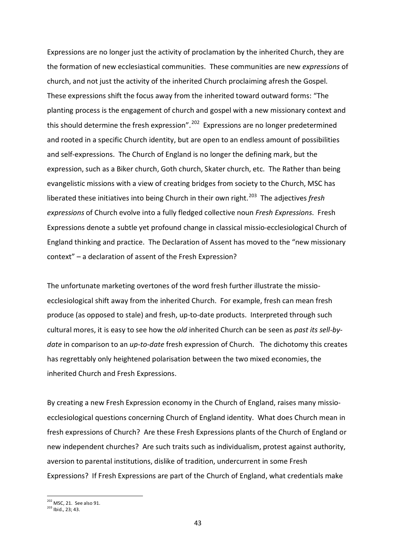Expressions are no longer just the activity of proclamation by the inherited Church, they are the formation of new ecclesiastical communities. These communities are new *expressions* of church, and not just the activity of the inherited Church proclaiming afresh the Gospel. These expressions shift the focus away from the inherited toward outward forms: "The planting process is the engagement of church and gospel with a new missionary context and this should determine the fresh expression".<sup>[202](#page-42-0)</sup> Expressions are no longer predetermined and rooted in a specific Church identity, but are open to an endless amount of possibilities and self-expressions. The Church of England is no longer the defining mark, but the expression, such as a Biker church, Goth church, Skater church, etc. The Rather than being evangelistic missions with a view of creating bridges from society to the Church, MSC has liberated these initiatives into being Church in their own right.<sup>[203](#page-42-1)</sup> The adjectives *fresh expressions* of Church evolve into a fully fledged collective noun *Fresh Expressions*. Fresh Expressions denote a subtle yet profound change in classical missio-ecclesiological Church of England thinking and practice. The Declaration of Assent has moved to the "new missionary context" – a declaration of assent of the Fresh Expression?

The unfortunate marketing overtones of the word fresh further illustrate the missioecclesiological shift away from the inherited Church. For example, fresh can mean fresh produce (as opposed to stale) and fresh, up-to-date products. Interpreted through such cultural mores, it is easy to see how the *old* inherited Church can be seen as *past its sell-bydate* in comparison to an *up-to-date* fresh expression of Church. The dichotomy this creates has regrettably only heightened polarisation between the two mixed economies, the inherited Church and Fresh Expressions.

By creating a new Fresh Expression economy in the Church of England, raises many missioecclesiological questions concerning Church of England identity. What does Church mean in fresh expressions of Church? Are these Fresh Expressions plants of the Church of England or new independent churches? Are such traits such as individualism, protest against authority, aversion to parental institutions, dislike of tradition, undercurrent in some Fresh Expressions? If Fresh Expressions are part of the Church of England, what credentials make

<span id="page-42-0"></span><sup>202</sup> MSC, 21. See also 91.

<span id="page-42-1"></span><sup>203</sup> Ibid., 23; 43.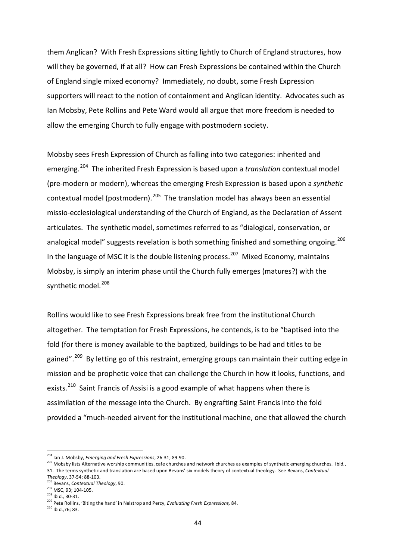them Anglican? With Fresh Expressions sitting lightly to Church of England structures, how will they be governed, if at all? How can Fresh Expressions be contained within the Church of England single mixed economy? Immediately, no doubt, some Fresh Expression supporters will react to the notion of containment and Anglican identity. Advocates such as Ian Mobsby, Pete Rollins and Pete Ward would all argue that more freedom is needed to allow the emerging Church to fully engage with postmodern society.

Mobsby sees Fresh Expression of Church as falling into two categories: inherited and emerging.[204](#page-43-0) The inherited Fresh Expression is based upon a *translation* contextual model (pre-modern or modern), whereas the emerging Fresh Expression is based upon a *synthetic* contextual model (postmodern).<sup>205</sup> The translation model has always been an essential missio-ecclesiological understanding of the Church of England, as the Declaration of Assent articulates. The synthetic model, sometimes referred to as "dialogical, conservation, or analogical model" suggests revelation is both something finished and something ongoing.<sup>206</sup> In the language of MSC it is the double listening process.<sup>207</sup> Mixed Economy, maintains Mobsby, is simply an interim phase until the Church fully emerges (matures?) with the synthetic model.<sup>208</sup>

Rollins would like to see Fresh Expressions break free from the institutional Church altogether. The temptation for Fresh Expressions, he contends, is to be "baptised into the fold (for there is money available to the baptized, buildings to be had and titles to be gained".<sup>[209](#page-43-5)</sup> By letting go of this restraint, emerging groups can maintain their cutting edge in mission and be prophetic voice that can challenge the Church in how it looks, functions, and exists.<sup>[210](#page-43-6)</sup> Saint Francis of Assisi is a good example of what happens when there is assimilation of the message into the Church. By engrafting Saint Francis into the fold provided a "much-needed airvent for the institutional machine, one that allowed the church

<span id="page-43-0"></span><sup>204</sup> Ian J. Mobsby, *Emerging and Fresh Expressions*, 26-31; 89-90.

<span id="page-43-1"></span><sup>&</sup>lt;sup>205</sup> Mobsby lists Alternative worship communities, cafe churches and network churches as examples of synthetic emerging churches. Ibid., 31. The terms synthetic and translation are based upon Bevans' six models theory of contextual theology. See Bevans, *Contextual* 

*Theology*, 37-54; 88-103. <sup>206</sup> Bevans, *Contextual Theology*, 90.

<span id="page-43-3"></span><span id="page-43-2"></span> $\frac{^{207}}{^{208}}$  MSC, 93; 104-105.<br> $\frac{^{208}}{^{106}}$  lbid., 30-31.

<span id="page-43-5"></span><span id="page-43-4"></span><sup>&</sup>lt;sup>209</sup> Pete Rollins, 'Biting the hand' in Nelstrop and Percy, *Evaluating Fresh Expressions*, 84.

<span id="page-43-6"></span><sup>210</sup> Ibid.,76; 83.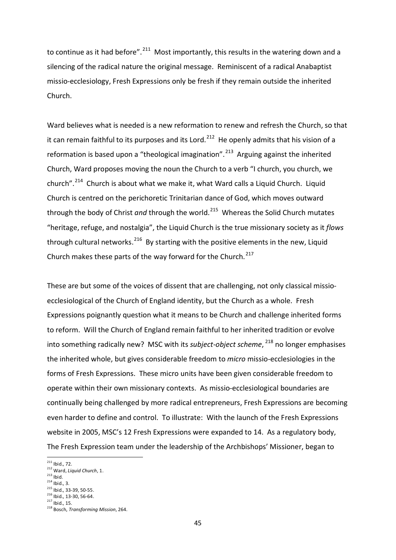to continue as it had before".  $211$  Most importantly, this results in the watering down and a silencing of the radical nature the original message. Reminiscent of a radical Anabaptist missio-ecclesiology, Fresh Expressions only be fresh if they remain outside the inherited Church.

Ward believes what is needed is a new reformation to renew and refresh the Church, so that it can remain faithful to its purposes and its Lord.<sup>212</sup> He openly admits that his vision of a reformation is based upon a "theological imagination".<sup>[213](#page-44-2)</sup> Arguing against the inherited Church, Ward proposes moving the noun the Church to a verb "I church, you church, we church".[214](#page-44-3) Church is about what we make it, what Ward calls a Liquid Church. Liquid Church is centred on the perichoretic Trinitarian dance of God, which moves outward through the body of Christ *and* through the world.<sup>[215](#page-44-4)</sup> Whereas the Solid Church mutates "heritage, refuge, and nostalgia", the Liquid Church is the true missionary society as it *flows* through cultural networks.  $216$  By starting with the positive elements in the new, Liquid Church makes these parts of the way forward for the Church.<sup>217</sup>

These are but some of the voices of dissent that are challenging, not only classical missioecclesiological of the Church of England identity, but the Church as a whole. Fresh Expressions poignantly question what it means to be Church and challenge inherited forms to reform. Will the Church of England remain faithful to her inherited tradition or evolve into something radically new? MSC with its *subject-object scheme*, [218](#page-44-7) no longer emphasises the inherited whole, but gives considerable freedom to *micro* missio-ecclesiologies in the forms of Fresh Expressions. These micro units have been given considerable freedom to operate within their own missionary contexts. As missio-ecclesiological boundaries are continually being challenged by more radical entrepreneurs, Fresh Expressions are becoming even harder to define and control. To illustrate: With the launch of the Fresh Expressions website in 2005, MSC's 12 Fresh Expressions were expanded to 14. As a regulatory body, The Fresh Expression team under the leadership of the Archbishops' Missioner, began to

 $\overline{\phantom{a}}$ 

<span id="page-44-3"></span><span id="page-44-2"></span> $214$  Ibid., 3.

<span id="page-44-5"></span><span id="page-44-4"></span> $\frac{216}{217}$  lbid., 13-30, 56-64.

 $^{211}$  Ihid., 72.

<span id="page-44-1"></span><span id="page-44-0"></span><sup>212</sup> Ward, *Liquid Church*, 1.<br><sup>213</sup> Ihid.

<sup>215</sup> Ibid., 33-39, 50-55.

<span id="page-44-7"></span><span id="page-44-6"></span><sup>218</sup> Bosch, *Transforming Mission*, 264.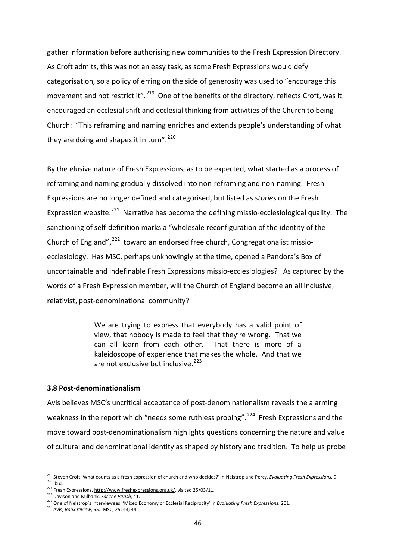gather information before authorising new communities to the Fresh Expression Directory. As Croft admits, this was not an easy task, as some Fresh Expressions would defy categorisation, so a policy of erring on the side of generosity was used to "encourage this movement and not restrict it".<sup>[219](#page-45-0)</sup> One of the benefits of the directory, reflects Croft, was it encouraged an ecclesial shift and ecclesial thinking from activities of the Church to being Church: "This reframing and naming enriches and extends people's understanding of what they are doing and shapes it in turn".<sup>[220](#page-45-1)</sup>

By the elusive nature of Fresh Expressions, as to be expected, what started as a process of reframing and naming gradually dissolved into non-reframing and non-naming. Fresh Expressions are no longer defined and categorised, but listed as *stories* on the Fresh Expression website.<sup>221</sup> Narrative has become the defining missio-ecclesiological quality. The sanctioning of self-definition marks a "wholesale reconfiguration of the identity of the Church of England",  $^{222}$  $^{222}$  $^{222}$  toward an endorsed free church, Congregationalist missioecclesiology. Has MSC, perhaps unknowingly at the time, opened a Pandora's Box of uncontainable and indefinable Fresh Expressions missio-ecclesiologies? As captured by the words of a Fresh Expression member, will the Church of England become an all inclusive, relativist, post-denominational community?

> We are trying to express that everybody has a valid point of view, that nobody is made to feel that they're wrong. That we can all learn from each other. That there is more of a kaleidoscope of experience that makes the whole. And that we are not exclusive but inclusive. $223$

## **3.8 Post-denominationalism**

Avis believes MSC's uncritical acceptance of post-denominationalism reveals the alarming weakness in the report which "needs some ruthless probing".<sup>[224](#page-45-5)</sup> Fresh Expressions and the move toward post-denominationalism highlights questions concerning the nature and value of cultural and denominational identity as shaped by history and tradition. To help us probe

<span id="page-45-1"></span><span id="page-45-0"></span><sup>219</sup> Steven Croft 'What counts as a fresh expression of church and who decides?' in Nelstrop and Percy, *Evaluating Fresh Expressions,* 9. 220 Ibid.<br>
<sup>220</sup> Ibid.<br>
<sup>221</sup> Fresh Expressions, <u>http://www.freshexpressions.org.uk/</u>, visited 25/03/11.<br>
<sup>222</sup> Davison and Milbank, *For the Parish*, 41.

<span id="page-45-2"></span>

<span id="page-45-4"></span><span id="page-45-3"></span><sup>222</sup> Davison and Milbank, *For the Parish*, 41. <sup>223</sup> One of Nelstrop's interviewees, 'Mixed Economy or Ecclesial Reciprocity' in *Evaluating Fresh Expressions,* 201.

<span id="page-45-5"></span><sup>224</sup> Avis, *Book review*, 55. MSC, 25; 43; 44.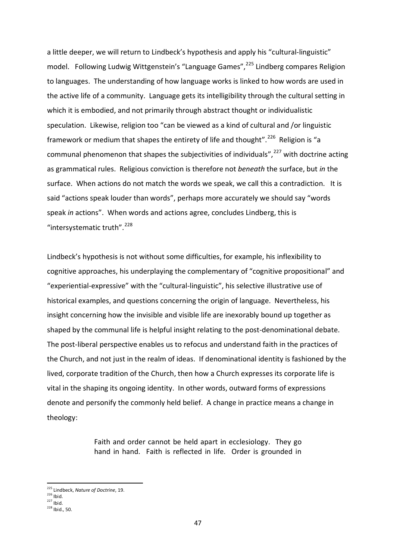a little deeper, we will return to Lindbeck's hypothesis and apply his "cultural-linguistic" model. Following Ludwig Wittgenstein's "Language Games", <sup>[225](#page-46-0)</sup> Lindberg compares Religion to languages. The understanding of how language works is linked to how words are used in the active life of a community. Language gets its intelligibility through the cultural setting in which it is embodied, and not primarily through abstract thought or individualistic speculation. Likewise, religion too "can be viewed as a kind of cultural and /or linguistic framework or medium that shapes the entirety of life and thought".<sup>[226](#page-46-1)</sup> Religion is "a communal phenomenon that shapes the subjectivities of individuals", $^{227}$  $^{227}$  $^{227}$  with doctrine acting as grammatical rules. Religious conviction is therefore not *beneath* the surface, but *in* the surface. When actions do not match the words we speak, we call this a contradiction. It is said "actions speak louder than words", perhaps more accurately we should say "words speak *in* actions". When words and actions agree, concludes Lindberg, this is "intersystematic truth".<sup>[228](#page-46-3)</sup>

Lindbeck's hypothesis is not without some difficulties, for example, his inflexibility to cognitive approaches, his underplaying the complementary of "cognitive propositional" and "experiential-expressive" with the "cultural-linguistic", his selective illustrative use of historical examples, and questions concerning the origin of language. Nevertheless, his insight concerning how the invisible and visible life are inexorably bound up together as shaped by the communal life is helpful insight relating to the post-denominational debate. The post-liberal perspective enables us to refocus and understand faith in the practices of the Church, and not just in the realm of ideas. If denominational identity is fashioned by the lived, corporate tradition of the Church, then how a Church expresses its corporate life is vital in the shaping its ongoing identity. In other words, outward forms of expressions denote and personify the commonly held belief. A change in practice means a change in theology:

> Faith and order cannot be held apart in ecclesiology. They go hand in hand. Faith is reflected in life. Order is grounded in

<sup>225</sup> Lindbeck, *Nature of Doctrine*, 19.

<span id="page-46-3"></span><span id="page-46-2"></span>

<span id="page-46-1"></span><span id="page-46-0"></span> $^{226}$  Ibid.<br> $^{227}$  Ibid.<br> $^{228}$  Ibid., 50.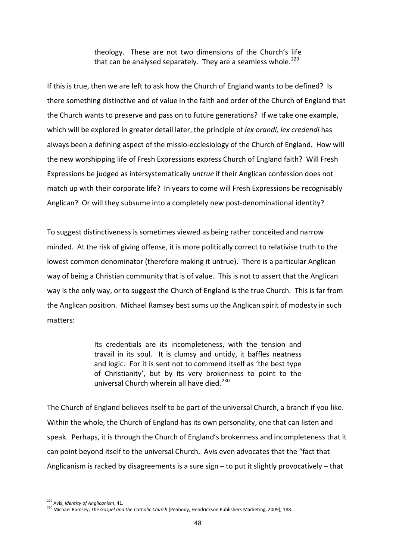theology. These are not two dimensions of the Church's life that can be analysed separately. They are a seamless whole.<sup>[229](#page-47-0)</sup>

If this is true, then we are left to ask how the Church of England wants to be defined? Is there something distinctive and of value in the faith and order of the Church of England that the Church wants to preserve and pass on to future generations? If we take one example, which will be explored in greater detail later, the principle of *lex orandi, lex credendi* has always been a defining aspect of the missio-ecclesiology of the Church of England. How will the new worshipping life of Fresh Expressions express Church of England faith? Will Fresh Expressions be judged as intersystematically *untrue* if their Anglican confession does not match up with their corporate life? In years to come will Fresh Expressions be recognisably Anglican? Or will they subsume into a completely new post-denominational identity?

To suggest distinctiveness is sometimes viewed as being rather conceited and narrow minded. At the risk of giving offense, it is more politically correct to relativise truth to the lowest common denominator (therefore making it untrue). There is a particular Anglican way of being a Christian community that is of value. This is not to assert that the Anglican way is the only way, or to suggest the Church of England is the true Church. This is far from the Anglican position. Michael Ramsey best sums up the Anglican spirit of modesty in such matters:

> Its credentials are its incompleteness, with the tension and travail in its soul. It is clumsy and untidy, it baffles neatness and logic. For it is sent not to commend itself as 'the best type of Christianity', but by its very brokenness to point to the universal Church wherein all have died.<sup>[230](#page-47-1)</sup>

The Church of England believes itself to be part of the universal Church, a branch if you like. Within the whole, the Church of England has its own personality, one that can listen and speak. Perhaps, it is through the Church of England's brokenness and incompleteness that it can point beyond itself to the universal Church. Avis even advocates that the "fact that Anglicanism is racked by disagreements is a sure sign – to put it slightly provocatively – that

<span id="page-47-0"></span><sup>229</sup> Avis, *Identity of Anglicanism*, 41.

<span id="page-47-1"></span><sup>230</sup> Michael Ramsey, *The Gospel and the Catholic Church* (Peabody, Hendrickson Publishers Marketing, 2009), 188.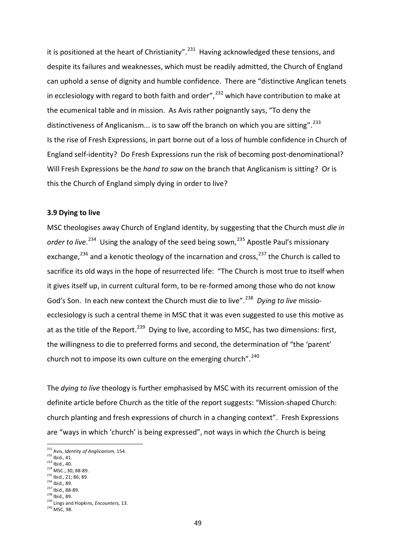it is positioned at the heart of Christianity".<sup>[231](#page-48-0)</sup> Having acknowledged these tensions, and despite its failures and weaknesses, which must be readily admitted, the Church of England can uphold a sense of dignity and humble confidence. There are "distinctive Anglican tenets in ecclesiology with regard to both faith and order", $232$  which have contribution to make at the ecumenical table and in mission. As Avis rather poignantly says, "To deny the distinctiveness of Anglicanism... is to saw off the branch on which you are sitting".  $^{233}$  $^{233}$  $^{233}$ Is the rise of Fresh Expressions, in part borne out of a loss of humble confidence in Church of England self-identity? Do Fresh Expressions run the risk of becoming post-denominational? Will Fresh Expressions be the *hand to saw* on the branch that Anglicanism is sitting? Or is this the Church of England simply dying in order to live?

#### **3.9 Dying to live**

MSC theologises away Church of England identity, by suggesting that the Church must *die in*  order to live.<sup>234</sup> Using the analogy of the seed being sown,<sup>[235](#page-48-4)</sup> Apostle Paul's missionary exchange,<sup>[236](#page-48-5)</sup> and a kenotic theology of the incarnation and cross,<sup>[237](#page-48-6)</sup> the Church is called to sacrifice its old ways in the hope of resurrected life: "The Church is most true to itself when it gives itself up, in current cultural form, to be re-formed among those who do not know God's Son. In each new context the Church must die to live".<sup>[238](#page-48-7)</sup> Dying to live missioecclesiology is such a central theme in MSC that it was even suggested to use this motive as at as the title of the Report.<sup>[239](#page-48-8)</sup> Dying to live, according to MSC, has two dimensions: first, the willingness to die to preferred forms and second, the determination of "the 'parent' church not to impose its own culture on the emerging church".<sup>[240](#page-48-9)</sup>

The *dying to live* theology is further emphasised by MSC with its recurrent omission of the definite article before Church as the title of the report suggests: "Mission-shaped Church: church planting and fresh expressions of church in a changing context". Fresh Expressions are "ways in which 'church' is being expressed", not ways in which *the* Church is being

 $\overline{\phantom{a}}$ 

- <span id="page-48-2"></span>
- <span id="page-48-3"></span> $\frac{^{235}}{^{236}}$  Ibid., 21; 86; 89.<br> $\frac{^{236}}{^{236}}$  Ibid., 89.
- <span id="page-48-5"></span><span id="page-48-4"></span>
- <span id="page-48-6"></span>
- $^{237}$  Ibid., 88-89.<br> $^{238}$  Ibid., 89.

<span id="page-48-1"></span><span id="page-48-0"></span><sup>&</sup>lt;sup>231</sup> Avis, *Identity of Anglicanism*, 154.<br><sup>232</sup> Ibid., 41.<br><sup>233</sup> Ibid., 40.<br><sup>234</sup> MSC., 30; 88-89.

<span id="page-48-8"></span><span id="page-48-7"></span><sup>&</sup>lt;sup>239</sup> Lings and Hopkins, *Encounters*, 13.

<span id="page-48-9"></span><sup>&</sup>lt;sup>240</sup> MSC, 98.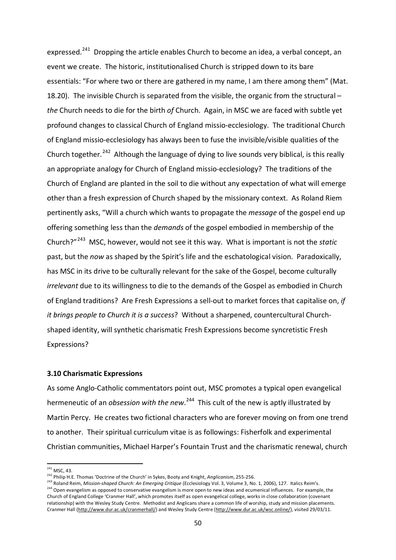expressed.<sup>241</sup> Dropping the article enables Church to become an idea, a verbal concept, an event we create. The historic, institutionalised Church is stripped down to its bare essentials: "For where two or there are gathered in my name, I am there among them" (Mat. 18.20). The invisible Church is separated from the visible, the organic from the structural – *the* Church needs to die for the birth *of* Church. Again, in MSC we are faced with subtle yet profound changes to classical Church of England missio-ecclesiology. The traditional Church of England missio-ecclesiology has always been to fuse the invisible/visible qualities of the Church together.<sup>[242](#page-49-1)</sup> Although the language of dying to live sounds very biblical, is this really an appropriate analogy for Church of England missio-ecclesiology? The traditions of the Church of England are planted in the soil to die without any expectation of what will emerge other than a fresh expression of Church shaped by the missionary context. As Roland Riem pertinently asks, "Will a church which wants to propagate the *message* of the gospel end up offering something less than the *demands* of the gospel embodied in membership of the Church?"[243](#page-49-2) MSC, however, would not see it this way. What is important is not the *static* past, but the *now* as shaped by the Spirit's life and the eschatological vision. Paradoxically, has MSC in its drive to be culturally relevant for the sake of the Gospel, become culturally *irrelevant* due to its willingness to die to the demands of the Gospel as embodied in Church of England traditions? Are Fresh Expressions a sell-out to market forces that capitalise on, *if it brings people to Church it is a success*? Without a sharpened, countercultural Churchshaped identity, will synthetic charismatic Fresh Expressions become syncretistic Fresh Expressions?

#### **3.10 Charismatic Expressions**

As some Anglo-Catholic commentators point out, MSC promotes a typical open evangelical hermeneutic of an *obsession with the new*.<sup>[244](#page-49-3)</sup> This cult of the new is aptly illustrated by Martin Percy. He creates two fictional characters who are forever moving on from one trend to another. Their spiritual curriculum vitae is as followings: Fisherfolk and experimental Christian communities, Michael Harper's Fountain Trust and the charismatic renewal, church

 $241$  MSC, 43.

<span id="page-49-3"></span><span id="page-49-2"></span><span id="page-49-1"></span><span id="page-49-0"></span><sup>&</sup>lt;sup>242</sup> Philip H.E. Thomas 'Doctrine of the Church' in Sykes, Booty and Knight, *Anglicanism*, 255-256.<br><sup>243</sup> Roland Reim, *Mission-shaped Church: An Emerging Critique* (Ecclesiology Vol. 3, Volume 3, No. 1, 2006), 127. Ital Church of England College 'Cranmer Hall', which promotes itself as open evangelical college, works in close collaboration (covenant relationship) with the Wesley Study Centre. Methodist and Anglicans share a common life of worship, study and mission placements. Cranmer Hall [\(http://www.dur.ac.uk/cranmerhall/\)](http://www.dur.ac.uk/cranmerhall/) and Wesley Study Centre [\(http://www.dur.ac.uk/wsc.online/\),](http://www.dur.ac.uk/wsc.online/) visited 29/03/11.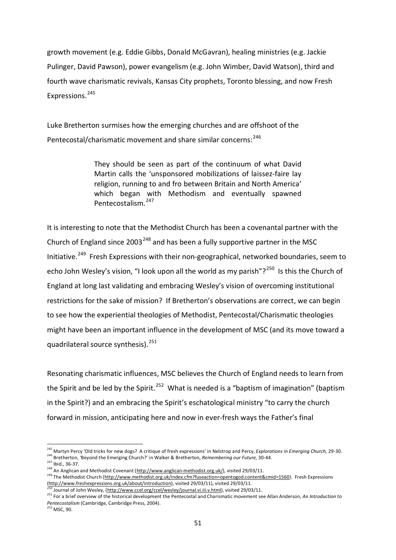growth movement (e.g. Eddie Gibbs, Donald McGavran), healing ministries (e.g. Jackie Pulinger, David Pawson), power evangelism (e.g. John Wimber, David Watson), third and fourth wave charismatic revivals, Kansas City prophets, Toronto blessing, and now Fresh Expressions. [245](#page-50-0) 

Luke Bretherton surmises how the emerging churches and are offshoot of the Pentecostal/charismatic movement and share similar concerns:<sup>[246](#page-50-1)</sup>

> They should be seen as part of the continuum of what David Martin calls the 'unsponsored mobilizations of laissez-faire lay religion, running to and fro between Britain and North America' which began with Methodism and eventually spawned Pentecostalism.[247](#page-50-2)

It is interesting to note that the Methodist Church has been a covenantal partner with the Church of England since 2003<sup>[248](#page-50-3)</sup> and has been a fully supportive partner in the MSC Initiative.<sup>[249](#page-50-4)</sup> Fresh Expressions with their non-geographical, networked boundaries, seem to echo John Wesley's vision, "I look upon all the world as my parish"?<sup>250</sup> Is this the Church of England at long last validating and embracing Wesley's vision of overcoming institutional restrictions for the sake of mission? If Bretherton's observations are correct, we can begin to see how the experiential theologies of Methodist, Pentecostal/Charismatic theologies might have been an important influence in the development of MSC (and its move toward a quadrilateral source synthesis).<sup>251</sup>

Resonating charismatic influences, MSC believes the Church of England needs to learn from the Spirit and be led by the Spirit.<sup>[252](#page-50-7)</sup> What is needed is a "baptism of imagination" (baptism in the Spirit?) and an embracing the Spirit's eschatological ministry "to carry the church forward in mission, anticipating here and now in ever-fresh ways the Father's final

 $\overline{\phantom{a}}$ 

<span id="page-50-1"></span><span id="page-50-0"></span><sup>245</sup> Martyn Percy 'Old tricks for new dogs? A critique of fresh expressions' in Nelstrop and Percy, *Explorations in Emerging Church,* 29-30. <sup>246</sup> Bretherton, 'Beyond the Emerging Church?' in Walker & Bretherton, *Remembering our Future,* 30-44.

<span id="page-50-3"></span><span id="page-50-2"></span><sup>248</sup> An Anglican and Methodist Covenant [\(http://www.anglican-methodist.org.uk/\)](http://www.anglican-methodist.org.uk/), visited 29/03/11.

<span id="page-50-4"></span><sup>249</sup> The Methodist Church [\(http://www.methodist.org.uk/index.cfm?fuseaction=opentogod.content&cmid=1560\).](http://www.methodist.org.uk/index.cfm?fuseaction=opentogod.content&cmid=1560) Fresh Expressions [\(http://www.freshexpressions.org.uk/about/introduction\),](http://www.freshexpressions.org.uk/about/introduction) visited 29/03/11), visited 29/03/11.

<sup>&</sup>lt;sup>2</sup><br>Journal of John Wesley, [\(http://www.ccel.org/ccel/wesley/journal.vi.iii.v.html\)](http://www.ccel.org/ccel/wesley/journal.vi.iii.v.html), visited 29/03/11.

<span id="page-50-6"></span><span id="page-50-5"></span><sup>251</sup> For a brief overview of the historical development the Pentecostal and Charismatic movement see Allan Anderson, *An Introduction to*  Pentecostalism (Cambridge, Cambridge Press, 2004).<br><sup>252</sup> MSC. 90.

<span id="page-50-7"></span>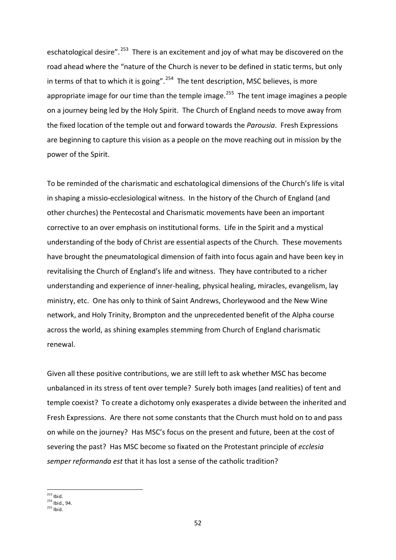eschatological desire".<sup>[253](#page-51-0)</sup> There is an excitement and joy of what may be discovered on the road ahead where the "nature of the Church is never to be defined in static terms, but only in terms of that to which it is going".<sup>[254](#page-51-1)</sup> The tent description, MSC believes, is more appropriate image for our time than the temple image.<sup>[255](#page-51-2)</sup> The tent image imagines a people on a journey being led by the Holy Spirit. The Church of England needs to move away from the fixed location of the temple out and forward towards the *Parousia*. Fresh Expressions are beginning to capture this vision as a people on the move reaching out in mission by the power of the Spirit.

To be reminded of the charismatic and eschatological dimensions of the Church's life is vital in shaping a missio-ecclesiological witness. In the history of the Church of England (and other churches) the Pentecostal and Charismatic movements have been an important corrective to an over emphasis on institutional forms. Life in the Spirit and a mystical understanding of the body of Christ are essential aspects of the Church. These movements have brought the pneumatological dimension of faith into focus again and have been key in revitalising the Church of England's life and witness. They have contributed to a richer understanding and experience of inner-healing, physical healing, miracles, evangelism, lay ministry, etc. One has only to think of Saint Andrews, Chorleywood and the New Wine network, and Holy Trinity, Brompton and the unprecedented benefit of the Alpha course across the world, as shining examples stemming from Church of England charismatic renewal.

Given all these positive contributions, we are still left to ask whether MSC has become unbalanced in its stress of tent over temple? Surely both images (and realities) of tent and temple coexist? To create a dichotomy only exasperates a divide between the inherited and Fresh Expressions. Are there not some constants that the Church must hold on to and pass on while on the journey? Has MSC's focus on the present and future, been at the cost of severing the past? Has MSC become so fixated on the Protestant principle of *ecclesia semper reformanda est* that it has lost a sense of the catholic tradition?

<span id="page-51-0"></span> $253$  Ibid.  $254$  Ibid., 94.

<span id="page-51-2"></span><span id="page-51-1"></span> $255$  Ibid.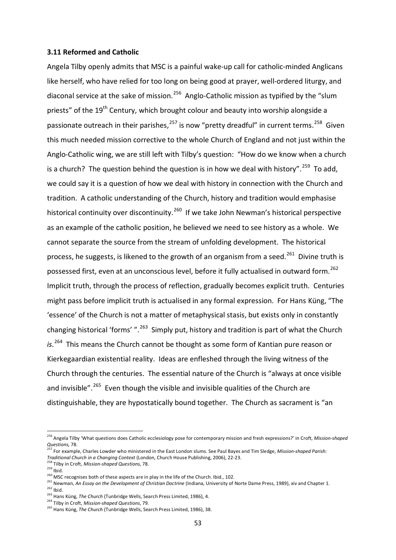#### **3.11 Reformed and Catholic**

Angela Tilby openly admits that MSC is a painful wake-up call for catholic-minded Anglicans like herself, who have relied for too long on being good at prayer, well-ordered liturgy, and diaconal service at the sake of mission.<sup>256</sup> Anglo-Catholic mission as typified by the "slum priests" of the 19<sup>th</sup> Century, which brought colour and beauty into worship alongside a passionate outreach in their parishes,<sup>[257](#page-52-1)</sup> is now "pretty dreadful" in current terms.<sup>258</sup> Given this much needed mission corrective to the whole Church of England and not just within the Anglo-Catholic wing, we are still left with Tilby's question: "How do we know when a church is a church? The question behind the question is in how we deal with history".<sup>259</sup> To add, we could say it is a question of how we deal with history in connection with the Church and tradition. A catholic understanding of the Church, history and tradition would emphasise historical continuity over discontinuity.<sup>260</sup> If we take John Newman's historical perspective as an example of the catholic position, he believed we need to see history as a whole. We cannot separate the source from the stream of unfolding development. The historical process, he suggests, is likened to the growth of an organism from a seed.<sup>[261](#page-52-5)</sup> Divine truth is possessed first, even at an unconscious level, before it fully actualised in outward form.<sup>[262](#page-52-6)</sup> Implicit truth, through the process of reflection, gradually becomes explicit truth. Centuries might pass before implicit truth is actualised in any formal expression. For Hans Küng, "The 'essence' of the Church is not a matter of metaphysical stasis, but exists only in constantly changing historical 'forms' ".<sup>[263](#page-52-7)</sup> Simply put, history and tradition is part of what the Church *is*. [264](#page-52-8) This means the Church cannot be thought as some form of Kantian pure reason or Kierkegaardian existential reality. Ideas are enfleshed through the living witness of the Church through the centuries. The essential nature of the Church is "always at once visible and invisible".<sup>[265](#page-52-9)</sup> Even though the visible and invisible qualities of the Church are distinguishable, they are hypostatically bound together. The Church as sacrament is "an

<span id="page-52-0"></span><sup>256</sup> Angela Tilby 'What questions does Catholic ecclesiology pose for contemporary mission and fresh expressions?' in Croft, *Mission-shaped Questions,* 78.

<span id="page-52-1"></span><sup>257</sup> For example, Charles Lowder who ministered in the East London slums. See Paul Bayes and Tim Sledge, *Mission-shaped Parish: Traditional Church in a Changing Context* (London, Church House Publishing, 2006), 22-23.<br><sup>258</sup> Tilby in Croft, *Mission-shaped Questions, 78*.

<span id="page-52-3"></span>

<span id="page-52-2"></span><sup>259</sup> Ibid.<br>259 Ibid.<br>260 MSC recognises both of these aspects are in play in the life of the Church. Ibid., 102.

<span id="page-52-5"></span><span id="page-52-4"></span><sup>&</sup>lt;sup>261</sup> Newman, *An Essay on the Development of Christian Doctrine* (Indiana, University of Norte Dame Press, 1989), xiv and Chapter 1.<br><sup>262</sup> Ibid.<br><sup>263</sup> Hans Küng, *The Church* (Tunbridge Wells, Search Press Limited, 1986),

<span id="page-52-7"></span><span id="page-52-6"></span>

<span id="page-52-9"></span><span id="page-52-8"></span><sup>265</sup> Hans Küng, *The Church* (Tunbridge Wells, Search Press Limited, 1986), 38.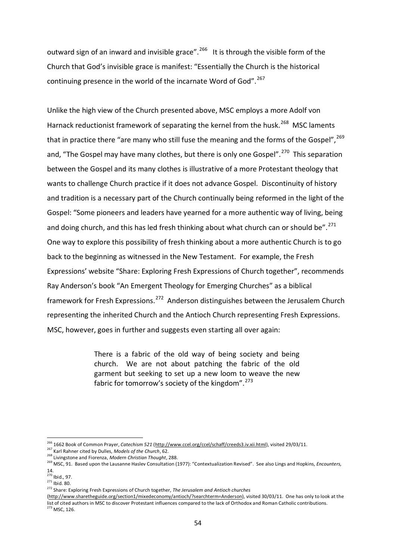outward sign of an inward and invisible grace".<sup>[266](#page-53-0)</sup> It is through the visible form of the Church that God's invisible grace is manifest: "Essentially the Church is the historical continuing presence in the world of the incarnate Word of God".<sup>[267](#page-53-1)</sup>

Unlike the high view of the Church presented above, MSC employs a more Adolf von Harnack reductionist framework of separating the kernel from the husk.<sup>[268](#page-53-2)</sup> MSC laments that in practice there "are many who still fuse the meaning and the forms of the Gospel",  $269$ and, "The Gospel may have many clothes, but there is only one Gospel".<sup>[270](#page-53-4)</sup> This separation between the Gospel and its many clothes is illustrative of a more Protestant theology that wants to challenge Church practice if it does not advance Gospel. Discontinuity of history and tradition is a necessary part of the Church continually being reformed in the light of the Gospel: "Some pioneers and leaders have yearned for a more authentic way of living, being and doing church, and this has led fresh thinking about what church can or should be".  $^{271}$ One way to explore this possibility of fresh thinking about a more authentic Church is to go back to the beginning as witnessed in the New Testament. For example, the Fresh Expressions' website "Share: Exploring Fresh Expressions of Church together", recommends Ray Anderson's book "An Emergent Theology for Emerging Churches" as a biblical framework for Fresh Expressions.<sup>[272](#page-53-6)</sup> Anderson distinguishes between the Jerusalem Church representing the inherited Church and the Antioch Church representing Fresh Expressions. MSC, however, goes in further and suggests even starting all over again:

> There is a fabric of the old way of being society and being church. We are not about patching the fabric of the old garment but seeking to set up a new loom to weave the new fabric for tomorrow's society of the kingdom".<sup>273</sup>

 $\overline{\phantom{a}}$ 

<span id="page-53-0"></span><sup>&</sup>lt;sup>266</sup> 1662 Book of Common Prayer, *Catechism 521* [\(http://www.ccel.org/ccel/schaff/creeds3.iv.xii.html\),](http://www.ccel.org/ccel/schaff/creeds3.iv.xii.html) visited 29/03/11.<br><sup>267</sup> Karl Rahner cited by Dulles, *Models of the Church*, 62.

<span id="page-53-1"></span><sup>&</sup>lt;sup>268</sup> Livingstone and Fiorenza, *Modern Christian Thought*, 288.

<span id="page-53-3"></span><span id="page-53-2"></span><sup>269</sup> MSC, 91. Based upon the Lausanne Haslev Consultation (1977): "Contextualization Revised". See also Lings and Hopkins, *Encounters,*  14.<br><sup>270</sup> Ibid., 97.

<span id="page-53-5"></span><span id="page-53-4"></span> $271$  Ibid. 80.

<sup>272</sup> Share: Exploring Fresh Expressions of Church together, *The Jerusalem and Antioch churches*

<span id="page-53-7"></span><span id="page-53-6"></span>[<sup>\(</sup>http://www.sharetheguide.org/section1/mixedeconomy/antioch/?searchterm=Anderson\),](http://www.sharetheguide.org/section1/mixedeconomy/antioch/?searchterm=Anderson) visited 30/03/11. One has only to look at the list of cited authors in MSC to discover Protestant influences compared to the lack of Orthodox and Roman Catholic contributions.<br><sup>273</sup> MSC, 126.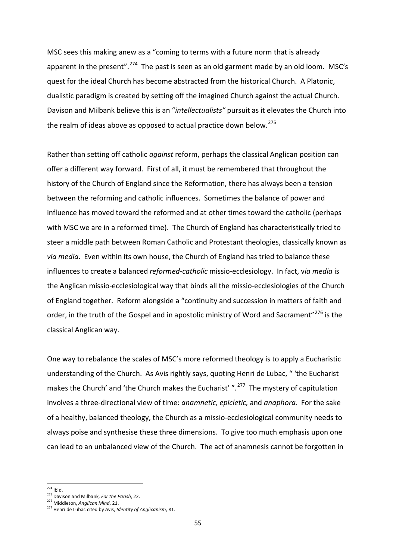MSC sees this making anew as a "coming to terms with a future norm that is already apparent in the present".<sup>[274](#page-54-0)</sup> The past is seen as an old garment made by an old loom. MSC's quest for the ideal Church has become abstracted from the historical Church. A Platonic, dualistic paradigm is created by setting off the imagined Church against the actual Church. Davison and Milbank believe this is an "*intellectualists"* pursuit as it elevates the Church into the realm of ideas above as opposed to actual practice down below.<sup>[275](#page-54-1)</sup>

Rather than setting off catholic *against* reform, perhaps the classical Anglican position can offer a different way forward. First of all, it must be remembered that throughout the history of the Church of England since the Reformation, there has always been a tension between the reforming and catholic influences. Sometimes the balance of power and influence has moved toward the reformed and at other times toward the catholic (perhaps with MSC we are in a reformed time). The Church of England has characteristically tried to steer a middle path between Roman Catholic and Protestant theologies, classically known as *via media*. Even within its own house, the Church of England has tried to balance these influences to create a balanced *reformed-catholic* missio-ecclesiology. In fact, v*ia media* is the Anglican missio-ecclesiological way that binds all the missio-ecclesiologies of the Church of England together. Reform alongside a "continuity and succession in matters of faith and order, in the truth of the Gospel and in apostolic ministry of Word and Sacrament"<sup>[276](#page-54-2)</sup> is the classical Anglican way.

One way to rebalance the scales of MSC's more reformed theology is to apply a Eucharistic understanding of the Church. As Avis rightly says, quoting Henri de Lubac, " 'the Eucharist makes the Church' and 'the Church makes the Eucharist' ".<sup>[277](#page-54-3)</sup> The mystery of capitulation involves a three-directional view of time: *anamnetic, epicletic,* and *anaphora.* For the sake of a healthy, balanced theology, the Church as a missio-ecclesiological community needs to always poise and synthesise these three dimensions. To give too much emphasis upon one can lead to an unbalanced view of the Church. The act of anamnesis cannot be forgotten in

  $274$  Ibid.

<span id="page-54-1"></span><span id="page-54-0"></span><sup>275</sup> Davison and Milbank, *For the Parish*, 22. 276 Middleton, *Anglican Mind*, 21.

<span id="page-54-3"></span><span id="page-54-2"></span><sup>277</sup> Henri de Lubac cited by Avis, *Identity of Anglicanism*, 81.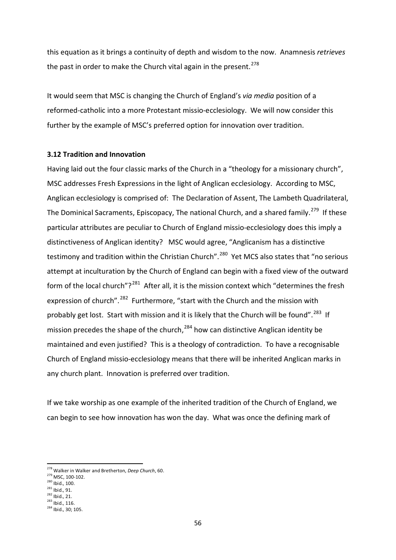this equation as it brings a continuity of depth and wisdom to the now. Anamnesis *retrieves* the past in order to make the Church vital again in the present.<sup>278</sup>

It would seem that MSC is changing the Church of England's *via media* position of a reformed-catholic into a more Protestant missio-ecclesiology. We will now consider this further by the example of MSC's preferred option for innovation over tradition.

## **3.12 Tradition and Innovation**

Having laid out the four classic marks of the Church in a "theology for a missionary church", MSC addresses Fresh Expressions in the light of Anglican ecclesiology. According to MSC, Anglican ecclesiology is comprised of: The Declaration of Assent, The Lambeth Quadrilateral, The Dominical Sacraments, Episcopacy, The national Church, and a shared family.<sup>279</sup> If these particular attributes are peculiar to Church of England missio-ecclesiology does this imply a distinctiveness of Anglican identity? MSC would agree, "Anglicanism has a distinctive testimony and tradition within the Christian Church".<sup>[280](#page-55-2)</sup> Yet MCS also states that "no serious attempt at inculturation by the Church of England can begin with a fixed view of the outward form of the local church"?<sup>281</sup> After all, it is the mission context which "determines the fresh expression of church".<sup>282</sup> Furthermore, "start with the Church and the mission with probably get lost. Start with mission and it is likely that the Church will be found".<sup>283</sup> If mission precedes the shape of the church, $^{284}$  $^{284}$  $^{284}$  how can distinctive Anglican identity be maintained and even justified? This is a theology of contradiction. To have a recognisable Church of England missio-ecclesiology means that there will be inherited Anglican marks in any church plant. Innovation is preferred over tradition.

If we take worship as one example of the inherited tradition of the Church of England, we can begin to see how innovation has won the day. What was once the defining mark of

<sup>278</sup> Walker in Walker and Bretherton, *Deep Church*, 60.

<span id="page-55-1"></span><span id="page-55-0"></span><sup>&</sup>lt;sup>279</sup> MSC, 100-102.<br><sup>280</sup> Ibid., 100.<br><sup>281</sup> Ibid., 91.<br><sup>282</sup> Ibid., 21.<br><sup>283</sup> Ibid., 116.

<span id="page-55-2"></span>

<span id="page-55-3"></span>

<span id="page-55-4"></span>

<span id="page-55-6"></span><span id="page-55-5"></span><sup>284</sup> Ibid., 30; 105.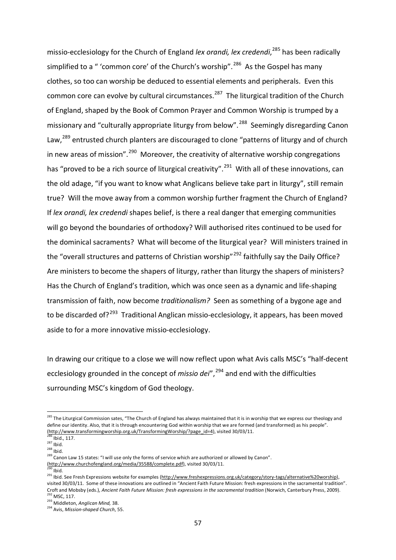missio-ecclesiology for the Church of England *lex orandi, lex credendi*, [285](#page-56-0) has been radically simplified to a " 'common core' of the Church's worship".<sup>[286](#page-56-1)</sup> As the Gospel has many clothes, so too can worship be deduced to essential elements and peripherals. Even this common core can evolve by cultural circumstances.<sup>287</sup> The liturgical tradition of the Church of England, shaped by the Book of Common Prayer and Common Worship is trumped by a missionary and "culturally appropriate liturgy from below".<sup>288</sup> Seemingly disregarding Canon Law,<sup>[289](#page-56-4)</sup> entrusted church planters are discouraged to clone "patterns of liturgy and of church in new areas of mission".  $290$  Moreover, the creativity of alternative worship congregations has "proved to be a rich source of liturgical creativity".<sup>291</sup> With all of these innovations, can the old adage, "if you want to know what Anglicans believe take part in liturgy", still remain true? Will the move away from a common worship further fragment the Church of England? If *lex orandi, lex credendi* shapes belief, is there a real danger that emerging communities will go beyond the boundaries of orthodoxy? Will authorised rites continued to be used for the dominical sacraments? What will become of the liturgical year? Will ministers trained in the "overall structures and patterns of Christian worship"<sup>[292](#page-56-7)</sup> faithfully say the Daily Office? Are ministers to become the shapers of liturgy, rather than liturgy the shapers of ministers? Has the Church of England's tradition, which was once seen as a dynamic and life-shaping transmission of faith, now become *traditionalism?* Seen as something of a bygone age and to be discarded of?<sup>[293](#page-56-8)</sup> Traditional Anglican missio-ecclesiology, it appears, has been moved aside to for a more innovative missio-ecclesiology.

In drawing our critique to a close we will now reflect upon what Avis calls MSC's "half-decent ecclesiology grounded in the concept of *missio dei*",<sup>[294](#page-56-9)</sup> and end with the difficulties surrounding MSC's kingdom of God theology.

[\(http://www.churchofengland.org/media/35588/complete.pdf\),](http://www.churchofengland.org/media/35588/complete.pdf) visited 30/03/11.

<span id="page-56-0"></span><sup>&</sup>lt;sup>285</sup> The Liturgical Commission sates, "The [Church of England](http://www.cofe.anglican.org/) has always maintained that it is in worship that we express our theology and define our identity. Also, that it is through encountering God within worship that we are formed (and transformed) as his people". [\(http://www.transformingworship.org.uk/TransformingWorship/?page\\_id=4\),](http://www.transformingworship.org.uk/TransformingWorship/?page_id=4) visited 30/03/11.<br><sup>286</sup> Ibid., 117.

<span id="page-56-2"></span><span id="page-56-1"></span> $^{287}$  Ibid.<br> $^{288}$  Ibid.

<span id="page-56-4"></span><span id="page-56-3"></span><sup>289</sup> Canon Law 15 states: "I will use only the forms of service which are authorized or allowed by Canon".

<span id="page-56-5"></span> $\overline{a}$ lbid.

<span id="page-56-6"></span><sup>291</sup> Ibid. See Fresh Expressions website for examples [\(http://www.freshexpressions.org.uk/category/story-tags/alternative%20worship\),](http://www.freshexpressions.org.uk/category/story-tags/alternative%20worship) visited 30/03/11. Some of these innovations are outlined in "Ancient Faith Future Mission: fresh expressions in the sacramental tradition". Croft and Mobsby (eds.), *Ancient Faith Future Mission: fresh expressions in the sacramental tradition* (Norwich, Canterbury Press, 2009).<br><sup>292</sup> MSC. 117.

<span id="page-56-8"></span><span id="page-56-7"></span><sup>&</sup>lt;sup>293</sup> Middleton, *Anglican Mind*, 38.<br><sup>294</sup> Avis, *Mission-shaped Church*, 55.

<span id="page-56-9"></span>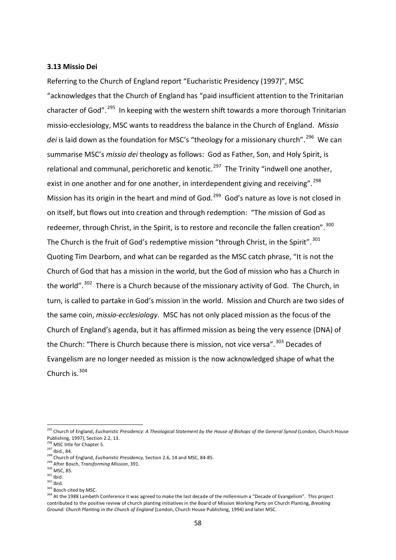#### **3.13 Missio Dei**

Referring to the Church of England report "Eucharistic Presidency (1997)", MSC "acknowledges that the Church of England has "paid insufficient attention to the Trinitarian character of God".<sup>295</sup> In keeping with the western shift towards a more thorough Trinitarian missio-ecclesiology, MSC wants to readdress the balance in the Church of England. *Missio*  dei is laid down as the foundation for MSC's "theology for a missionary church".<sup>[296](#page-57-1)</sup> We can summarise MSC's *missio dei* theology as follows: God as Father, Son, and Holy Spirit, is relational and communal, perichoretic and kenotic.<sup>297</sup> The Trinity "indwell one another, exist in one another and for one another, in interdependent giving and receiving".<sup>298</sup> Mission has its origin in the heart and mind of God.<sup>299</sup> God's nature as love is not closed in on itself, but flows out into creation and through redemption: "The mission of God as redeemer, through Christ, in the Spirit, is to restore and reconcile the fallen creation".<sup>[300](#page-57-5)</sup> The Church is the fruit of God's redemptive mission "through Christ, in the Spirit". $301$ Quoting Tim Dearborn, and what can be regarded as the MSC catch phrase, "It is not the Church of God that has a mission in the world, but the God of mission who has a Church in the world".<sup>302</sup> There is a Church because of the missionary activity of God. The Church, in turn, is called to partake in God's mission in the world. Mission and Church are two sides of the same coin, *missio-ecclesiology*. MSC has not only placed mission as the focus of the Church of England's agenda, but it has affirmed mission as being the very essence (DNA) of the Church: "There is Church because there is mission, not vice versa". <sup>[303](#page-57-8)</sup> Decades of Evangelism are no longer needed as mission is the now acknowledged shape of what the Church is.<sup>[304](#page-57-9)</sup>

<span id="page-57-0"></span><sup>&</sup>lt;sup>295</sup> Church of England, *Eucharistic Presidency: A Theological Statement by the House of Bishops of the General Synod (London, Church House* Publishing, 1997), Section 2.2, 13.

<span id="page-57-1"></span> $^{296}$  MSC title for Chapter 5.<br> $^{297}$  Ibid., 84.

<span id="page-57-3"></span><span id="page-57-2"></span><sup>&</sup>lt;sup>298</sup> Church of England, *Eucharistic Presidency*, Section 2.6, 14 and MSC, 84-85.

<span id="page-57-5"></span><span id="page-57-4"></span><sup>&</sup>lt;sup>299</sup> After Bosch, *Transforming Mission*, 391.<br><sup>300</sup> MSC, 85.<br><sup>301</sup> Ihid

<span id="page-57-7"></span><span id="page-57-6"></span> $\frac{302}{101}$  lbid.<br> $\frac{303}{101}$  Bosch cited by MSC.

<span id="page-57-9"></span><span id="page-57-8"></span><sup>304</sup> At the 1988 Lambeth Conference it was agreed to make the last decade of the millennium a "Decade of Evangelism". This project contributed to the positive review of church planting initiatives in the Board of Mission Working Party on Church Planting, *Breaking Ground: Church Planting in the Church of England* (London, Church House Publishing, 1994) and later MSC.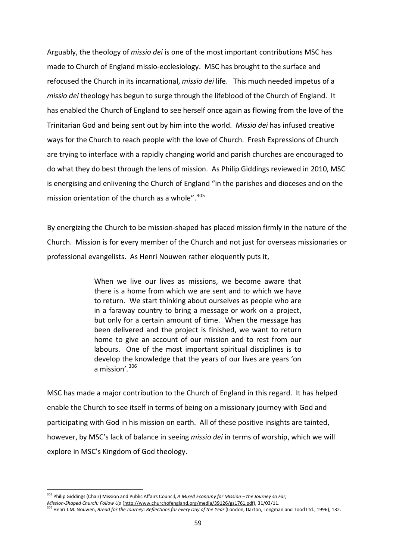Arguably, the theology of *missio dei* is one of the most important contributions MSC has made to Church of England missio-ecclesiology. MSC has brought to the surface and refocused the Church in its incarnational, *missio dei* life. This much needed impetus of a *missio dei* theology has begun to surge through the lifeblood of the Church of England. It has enabled the Church of England to see herself once again as flowing from the love of the Trinitarian God and being sent out by him into the world. *Missio dei* has infused creative ways for the Church to reach people with the love of Church. Fresh Expressions of Church are trying to interface with a rapidly changing world and parish churches are encouraged to do what they do best through the lens of mission. As Philip Giddings reviewed in 2010, MSC is energising and enlivening the Church of England "in the parishes and dioceses and on the mission orientation of the church as a whole".<sup>[305](#page-58-0)</sup>

By energizing the Church to be mission-shaped has placed mission firmly in the nature of the Church. Mission is for every member of the Church and not just for overseas missionaries or professional evangelists. As Henri Nouwen rather eloquently puts it,

> When we live our lives as missions, we become aware that there is a home from which we are sent and to which we have to return. We start thinking about ourselves as people who are in a faraway country to bring a message or work on a project, but only for a certain amount of time. When the message has been delivered and the project is finished, we want to return home to give an account of our mission and to rest from our labours. One of the most important spiritual disciplines is to develop the knowledge that the years of our lives are years 'on a mission'.  $306$

MSC has made a major contribution to the Church of England in this regard. It has helped enable the Church to see itself in terms of being on a missionary journey with God and participating with God in his mission on earth. All of these positive insights are tainted, however, by MSC's lack of balance in seeing *missio dei* in terms of worship, which we will explore in MSC's Kingdom of God theology.

 <sup>305</sup> Philip Giddings (Chair) Mission and Public Affairs Council, *A Mixed Economy for Mission – the Journey so Far,*

<span id="page-58-1"></span><span id="page-58-0"></span>*Mission-Shaped Church: Follow Up* [\(http://www.churchofengland.org/media/39126/gs1761.pdf\),](http://www.churchofengland.org/media/39126/gs1761.pdf) 31/03/11.

<sup>&</sup>lt;sup>306</sup> Henri J.M. Nouwen, *Bread for the Journey: Reflections for every Day of the Year* (London, Darton, Longman and Tood Ltd., 1996), 132.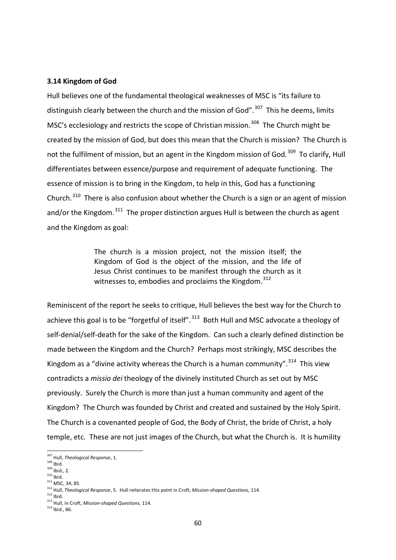#### **3.14 Kingdom of God**

Hull believes one of the fundamental theological weaknesses of MSC is "its failure to distinguish clearly between the church and the mission of God".<sup>[307](#page-59-0)</sup> This he deems, limits MSC's ecclesiology and restricts the scope of Christian mission.<sup>308</sup> The Church might be created by the mission of God, but does this mean that the Church is mission? The Church is not the fulfilment of mission, but an agent in the Kingdom mission of God.<sup>309</sup> To clarify, Hull differentiates between essence/purpose and requirement of adequate functioning. The essence of mission is to bring in the Kingdom, to help in this, God has a functioning Church.<sup>[310](#page-59-3)</sup> There is also confusion about whether the Church is a sign or an agent of mission and/or the Kingdom.<sup>[311](#page-59-4)</sup> The proper distinction argues Hull is between the church as agent and the Kingdom as goal:

> The church is a mission project, not the mission itself; the Kingdom of God is the object of the mission, and the life of Jesus Christ continues to be manifest through the church as it witnesses to, embodies and proclaims the Kingdom.<sup>312</sup>

Reminiscent of the report he seeks to critique, Hull believes the best way for the Church to achieve this goal is to be "forgetful of itself".<sup>[313](#page-59-6)</sup> Both Hull and MSC advocate a theology of self-denial/self-death for the sake of the Kingdom. Can such a clearly defined distinction be made between the Kingdom and the Church? Perhaps most strikingly, MSC describes the Kingdom as a "divine activity whereas the Church is a human community".  $314$  This view contradicts a *missio dei* theology of the divinely instituted Church as set out by MSC previously. Surely the Church is more than just a human community and agent of the Kingdom? The Church was founded by Christ and created and sustained by the Holy Spirit. The Church is a covenanted people of God, the Body of Christ, the bride of Christ, a holy temple, etc. These are not just images of the Church, but what the Church is. It is humility

<span id="page-59-0"></span><sup>307</sup> Hull, *Theological Response*, 1.

<span id="page-59-2"></span><span id="page-59-1"></span> $\frac{309}{310}$  Ibid., 2.

<span id="page-59-4"></span><span id="page-59-3"></span> $311$  MSC, 34; 85.

<span id="page-59-5"></span><sup>312</sup> Hull, *Theological Response*, 5. Hull reiterates this point in Croft, *Mission-shaped Questions,* 114.

<sup>&</sup>lt;sup>313</sup> Hull, in Croft, *Mission-shaped Questions*, 114.

<span id="page-59-7"></span><span id="page-59-6"></span><sup>314</sup> Ibid., 86.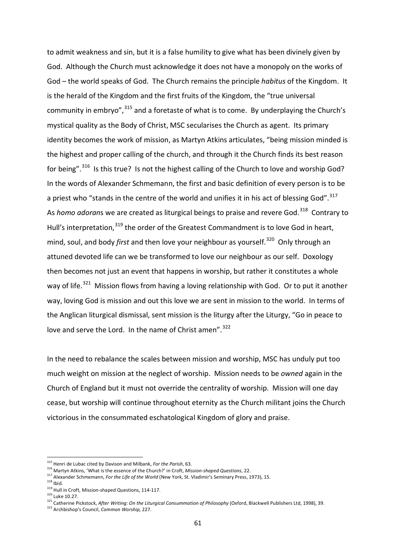to admit weakness and sin, but it is a false humility to give what has been divinely given by God. Although the Church must acknowledge it does not have a monopoly on the works of God – the world speaks of God. The Church remains the principle *habitus* of the Kingdom. It is the herald of the Kingdom and the first fruits of the Kingdom, the "true universal community in embryo",  $315$  and a foretaste of what is to come. By underplaying the Church's mystical quality as the Body of Christ, MSC secularises the Church as agent. Its primary identity becomes the work of mission, as Martyn Atkins articulates, "being mission minded is the highest and proper calling of the church, and through it the Church finds its best reason for being".<sup>[316](#page-60-1)</sup> Is this true? Is not the highest calling of the Church to love and worship God? In the words of Alexander Schmemann, the first and basic definition of every person is to be a priest who "stands in the centre of the world and unifies it in his act of blessing God".<sup>317</sup> As *homo adorans* we are created as liturgical beings to praise and revere God.<sup>[318](#page-60-3)</sup> Contrary to Hull's interpretation,<sup>[319](#page-60-4)</sup> the order of the Greatest Commandment is to love God in heart, mind, soul, and body *first* and then love your neighbour as yourself.<sup>320</sup> Only through an attuned devoted life can we be transformed to love our neighbour as our self. Doxology then becomes not just an event that happens in worship, but rather it constitutes a whole way of life.<sup>321</sup> Mission flows from having a loving relationship with God. Or to put it another way, loving God is mission and out this love we are sent in mission to the world. In terms of the Anglican liturgical dismissal, sent mission is the liturgy after the Liturgy, "Go in peace to love and serve the Lord. In the name of Christ amen".<sup>322</sup>

In the need to rebalance the scales between mission and worship, MSC has unduly put too much weight on mission at the neglect of worship. Mission needs to be *owned* again in the Church of England but it must not override the centrality of worship. Mission will one day cease, but worship will continue throughout eternity as the Church militant joins the Church victorious in the consummated eschatological Kingdom of glory and praise.

<span id="page-60-0"></span><sup>315</sup> Henri de Lubac cited by Davison and Milbank, *For the Parish*, 63.

<span id="page-60-1"></span><sup>316</sup> Martyn Atkins, 'What is the essence of the Church?' in Croft, *Mission-shaped Questions*, 22.

<span id="page-60-2"></span><sup>317</sup> Alexander Schmemann, *For the Life of the World* (New York, St. Vladimir's Seminary Press, 1973), 15.<br><sup>318</sup> Ibid.

<span id="page-60-3"></span>

<span id="page-60-4"></span> $319$  Hull in Croft, Mission-shaped Questions, 114-117.<br> $320$  Luke 10.27.

<span id="page-60-6"></span><span id="page-60-5"></span><sup>&</sup>lt;sup>321</sup> Catherine Pickstock, After Writing: On the Liturgical Consummation of Philosophy (Oxford, Blackwell Publishers Ltd, 1998), 39.

<span id="page-60-7"></span><sup>322</sup> Archbishop's Council, *Common Worship,* 227.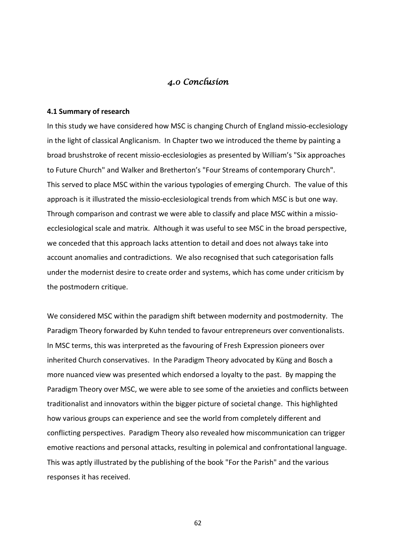# *4.0 Conclusion*

#### **4.1 Summary of research**

In this study we have considered how MSC is changing Church of England missio-ecclesiology in the light of classical Anglicanism. In Chapter two we introduced the theme by painting a broad brushstroke of recent missio-ecclesiologies as presented by William's "Six approaches to Future Church" and Walker and Bretherton's "Four Streams of contemporary Church". This served to place MSC within the various typologies of emerging Church. The value of this approach is it illustrated the missio-ecclesiological trends from which MSC is but one way. Through comparison and contrast we were able to classify and place MSC within a missioecclesiological scale and matrix. Although it was useful to see MSC in the broad perspective, we conceded that this approach lacks attention to detail and does not always take into account anomalies and contradictions. We also recognised that such categorisation falls under the modernist desire to create order and systems, which has come under criticism by the postmodern critique.

We considered MSC within the paradigm shift between modernity and postmodernity. The Paradigm Theory forwarded by Kuhn tended to favour entrepreneurs over conventionalists. In MSC terms, this was interpreted as the favouring of Fresh Expression pioneers over inherited Church conservatives. In the Paradigm Theory advocated by Küng and Bosch a more nuanced view was presented which endorsed a loyalty to the past. By mapping the Paradigm Theory over MSC, we were able to see some of the anxieties and conflicts between traditionalist and innovators within the bigger picture of societal change. This highlighted how various groups can experience and see the world from completely different and conflicting perspectives. Paradigm Theory also revealed how miscommunication can trigger emotive reactions and personal attacks, resulting in polemical and confrontational language. This was aptly illustrated by the publishing of the book "For the Parish" and the various responses it has received.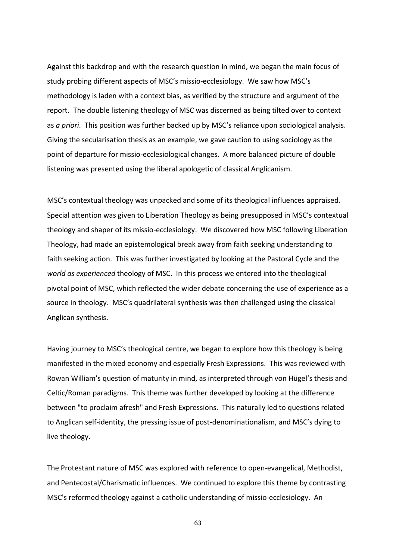Against this backdrop and with the research question in mind, we began the main focus of study probing different aspects of MSC's missio-ecclesiology. We saw how MSC's methodology is laden with a context bias, as verified by the structure and argument of the report. The double listening theology of MSC was discerned as being tilted over to context as *a priori*. This position was further backed up by MSC's reliance upon sociological analysis. Giving the secularisation thesis as an example, we gave caution to using sociology as the point of departure for missio-ecclesiological changes. A more balanced picture of double listening was presented using the liberal apologetic of classical Anglicanism.

MSC's contextual theology was unpacked and some of its theological influences appraised. Special attention was given to Liberation Theology as being presupposed in MSC's contextual theology and shaper of its missio-ecclesiology. We discovered how MSC following Liberation Theology, had made an epistemological break away from faith seeking understanding to faith seeking action. This was further investigated by looking at the Pastoral Cycle and the *world as experienced* theology of MSC. In this process we entered into the theological pivotal point of MSC, which reflected the wider debate concerning the use of experience as a source in theology. MSC's quadrilateral synthesis was then challenged using the classical Anglican synthesis.

Having journey to MSC's theological centre, we began to explore how this theology is being manifested in the mixed economy and especially Fresh Expressions. This was reviewed with Rowan William's question of maturity in mind, as interpreted through von Hügel's thesis and Celtic/Roman paradigms. This theme was further developed by looking at the difference between "to proclaim afresh" and Fresh Expressions. This naturally led to questions related to Anglican self-identity, the pressing issue of post-denominationalism, and MSC's dying to live theology.

The Protestant nature of MSC was explored with reference to open-evangelical, Methodist, and Pentecostal/Charismatic influences. We continued to explore this theme by contrasting MSC's reformed theology against a catholic understanding of missio-ecclesiology. An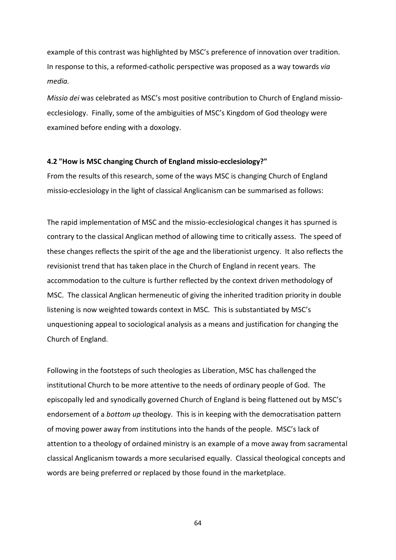example of this contrast was highlighted by MSC's preference of innovation over tradition. In response to this, a reformed-catholic perspective was proposed as a way towards *via media.*

*Missio dei* was celebrated as MSC's most positive contribution to Church of England missioecclesiology. Finally, some of the ambiguities of MSC's Kingdom of God theology were examined before ending with a doxology.

#### **4.2 "How is MSC changing Church of England missio-ecclesiology?"**

From the results of this research, some of the ways MSC is changing Church of England missio-ecclesiology in the light of classical Anglicanism can be summarised as follows:

The rapid implementation of MSC and the missio-ecclesiological changes it has spurned is contrary to the classical Anglican method of allowing time to critically assess. The speed of these changes reflects the spirit of the age and the liberationist urgency. It also reflects the revisionist trend that has taken place in the Church of England in recent years. The accommodation to the culture is further reflected by the context driven methodology of MSC. The classical Anglican hermeneutic of giving the inherited tradition priority in double listening is now weighted towards context in MSC*.* This is substantiated by MSC's unquestioning appeal to sociological analysis as a means and justification for changing the Church of England.

Following in the footsteps of such theologies as Liberation, MSC has challenged the institutional Church to be more attentive to the needs of ordinary people of God. The episcopally led and synodically governed Church of England is being flattened out by MSC's endorsement of a *bottom up* theology. This is in keeping with the democratisation pattern of moving power away from institutions into the hands of the people. MSC's lack of attention to a theology of ordained ministry is an example of a move away from sacramental classical Anglicanism towards a more secularised equally. Classical theological concepts and words are being preferred or replaced by those found in the marketplace.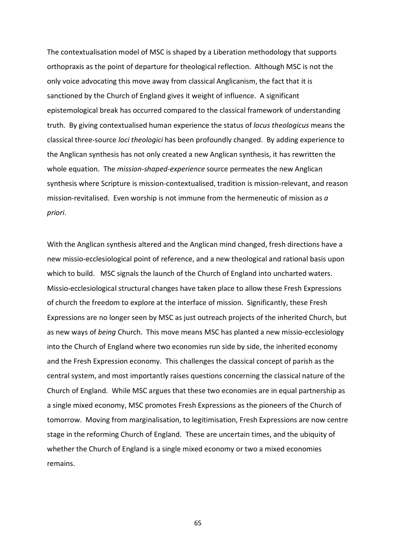The contextualisation model of MSC is shaped by a Liberation methodology that supports orthopraxis as the point of departure for theological reflection. Although MSC is not the only voice advocating this move away from classical Anglicanism, the fact that it is sanctioned by the Church of England gives it weight of influence. A significant epistemological break has occurred compared to the classical framework of understanding truth. By giving contextualised human experience the status of *locus theologicus* means the classical three-source *loci theologici* has been profoundly changed. By adding experience to the Anglican synthesis has not only created a new Anglican synthesis, it has rewritten the whole equation. The *mission-shaped-experience* source permeates the new Anglican synthesis where Scripture is mission-contextualised, tradition is mission-relevant, and reason mission-revitalised. Even worship is not immune from the hermeneutic of mission as *a priori*.

With the Anglican synthesis altered and the Anglican mind changed, fresh directions have a new missio-ecclesiological point of reference, and a new theological and rational basis upon which to build. MSC signals the launch of the Church of England into uncharted waters. Missio-ecclesiological structural changes have taken place to allow these Fresh Expressions of church the freedom to explore at the interface of mission. Significantly, these Fresh Expressions are no longer seen by MSC as just outreach projects of the inherited Church, but as new ways of *being* Church. This move means MSC has planted a new missio-ecclesiology into the Church of England where two economies run side by side, the inherited economy and the Fresh Expression economy. This challenges the classical concept of parish as the central system, and most importantly raises questions concerning the classical nature of the Church of England. While MSC argues that these two economies are in equal partnership as a single mixed economy, MSC promotes Fresh Expressions as the pioneers of the Church of tomorrow. Moving from marginalisation, to legitimisation, Fresh Expressions are now centre stage in the reforming Church of England. These are uncertain times, and the ubiquity of whether the Church of England is a single mixed economy or two a mixed economies remains.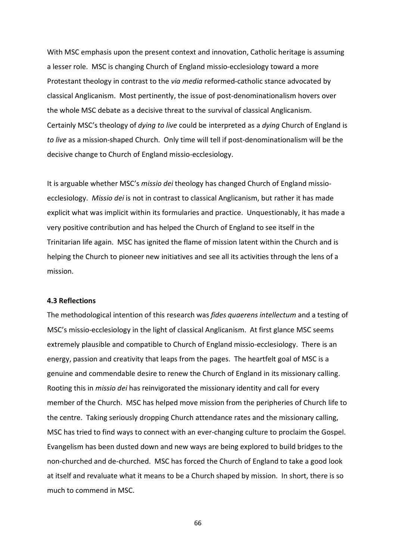With MSC emphasis upon the present context and innovation, Catholic heritage is assuming a lesser role. MSC is changing Church of England missio-ecclesiology toward a more Protestant theology in contrast to the *via media* reformed-catholic stance advocated by classical Anglicanism. Most pertinently, the issue of post-denominationalism hovers over the whole MSC debate as a decisive threat to the survival of classical Anglicanism. Certainly MSC's theology of *dying to live* could be interpreted as a *dying* Church of England is *to live* as a mission-shaped Church. Only time will tell if post-denominationalism will be the decisive change to Church of England missio-ecclesiology.

It is arguable whether MSC's *missio dei* theology has changed Church of England missioecclesiology. *Missio dei* is not in contrast to classical Anglicanism, but rather it has made explicit what was implicit within its formularies and practice. Unquestionably, it has made a very positive contribution and has helped the Church of England to see itself in the Trinitarian life again. MSC has ignited the flame of mission latent within the Church and is helping the Church to pioneer new initiatives and see all its activities through the lens of a mission.

#### **4.3 Reflections**

The methodological intention of this research was *fides quaerens intellectum* and a testing of MSC's missio-ecclesiology in the light of classical Anglicanism. At first glance MSC seems extremely plausible and compatible to Church of England missio-ecclesiology. There is an energy, passion and creativity that leaps from the pages. The heartfelt goal of MSC is a genuine and commendable desire to renew the Church of England in its missionary calling. Rooting this in *missio dei* has reinvigorated the missionary identity and call for every member of the Church. MSC has helped move mission from the peripheries of Church life to the centre. Taking seriously dropping Church attendance rates and the missionary calling, MSC has tried to find ways to connect with an ever-changing culture to proclaim the Gospel. Evangelism has been dusted down and new ways are being explored to build bridges to the non-churched and de-churched. MSC has forced the Church of England to take a good look at itself and revaluate what it means to be a Church shaped by mission. In short, there is so much to commend in MSC.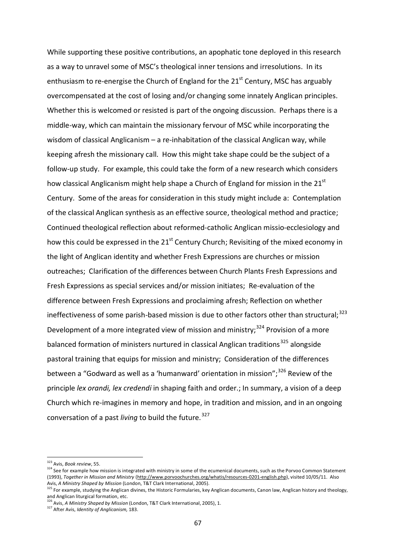While supporting these positive contributions, an apophatic tone deployed in this research as a way to unravel some of MSC's theological inner tensions and irresolutions. In its enthusiasm to re-energise the Church of England for the  $21<sup>st</sup>$  Century, MSC has arguably overcompensated at the cost of losing and/or changing some innately Anglican principles. Whether this is welcomed or resisted is part of the ongoing discussion. Perhaps there is a middle-way, which can maintain the missionary fervour of MSC while incorporating the wisdom of classical Anglicanism – a re-inhabitation of the classical Anglican way, while keeping afresh the missionary call. How this might take shape could be the subject of a follow-up study. For example, this could take the form of a new research which considers how classical Anglicanism might help shape a Church of England for mission in the 21<sup>st</sup> Century. Some of the areas for consideration in this study might include a: Contemplation of the classical Anglican synthesis as an effective source, theological method and practice; Continued theological reflection about reformed-catholic Anglican missio-ecclesiology and how this could be expressed in the  $21<sup>st</sup>$  Century Church; Revisiting of the mixed economy in the light of Anglican identity and whether Fresh Expressions are churches or mission outreaches; Clarification of the differences between Church Plants Fresh Expressions and Fresh Expressions as special services and/or mission initiates; Re-evaluation of the difference between Fresh Expressions and proclaiming afresh; Reflection on whether ineffectiveness of some parish-based mission is due to other factors other than structural;<sup>[323](#page-66-0)</sup> Development of a more integrated view of mission and ministry;<sup>[324](#page-66-1)</sup> Provision of a more balanced formation of ministers nurtured in classical Anglican traditions<sup>[325](#page-66-2)</sup> alongside pastoral training that equips for mission and ministry; Consideration of the differences between a "Godward as well as a 'humanward' orientation in mission":<sup>[326](#page-66-3)</sup> Review of the principle *lex orandi, lex credendi* in shaping faith and order.; In summary, a vision of a deep Church which re-imagines in memory and hope, in tradition and mission, and in an ongoing conversation of a past *living* to build the future.<sup>[327](#page-66-4)</sup>

<span id="page-66-0"></span><sup>323</sup> Avis, *Book review*, 55.

<span id="page-66-1"></span><sup>324</sup> See for example how mission is integrated with ministry in some of the ecumenical documents, such as the Porvoo Common Statement (1993), *Together in Mission and Ministry* [\(http://www.porvoochurches.org/whatis/resources-0201-english.php\)](http://www.porvoochurches.org/whatis/resources-0201-english.php), visited 10/05/11. Also Avis, *A Ministry Shaped by Mission* (London, T&T Clark International, 2005).

<span id="page-66-2"></span><sup>&</sup>lt;sup>325</sup> For example, studying the Anglican divines, the Historic Formularies, key Anglican documents, Canon law, Anglican history and theology, and Anglican liturgical formation, etc.<br><sup>326</sup> Avis, *A Ministry Shaped by Mission* (London, T&T Clark International, 2005), 1.

<span id="page-66-4"></span><span id="page-66-3"></span><sup>327</sup> After Avis, *Identity of Anglicanism,* 183.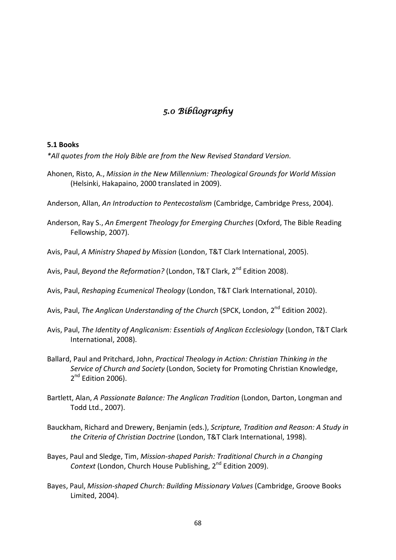# *5.0 Bibliography*

# **5.1 Books**

*\*All quotes from the Holy Bible are from the New Revised Standard Version.*

Ahonen, Risto, A., *Mission in the New Millennium: Theological Grounds for World Mission* (Helsinki, Hakapaino, 2000 translated in 2009).

Anderson, Allan, *An Introduction to Pentecostalism* (Cambridge, Cambridge Press, 2004).

- Anderson, Ray S., *An Emergent Theology for Emerging Churches* (Oxford, The Bible Reading Fellowship, 2007).
- Avis, Paul, *A Ministry Shaped by Mission* (London, T&T Clark International, 2005).
- Avis, Paul, *Beyond the Reformation?* (London, T&T Clark, 2<sup>nd</sup> Edition 2008).
- Avis, Paul, *Reshaping Ecumenical Theology* (London, T&T Clark International, 2010).
- Avis, Paul, *The Anglican Understanding of the Church* (SPCK, London. 2<sup>nd</sup> Edition 2002).
- Avis, Paul, *The Identity of Anglicanism: Essentials of Anglican Ecclesiology* (London, T&T Clark International, 2008).
- Ballard, Paul and Pritchard, John, *Practical Theology in Action: Christian Thinking in the Service of Church and Society* (London, Society for Promoting Christian Knowledge, 2<sup>nd</sup> Edition 2006).
- Bartlett, Alan, *A Passionate Balance: The Anglican Tradition* (London, Darton, Longman and Todd Ltd., 2007).
- Bauckham, Richard and Drewery, Benjamin (eds.), *Scripture, Tradition and Reason: A Study in the Criteria of Christian Doctrine* (London, T&T Clark International, 1998).
- Bayes, Paul and Sledge, Tim, *Mission-shaped Parish: Traditional Church in a Changing Context* (London, Church House Publishing, 2<sup>nd</sup> Edition 2009).
- Bayes, Paul, *Mission-shaped Church: Building Missionary Values* (Cambridge, Groove Books Limited, 2004).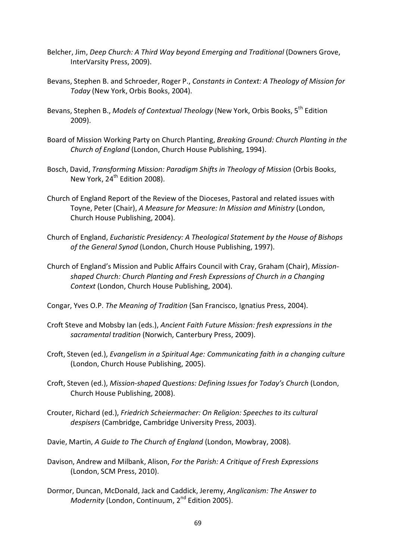- Belcher, Jim, *Deep Church: A Third Way beyond Emerging and Traditional* (Downers Grove, InterVarsity Press, 2009).
- Bevans, Stephen B. and Schroeder, Roger P., *Constants in Context: A Theology of Mission for Today* (New York, Orbis Books, 2004).
- Bevans, Stephen B., *Models of Contextual Theology* (New York, Orbis Books, 5th Edition 2009).
- Board of Mission Working Party on Church Planting, *Breaking Ground: Church Planting in the Church of England* (London, Church House Publishing, 1994).
- Bosch, David, *Transforming Mission: Paradigm Shifts in Theology of Mission* (Orbis Books, New York, 24<sup>th</sup> Edition 2008).
- Church of England Report of the Review of the Dioceses, Pastoral and related issues with Toyne, Peter (Chair), *A Measure for Measure: In Mission and Ministry* (London, Church House Publishing, 2004).
- Church of England, *Eucharistic Presidency: A Theological Statement by the House of Bishops of the General Synod* (London, Church House Publishing, 1997).
- Church of England's Mission and Public Affairs Council with Cray, Graham (Chair), *Missionshaped Church: Church Planting and Fresh Expressions of Church in a Changing Context* (London, Church House Publishing, 2004).
- Congar, Yves O.P. *The Meaning of Tradition* (San Francisco, Ignatius Press, 2004).
- Croft Steve and Mobsby Ian (eds.), *Ancient Faith Future Mission: fresh expressions in the sacramental tradition* (Norwich, Canterbury Press, 2009).
- Croft, Steven (ed.), *Evangelism in a Spiritual Age: Communicating faith in a changing culture* (London, Church House Publishing, 2005).
- Croft, Steven (ed.), *Mission-shaped Questions: Defining Issues for Today's Church* (London, Church House Publishing, 2008).
- Crouter, Richard (ed.), *Friedrich Scheiermacher: On Religion: Speeches to its cultural despisers* (Cambridge, Cambridge University Press, 2003).
- Davie, Martin, *A Guide to The Church of England* (London, Mowbray, 2008).
- Davison, Andrew and Milbank, Alison, *For the Parish: A Critique of Fresh Expressions* (London, SCM Press, 2010).
- Dormor, Duncan, McDonald, Jack and Caddick, Jeremy, *Anglicanism: The Answer to Modernity* (London, Continuum, 2nd Edition 2005).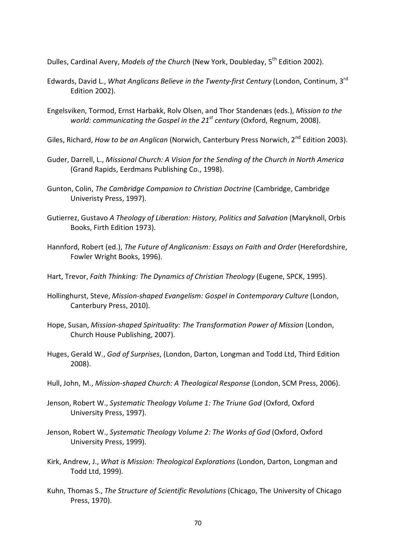Dulles, Cardinal Avery, *Models of the Church* (New York, Doubleday, 5th Edition 2002).

- Edwards, David L., *What Anglicans Believe in the Twenty-first Century* (London, Continum, 3rd Edition 2002).
- Engelsviken, Tormod, Ernst Harbakk, Rolv Olsen, and Thor Standenæs (eds.), *Mission to the world: communicating the Gospel in the 21st century* (Oxford, Regnum, 2008).
- Giles, Richard, *How to be an Anglican* (Norwich, Canterbury Press Norwich, 2<sup>nd</sup> Edition 2003).
- Guder, Darrell, L., *Missional Church: A Vision for the Sending of the Church in North America* (Grand Rapids, Eerdmans Publishing Co., 1998).
- Gunton, Colin, *The Cambridge Companion to Christian Doctrine* (Cambridge, Cambridge Univeristy Press, 1997).
- Gutierrez, Gustavo *A Theology of Liberation: History, Politics and Salvation* (Maryknoll, Orbis Books, Firth Edition 1973).
- Hannford, Robert (ed.), *The Future of Anglicanism: Essays on Faith and Order* (Herefordshire, Fowler Wright Books, 1996).
- Hart, Trevor, *Faith Thinking: The Dynamics of Christian Theology* (Eugene, SPCK, 1995).
- Hollinghurst, Steve, *Mission-shaped Evangelism: Gospel in Contemporary Culture* (London, Canterbury Press, 2010).
- Hope, Susan, *Mission-shaped Spirituality: The Transformation Power of Mission* (London, Church House Publishing, 2007).
- Huges, Gerald W., *God of Surprises*, (London, Darton, Longman and Todd Ltd, Third Edition 2008).
- Hull, John, M., *Mission-shaped Church: A Theological Response* (London, SCM Press, 2006).
- Jenson, Robert W., *Systematic Theology Volume 1: The Triune God* (Oxford, Oxford University Press, 1997).
- Jenson, Robert W., *Systematic Theology Volume 2: The Works of God* (Oxford, Oxford University Press, 1999).
- Kirk, Andrew, J., *What is Mission: Theological Explorations* (London, Darton, Longman and Todd Ltd, 1999).
- Kuhn, Thomas S., *The Structure of Scientific Revolutions* (Chicago, The University of Chicago Press, 1970).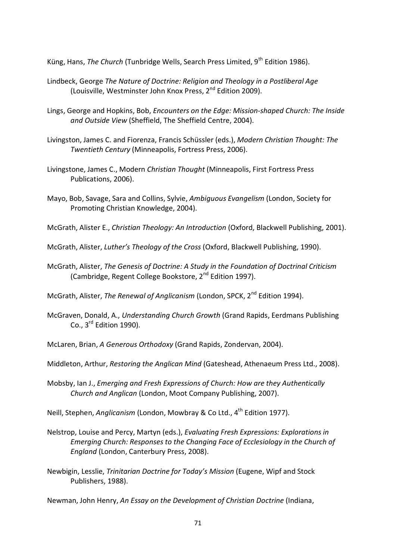Küng, Hans, *The Church* (Tunbridge Wells, Search Press Limited, 9<sup>th</sup> Edition 1986).

- Lindbeck, George *The Nature of Doctrine: Religion and Theology in a Postliberal Age* (Louisville, Westminster John Knox Press,  $2^{nd}$  Edition 2009).
- Lings, George and Hopkins, Bob, *Encounters on the Edge: Mission-shaped Church: The Inside and Outside View* (Sheffield, The Sheffield Centre, 2004).
- Livingston, James C. and Fiorenza, Francis Schüssler (eds.), *Modern Christian Thought: The Twentieth Century* (Minneapolis, Fortress Press, 2006).
- Livingstone, James C., Modern *Christian Thought* (Minneapolis, First Fortress Press Publications, 2006).
- Mayo, Bob, Savage, Sara and Collins, Sylvie, *Ambiguous Evangelism* (London, Society for Promoting Christian Knowledge, 2004).

McGrath, Alister E., *Christian Theology: An Introduction* (Oxford, Blackwell Publishing, 2001).

McGrath, Alister, *Luther's Theology of the Cross* (Oxford, Blackwell Publishing, 1990).

McGrath, Alister, *The Genesis of Doctrine: A Study in the Foundation of Doctrinal Criticism* (Cambridge, Regent College Bookstore, 2nd Edition 1997).

McGrath, Alister, *The Renewal of Anglicanism* (London, SPCK, 2nd Edition 1994).

McGraven, Donald, A., *Understanding Church Growth* (Grand Rapids, Eerdmans Publishing  $Co., 3<sup>rd</sup>$  Edition 1990).

McLaren, Brian, *A Generous Orthodoxy* (Grand Rapids, Zondervan, 2004).

Middleton, Arthur, *Restoring the Anglican Mind* (Gateshead, Athenaeum Press Ltd., 2008).

Mobsby, Ian J., *Emerging and Fresh Expressions of Church: How are they Authentically Church and Anglican* (London, Moot Company Publishing, 2007).

Neill, Stephen, *Anglicanism* (London, Mowbray & Co Ltd., 4th Edition 1977).

- Nelstrop, Louise and Percy, Martyn (eds.), *Evaluating Fresh Expressions: Explorations in Emerging Church: Responses to the Changing Face of Ecclesiology in the Church of England* (London, Canterbury Press, 2008).
- Newbigin, Lesslie, *Trinitarian Doctrine for Today's Mission* (Eugene, Wipf and Stock Publishers, 1988).

Newman, John Henry, *An Essay on the Development of Christian Doctrine* (Indiana,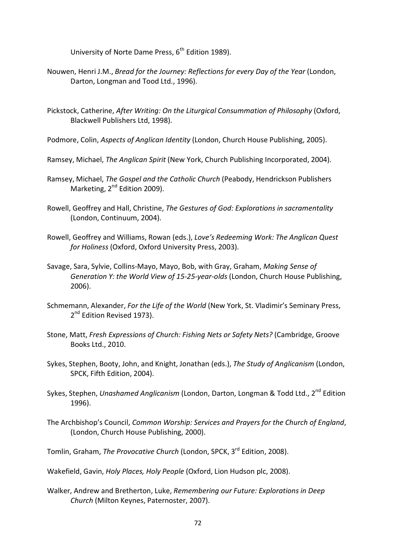University of Norte Dame Press, 6<sup>th</sup> Edition 1989).

- Nouwen, Henri J.M., *Bread for the Journey: Reflections for every Day of the Year* (London, Darton, Longman and Tood Ltd., 1996).
- Pickstock, Catherine, *After Writing: On the Liturgical Consummation of Philosophy* (Oxford, Blackwell Publishers Ltd, 1998).
- Podmore, Colin, *Aspects of Anglican Identity* (London, Church House Publishing, 2005).
- Ramsey, Michael, *The Anglican Spirit* (New York, Church Publishing Incorporated, 2004).
- Ramsey, Michael, *The Gospel and the Catholic Church* (Peabody, Hendrickson Publishers Marketing, 2<sup>nd</sup> Edition 2009).
- Rowell, Geoffrey and Hall, Christine, *The Gestures of God: Explorations in sacramentality* (London, Continuum, 2004).
- Rowell, Geoffrey and Williams, Rowan (eds.), *Love's Redeeming Work: The Anglican Quest for Holiness* (Oxford, Oxford University Press, 2003).
- Savage, Sara, Sylvie, Collins-Mayo, Mayo, Bob, with Gray, Graham, *Making Sense of Generation Y: the World View of 15-25-year-olds* (London, Church House Publishing, 2006).
- Schmemann, Alexander, *For the Life of the World* (New York, St. Vladimir's Seminary Press, 2<sup>nd</sup> Edition Revised 1973).
- Stone, Matt, *Fresh Expressions of Church: Fishing Nets or Safety Nets?* (Cambridge, Groove Books Ltd., 2010.
- Sykes, Stephen, Booty, John, and Knight, Jonathan (eds.), *The Study of Anglicanism* (London, SPCK, Fifth Edition, 2004).
- Sykes, Stephen, *Unashamed Anglicanism* (London, Darton, Longman & Todd Ltd., 2nd Edition 1996).
- The Archbishop's Council, *Common Worship: Services and Prayers for the Church of England*, (London, Church House Publishing, 2000).
- Tomlin, Graham, *The Provocative Church* (London, SPCK, 3rd Edition, 2008).
- Wakefield, Gavin, *Holy Places, Holy People* (Oxford, Lion Hudson plc, 2008).
- Walker, Andrew and Bretherton, Luke, *Remembering our Future: Explorations in Deep Church* (Milton Keynes, Paternoster, 2007).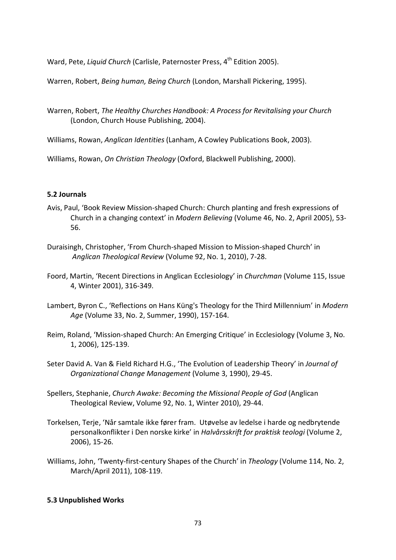Ward, Pete, *Liquid Church* (Carlisle, Paternoster Press, 4<sup>th</sup> Edition 2005).

Warren, Robert, *Being human, Being Church* (London, Marshall Pickering, 1995).

- Warren, Robert, *The Healthy Churches Handbook: A Process for Revitalising your Church* (London, Church House Publishing, 2004).
- Williams, Rowan, *Anglican Identities* (Lanham, A Cowley Publications Book, 2003).

Williams, Rowan, *On Christian Theology* (Oxford, Blackwell Publishing, 2000).

## **5.2 Journals**

- Avis, Paul, 'Book Review Mission-shaped Church: Church planting and fresh expressions of Church in a changing context' in *Modern Believing* (Volume 46, No. 2, April 2005), 53- 56.
- Duraisingh, Christopher, 'From Church-shaped Mission to Mission-shaped Church' in *Anglican Theological Review* (Volume 92, No. 1, 2010), 7-28.
- Foord, Martin, 'Recent Directions in Anglican Ecclesiology' in *Churchman* (Volume 115, Issue 4, Winter 2001), 316-349.
- Lambert, Byron C., 'Reflections on Hans Küng's Theology for the Third Millennium' in *Modern Age* (Volume 33, No. 2, Summer, 1990), 157-164.
- Reim, Roland, 'Mission-shaped Church: An Emerging Critique' in Ecclesiology (Volume 3, No. 1, 2006), 125-139.
- Seter David A. Van & Field Richard H.G., 'The Evolution of Leadership Theory' in *Journal of Organizational Change Management* (Volume 3, 1990), 29-45.
- Spellers, Stephanie, *Church Awake: Becoming the Missional People of God* (Anglican Theological Review, Volume 92, No. 1, Winter 2010), 29-44.
- Torkelsen, Terje, 'Når samtale ikke fører fram. Utøvelse av ledelse i harde og nedbrytende personalkonflikter i Den norske kirke' in *Halvårsskrift for praktisk teologi* (Volume 2, 2006), 15-26.
- Williams, John, 'Twenty-first-century Shapes of the Church' in *Theology* (Volume 114, No. 2, March/April 2011), 108-119.

## **5.3 Unpublished Works**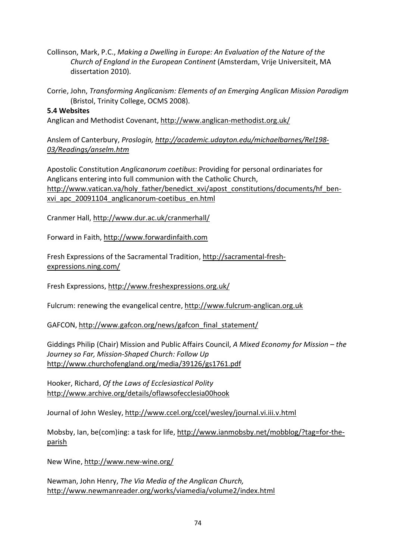Collinson, Mark, P.C., *Making a Dwelling in Europe: An Evaluation of the Nature of the Church of England in the European Continent* (Amsterdam, Vrije Universiteit, MA dissertation 2010).

Corrie, John, *Transforming Anglicanism: Elements of an Emerging Anglican Mission Paradigm* (Bristol, Trinity College, OCMS 2008).

## **5.4 Websites**

Anglican and Methodist Covenant,<http://www.anglican-methodist.org.uk/>

Anslem of Canterbury, *Proslogin, [http://academic.udayton.edu/michaelbarnes/Rel198-](http://academic.udayton.edu/michaelbarnes/Rel198-03/Readings/anselm.htm) [03/Readings/anselm.htm](http://academic.udayton.edu/michaelbarnes/Rel198-03/Readings/anselm.htm)*

Apostolic Constitution *Anglicanorum coetibus*: Providing for personal ordinariates for Anglicans entering into full communion with the Catholic Church, [http://www.vatican.va/holy\\_father/benedict\\_xvi/apost\\_constitutions/documents/hf\\_ben](http://www.vatican.va/holy_father/benedict_xvi/apost_constitutions/documents/hf_ben-xvi_apc_20091104_anglicanorum-coetibus_en.html)[xvi\\_apc\\_20091104\\_anglicanorum-coetibus\\_en.html](http://www.vatican.va/holy_father/benedict_xvi/apost_constitutions/documents/hf_ben-xvi_apc_20091104_anglicanorum-coetibus_en.html)

Cranmer Hall,<http://www.dur.ac.uk/cranmerhall/>

Forward in Faith, [http://www.forwardinfaith.com](http://www.forwardinfaith.com/)

Fresh Expressions of the Sacramental Tradition, [http://sacramental-fresh](http://sacramental-fresh-expressions.ning.com/)[expressions.ning.com/](http://sacramental-fresh-expressions.ning.com/)

Fresh Expressions,<http://www.freshexpressions.org.uk/>

Fulcrum: renewing the evangelical centre, [http://www.fulcrum-anglican.org.uk](http://www.fulcrum-anglican.org.uk/)

GAFCON[, http://www.gafcon.org/news/gafcon\\_final\\_statement/](http://www.gafcon.org/news/gafcon_final_statement/)

Giddings Philip (Chair) Mission and Public Affairs Council, *A Mixed Economy for Mission – the Journey so Far, Mission-Shaped Church: Follow Up* <http://www.churchofengland.org/media/39126/gs1761.pdf>

Hooker, Richard, *Of the Laws of Ecclesiastical Polity* <http://www.archive.org/details/oflawsofecclesia00hook>

Journal of John Wesley,<http://www.ccel.org/ccel/wesley/journal.vi.iii.v.html>

Mobsby, Ian, be(com)ing: a task for life, [http://www.ianmobsby.net/mobblog/?tag=for-the](http://www.ianmobsby.net/mobblog/?tag=for-the-parish)[parish](http://www.ianmobsby.net/mobblog/?tag=for-the-parish)

New Wine,<http://www.new-wine.org/>

Newman, John Henry, *The Via Media of the Anglican Church,* <http://www.newmanreader.org/works/viamedia/volume2/index.html>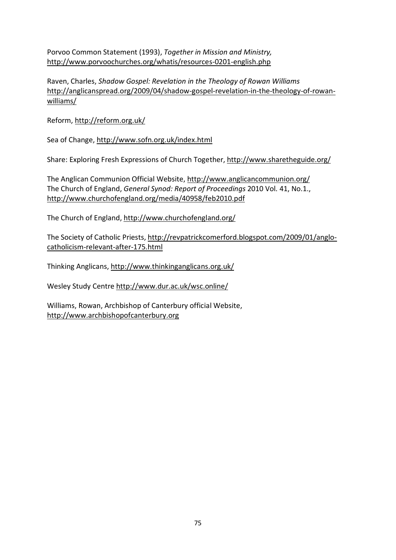Porvoo Common Statement (1993), *Together in Mission and Ministry,* <http://www.porvoochurches.org/whatis/resources-0201-english.php>

Raven, Charles, *Shadow Gospel: Revelation in the Theology of Rowan Williams* [http://anglicanspread.org/2009/04/shadow-gospel-revelation-in-the-theology-of-rowan](http://anglicanspread.org/2009/04/shadow-gospel-revelation-in-the-theology-of-rowan-williams/)[williams/](http://anglicanspread.org/2009/04/shadow-gospel-revelation-in-the-theology-of-rowan-williams/) 

Reform,<http://reform.org.uk/>

Sea of Change,<http://www.sofn.org.uk/index.html>

Share: Exploring Fresh Expressions of Church Together,<http://www.sharetheguide.org/>

The Anglican Communion Official Website,<http://www.anglicancommunion.org/> The Church of England, *General Synod: Report of Proceedings* 2010 Vol. 41, No.1., <http://www.churchofengland.org/media/40958/feb2010.pdf>

The Church of England,<http://www.churchofengland.org/>

The Society of Catholic Priests, [http://revpatrickcomerford.blogspot.com/2009/01/anglo](http://revpatrickcomerford.blogspot.com/2009/01/anglo-catholicism-relevant-after-175.html)[catholicism-relevant-after-175.html](http://revpatrickcomerford.blogspot.com/2009/01/anglo-catholicism-relevant-after-175.html)

Thinking Anglicans,<http://www.thinkinganglicans.org.uk/>

Wesley Study Centre<http://www.dur.ac.uk/wsc.online/>

Williams, Rowan, Archbishop of Canterbury official Website, [http://www.archbishopofcanterbury.org](http://www.archbishopofcanterbury.org/)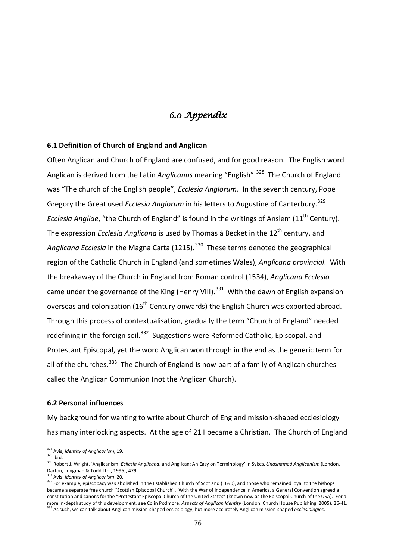# *6.0 Appendix*

### **6.1 Definition of Church of England and Anglican**

Often Anglican and Church of England are confused, and for good reason. The English word Anglican is derived from the Latin *Anglicanus* meaning "English".<sup>328</sup> The Church of England was "The church of the English people", *Ecclesia Anglorum*. In the seventh century, Pope Gregory the Great used *Ecclesia Anglorum* in his letters to Augustine of Canterbury.<sup>329</sup> *Ecclesia Angliae,* "the Church of England" is found in the writings of Anslem (11<sup>th</sup> Century). The expression *Ecclesia Anglicana* is used by Thomas à Becket in the 12<sup>th</sup> century, and Anglicana *Ecclesia* in the Magna Carta (1215).<sup>330</sup> These terms denoted the geographical region of the Catholic Church in England (and sometimes Wales), *Anglicana provincial*. With the breakaway of the Church in England from Roman control (1534), *Anglicana Ecclesia* came under the governance of the King (Henry VIII).<sup>331</sup> With the dawn of English expansion overseas and colonization (16<sup>th</sup> Century onwards) the English Church was exported abroad. Through this process of contextualisation, gradually the term "Church of England" needed redefining in the foreign soil.<sup>332</sup> Suggestions were Reformed Catholic, Episcopal, and Protestant Episcopal, yet the word Anglican won through in the end as the generic term for all of the churches.<sup>[333](#page-75-5)</sup> The Church of England is now part of a family of Anglican churches called the Anglican Communion (not the Anglican Church).

#### **6.2 Personal influences**

My background for wanting to write about Church of England mission-shaped ecclesiology has many interlocking aspects. At the age of 21 I became a Christian. The Church of England

l

<span id="page-75-1"></span><span id="page-75-0"></span><sup>&</sup>lt;sup>328</sup> Avis, *Identity of Anglicanism*, 19.<br><sup>329</sup> Ibid.

<span id="page-75-2"></span><sup>330</sup> Robert J. Wright, 'Anglicanism, *Ecllesia Anglicana*, and Anglican: An Easy on Terminology' in Sykes, *Unashamed Anglicanism* (London, Darton, Longman & Todd Ltd., 1996), 479.<br><sup>331</sup> Avis, *Identity of Anglicanism*, 20.

<span id="page-75-5"></span><span id="page-75-4"></span><span id="page-75-3"></span><sup>332</sup> For example, episcopacy was abolished in the Established Church of Scotland (1690), and those who remained loyal to the bishops became a separate free church "Scottish Episcopal Church". With the War of Independence in America, a General Convention agreed a constitution and canons for the "Protestant Episcopal Church of the United States" (known now as the Episcopal Church of the USA). For a more in-depth study of this development, see Colin Podmore, Aspects of Anglican Identity (London, Church House Publishing, 2005), 26-41.<br><sup>333</sup> As such, we can talk about Anglican mission-shaped ecclesiology, but more accur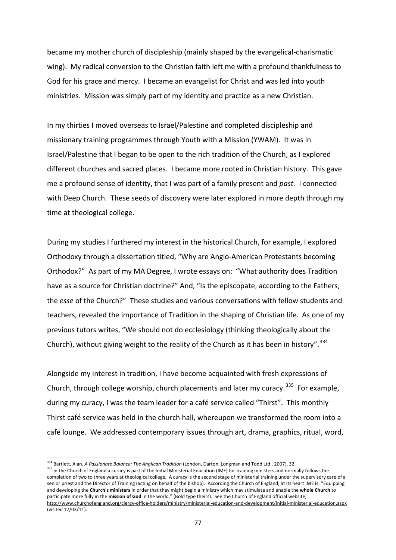became my mother church of discipleship (mainly shaped by the evangelical-charismatic wing). My radical conversion to the Christian faith left me with a profound thankfulness to God for his grace and mercy. I became an evangelist for Christ and was led into youth ministries. Mission was simply part of my identity and practice as a new Christian.

In my thirties I moved overseas to Israel/Palestine and completed discipleship and missionary training programmes through Youth with a Mission (YWAM). It was in Israel/Palestine that I began to be open to the rich tradition of the Church, as I explored different churches and sacred places. I became more rooted in Christian history. This gave me a profound sense of identity, that I was part of a family present and *past.* I connected with Deep Church. These seeds of discovery were later explored in more depth through my time at theological college.

During my studies I furthered my interest in the historical Church, for example, I explored Orthodoxy through a dissertation titled, "Why are Anglo-American Protestants becoming Orthodox?" As part of my MA Degree, I wrote essays on: "What authority does Tradition have as a source for Christian doctrine?" And, "Is the episcopate, according to the Fathers, the *esse* of the Church?" These studies and various conversations with fellow students and teachers, revealed the importance of Tradition in the shaping of Christian life. As one of my previous tutors writes, "We should not do ecclesiology (thinking theologically about the Church), without giving weight to the reality of the Church as it has been in history".<sup>[334](#page-76-0)</sup>

Alongside my interest in tradition, I have become acquainted with fresh expressions of Church, through college worship, church placements and later my curacy.<sup>[335](#page-76-1)</sup> For example, during my curacy, I was the team leader for a café service called "Thirst". This monthly Thirst café service was held in the church hall, whereupon we transformed the room into a café lounge. We addressed contemporary issues through art, drama, graphics, ritual, word,

l

<sup>334</sup> Bartlett, Alan, *A Passionate Balance: The Anglican Tradition* (London, Darton, Longman and Todd Ltd., 2007), 32.

<span id="page-76-1"></span><span id="page-76-0"></span><sup>335</sup> In the Church of England a curacy is part of the Initial Ministerial Education (IME) for training ministers and normally follows the completion of two to three years at theological college. A curacy is the second stage of ministerial training under the supervisory care of a senior priest and the Director of Training (acting on behalf of the bishop). According the Church of England, at its heart IME is: "Equipping and developing the **Church's ministers** in order that they might begin a ministry which may stimulate and enable the **whole Church** to participate more fully in the **mission of God** in the world." (Bold type theirs). See the Church of England official website, <http://www.churchofengland.org/clergy-office-holders/ministry/ministerial-education-and-development/initial-ministerial-education.aspx> (visited 17/03/11).